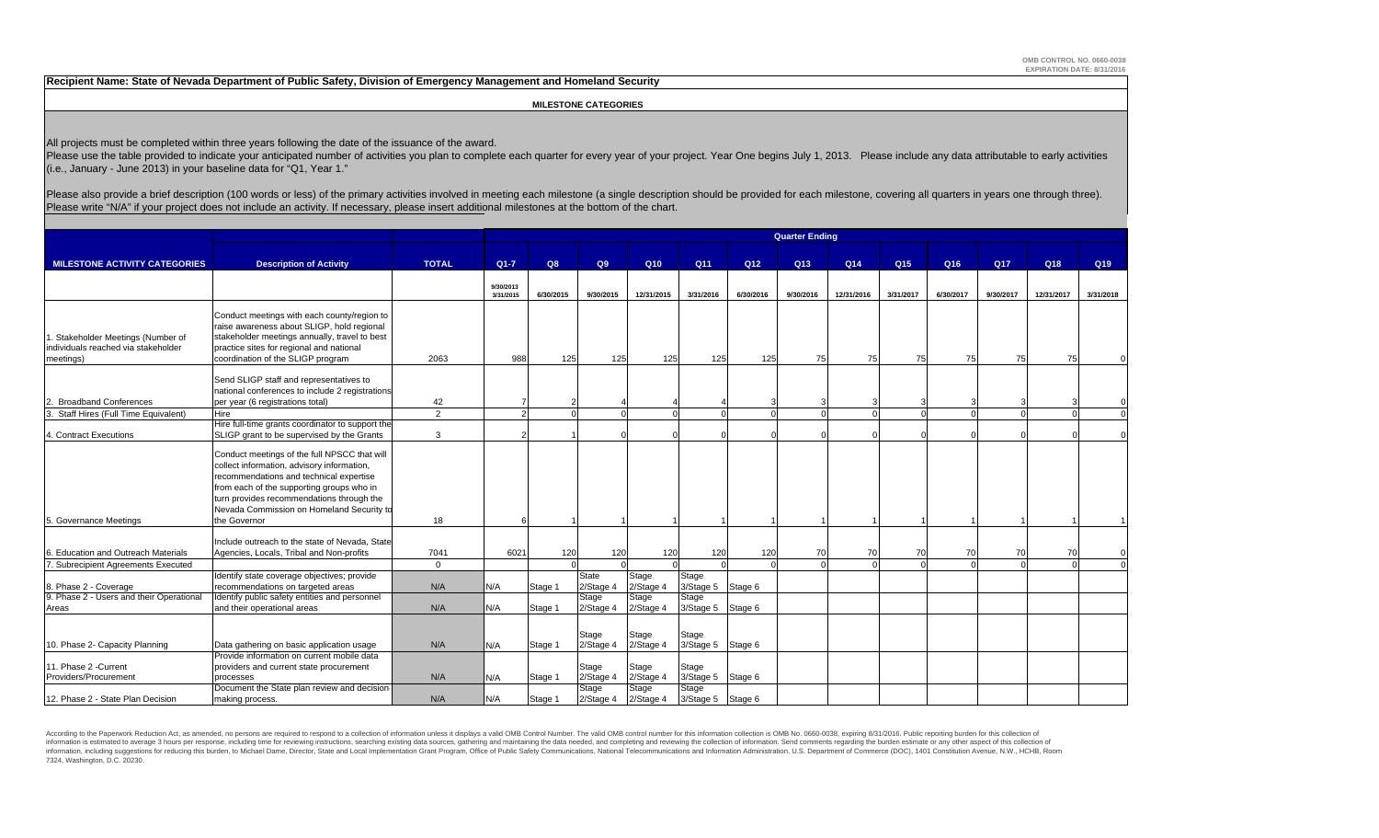**Recipient Name: State of Nevada Department of Public Safety, Division of Emergency Management and Homeland Security**

 **MILESTONE CATEGORIES**

All projects must be completed within three years following the date of the issuance of the award.

Please use the table provided to indicate your anticipated number of activities you plan to complete each quarter for every year of your project. Year One begins July 1, 2013. Please include any data attributable to early (i.e., January - June 2013) in your baseline data for "Q1, Year 1."

Please also provide a brief description (100 words or less) of the primary activities involved in meeting each milestone (a single description should be provided for each milestone, covering all quarters in years one throu Please write "N/A" if your project does not include an activity. If necessary, please insert additional milestones at the bottom of the chart.

|                                                  |                                                  |              | <b>Quarter Ending</b> |           |           |                 |                   |           |                 |            |                 |           |                 |            |           |
|--------------------------------------------------|--------------------------------------------------|--------------|-----------------------|-----------|-----------|-----------------|-------------------|-----------|-----------------|------------|-----------------|-----------|-----------------|------------|-----------|
|                                                  |                                                  |              |                       |           |           |                 |                   |           |                 |            |                 |           |                 |            |           |
| <b>MILESTONE ACTIVITY CATEGORIES</b>             | <b>Description of Activity</b>                   | <b>TOTAL</b> | $Q1 - 7$              | Q8        | Q9        | Q <sub>10</sub> | Q11               | Q12       | Q <sub>13</sub> | Q14        | Q <sub>15</sub> | Q16       | Q <sub>17</sub> | Q18        | Q19       |
|                                                  |                                                  |              | 9/30/2013             |           |           |                 |                   |           |                 |            |                 |           |                 |            |           |
|                                                  |                                                  |              | 3/31/2015             | 6/30/2015 | 9/30/2015 | 12/31/2015      | 3/31/2016         | 6/30/2016 | 9/30/2016       | 12/31/2016 | 3/31/2017       | 6/30/2017 | 9/30/2017       | 12/31/2017 | 3/31/2018 |
|                                                  | Conduct meetings with each county/region to      |              |                       |           |           |                 |                   |           |                 |            |                 |           |                 |            |           |
|                                                  | raise awareness about SLIGP, hold regional       |              |                       |           |           |                 |                   |           |                 |            |                 |           |                 |            |           |
| 1. Stakeholder Meetings (Number of               | stakeholder meetings annually, travel to best    |              |                       |           |           |                 |                   |           |                 |            |                 |           |                 |            |           |
| individuals reached via stakeholder              | practice sites for regional and national         |              |                       |           |           |                 |                   |           |                 |            |                 |           |                 |            |           |
| meetings)                                        | coordination of the SLIGP program                | 2063         | 988                   | 125       | 125       | 125             | 125               | 125       | 75              | 75         | 75              | 75        | 75              | 75         |           |
|                                                  |                                                  |              |                       |           |           |                 |                   |           |                 |            |                 |           |                 |            |           |
|                                                  | Send SLIGP staff and representatives to          |              |                       |           |           |                 |                   |           |                 |            |                 |           |                 |            |           |
|                                                  | national conferences to include 2 registrations  |              |                       |           |           |                 |                   |           |                 |            |                 |           |                 |            |           |
| <b>Broadband Conferences</b><br>$\overline{2}$ . | per year (6 registrations total)                 | 42           |                       |           |           |                 |                   |           |                 |            |                 |           |                 |            |           |
| Staff Hires (Full Time Equivalent)               | Hire                                             | 2            |                       |           | $\Omega$  |                 |                   | $\Omega$  |                 | $\Omega$   |                 |           |                 |            |           |
|                                                  | Hire full-time grants coordinator to support the |              |                       |           |           |                 |                   |           |                 |            |                 |           |                 |            |           |
| 4. Contract Executions                           | SLIGP grant to be supervised by the Grants       | 3            |                       |           |           |                 |                   |           |                 |            |                 |           |                 |            |           |
|                                                  | Conduct meetings of the full NPSCC that will     |              |                       |           |           |                 |                   |           |                 |            |                 |           |                 |            |           |
|                                                  | collect information, advisory information,       |              |                       |           |           |                 |                   |           |                 |            |                 |           |                 |            |           |
|                                                  | recommendations and technical expertise          |              |                       |           |           |                 |                   |           |                 |            |                 |           |                 |            |           |
|                                                  | from each of the supporting groups who in        |              |                       |           |           |                 |                   |           |                 |            |                 |           |                 |            |           |
|                                                  | turn provides recommendations through the        |              |                       |           |           |                 |                   |           |                 |            |                 |           |                 |            |           |
|                                                  | Nevada Commission on Homeland Security to        |              |                       |           |           |                 |                   |           |                 |            |                 |           |                 |            |           |
| 5. Governance Meetings                           | the Governor                                     | 18           |                       |           |           |                 |                   |           |                 |            |                 |           |                 |            |           |
|                                                  |                                                  |              |                       |           |           |                 |                   |           |                 |            |                 |           |                 |            |           |
|                                                  | Include outreach to the state of Nevada, State   |              |                       |           |           |                 |                   |           |                 |            |                 |           |                 |            |           |
| 6. Education and Outreach Materials              | Agencies, Locals, Tribal and Non-profits         | 7041         | 6021                  | 120       | 120       | 120             | 120               | 120       | 70              | 70         | 70              | 70        | 70              | 70         |           |
| 7. Subrecipient Agreements Executed              |                                                  | $\Omega$     |                       |           |           |                 |                   | $\Omega$  |                 |            |                 |           |                 |            |           |
|                                                  | Identify state coverage objectives; provide      |              |                       |           | State     | Stage           | Stage             |           |                 |            |                 |           |                 |            |           |
| 8. Phase 2 - Coverage                            | recommendations on targeted areas                | N/A          | N/A                   | Stage 1   | 2/Stage 4 | 2/Stage 4       | 3/Stage 5 Stage 6 |           |                 |            |                 |           |                 |            |           |
| 9. Phase 2 - Users and their Operational         | Identify public safety entities and personnel    |              |                       |           | Stage     | Stage           | Stage             |           |                 |            |                 |           |                 |            |           |
| Areas                                            | and their operational areas                      | N/A          | N/A                   | Stage 1   | 2/Stage 4 | 2/Stage 4       | 3/Stage 5         | Stage 6   |                 |            |                 |           |                 |            |           |
|                                                  |                                                  |              |                       |           |           |                 |                   |           |                 |            |                 |           |                 |            |           |
|                                                  |                                                  |              |                       |           | Stage     | Stage           | Stage             |           |                 |            |                 |           |                 |            |           |
| 10. Phase 2- Capacity Planning                   | Data gathering on basic application usage        | N/A          | N/A                   | Stage 1   | 2/Stage 4 | 2/Stage 4       | 3/Stage 5 Stage 6 |           |                 |            |                 |           |                 |            |           |
|                                                  | Provide information on current mobile data       |              |                       |           |           |                 |                   |           |                 |            |                 |           |                 |            |           |
| 11. Phase 2 - Current                            | providers and current state procurement          |              |                       |           | Stage     | Stage           | Stage             |           |                 |            |                 |           |                 |            |           |
| Providers/Procurement                            | processes                                        | N/A          | N/A                   | Stage 1   | 2/Stage 4 | 2/Stage 4       | 3/Stage 5 Stage 6 |           |                 |            |                 |           |                 |            |           |
|                                                  | Document the State plan review and decision-     |              |                       |           | Stage     | <b>Stage</b>    | Stage             |           |                 |            |                 |           |                 |            |           |
| 12. Phase 2 - State Plan Decision                | making process.                                  | N/A          | N/A                   | Stage 1   | 2/Stage 4 | 2/Stage 4       | 3/Stage 5 Stage 6 |           |                 |            |                 |           |                 |            |           |

According to the Paperwork Reduction Act, as amended, no persons are required to respond to a collection of information unless it displays a valid OMB Control Number. The valid OMB control number for this information colle information is estimated to average 3 hours per response, including time for reviewing instructions, searching existing data sources, gathering and maintaining the data needed, and completing and reviewing the collection o information, including suggestions for reducing this burden, to Michael Dame, Director, State and Local Implementation Grant Program, Office of Public Safety Communications, National Telecommunications and Information Admi 7324, Washington, D.C. 20230.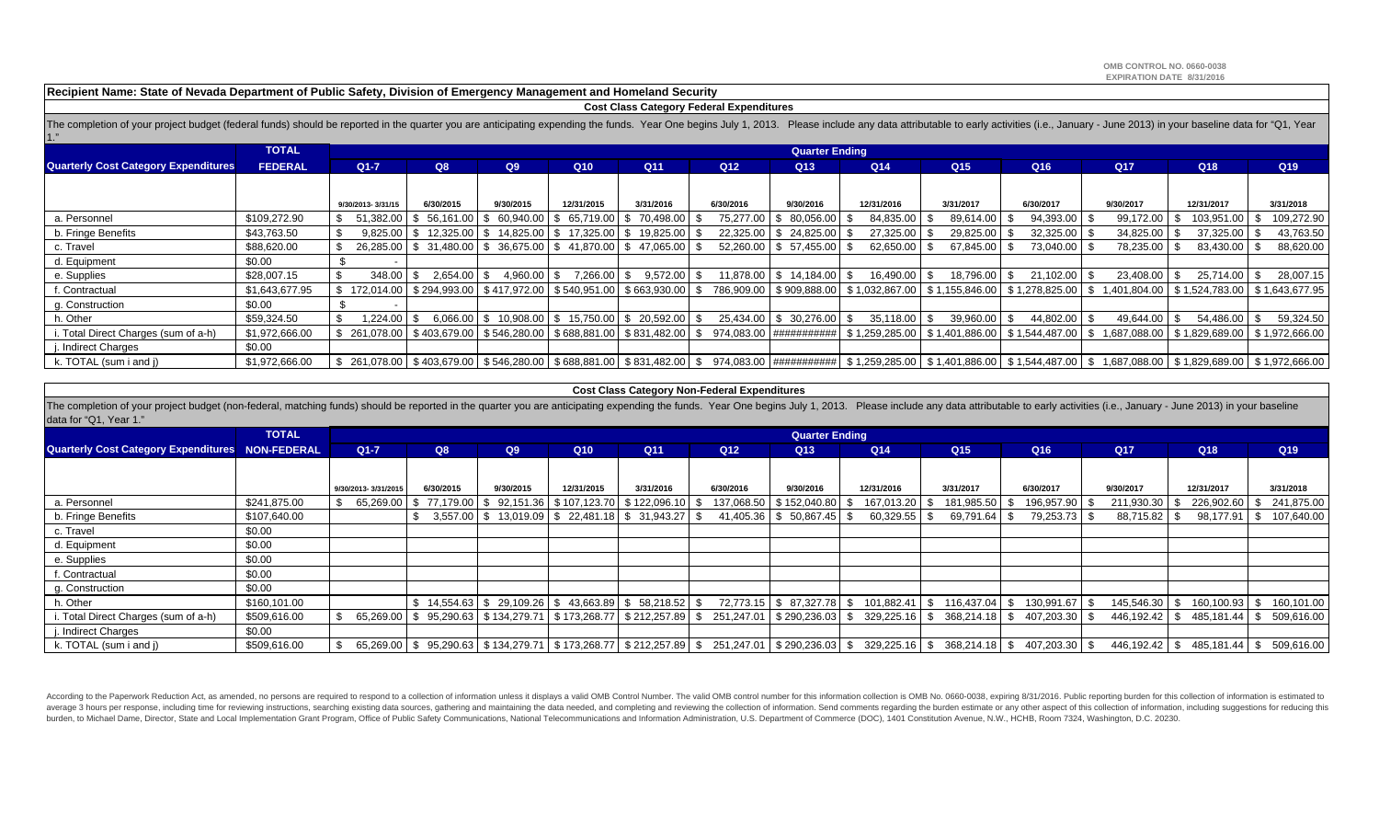**Recipient Name: State of Nevada Department of Public Safety, Division of Emergency Management and Homeland Security**

#### **Cost Class Category Federal Expenditures**

The completion of your project budget (federal funds) should be reported in the quarter you are anticipating expending the funds. Year One begins July 1, 2013. Please include any data attributable to early activities (i.e. 1."

|                                             | TOTAL          |                                                                           |                                                                       |           |              |                                                         |                 | <b>Quarter Ending</b>    |                                            |                 |                 |                                                                                                                                      |                 |                 |
|---------------------------------------------|----------------|---------------------------------------------------------------------------|-----------------------------------------------------------------------|-----------|--------------|---------------------------------------------------------|-----------------|--------------------------|--------------------------------------------|-----------------|-----------------|--------------------------------------------------------------------------------------------------------------------------------------|-----------------|-----------------|
| <b>Quarterly Cost Category Expenditures</b> | <b>FEDERAL</b> | $Q1 - 7$                                                                  | Q8                                                                    | Q9        | Q10          | Q <sub>11</sub>                                         | Q <sub>12</sub> | Q <sub>13</sub>          | Q <sub>14</sub>                            | Q <sub>15</sub> | Q <sub>16</sub> | Q <sub>17</sub>                                                                                                                      | Q <sub>18</sub> | Q <sub>19</sub> |
|                                             |                |                                                                           |                                                                       |           |              |                                                         |                 |                          |                                            |                 |                 |                                                                                                                                      |                 |                 |
|                                             |                | 9/30/2013-3/31/15                                                         | 6/30/2015                                                             | 9/30/2015 | 12/31/2015   | 3/31/2016                                               | 6/30/2016       | 9/30/2016                | 12/31/2016                                 | 3/31/2017       | 6/30/2017       | 9/30/2017                                                                                                                            | 12/31/2017      | 3/31/2018       |
| a. Personnel                                | \$109,272.90   |                                                                           | 51,382.00   \$ 56,161.00   \$ 60,940.00                               |           | 65,719.00 \$ | 70,498.00                                               | 75,277.00       | \$ 80,056.00             | 84,835.00                                  | 89,614.00       | 94,393.00 \$    | 99,172.00                                                                                                                            | 103,951.00      | 109,272.90      |
| b. Fringe Benefits                          | \$43,763.50    |                                                                           | $9,825.00$ \$ 12,325.00 \$ 14,825.00 \$ 17,325.00 \$                  |           |              | 19,825.00                                               | 22.325.00       | \$24,825,00              | 27,325.00                                  | 29,825.00       | 32,325.00 \$    | 34,825.00                                                                                                                            | 37,325.00       | 43,763.50       |
| c. Travel                                   | \$88,620.00    |                                                                           | 26,285.00   \$ 31,480.00   \$ 36,675.00   \$ 41,870.00   \$ 47,065.00 |           |              |                                                         |                 | 52,260.00   \$ 57,455.00 | 62,650.00                                  | 67,845.00       | 73,040.00 \$    | 78,235.00                                                                                                                            | 83,430.00       | 88,620.00       |
| d. Equipment                                | \$0.00         |                                                                           |                                                                       |           |              |                                                         |                 |                          |                                            |                 |                 |                                                                                                                                      |                 |                 |
| e. Supplies                                 | \$28,007.15    | $348.00$ \ \$                                                             | $2.654.00$ \ \$                                                       | 4.960.00  | 7,266.00 \$  | 9,572.00                                                | 11,878.00       | $$14,184.00$ \ \$        | 16,490.00                                  | 18,796.00       | 21,102.00 \$    | 23,408.00                                                                                                                            | 25.714.00       | 28,007.15       |
| f. Contractual                              | \$1,643,677.95 | \$172,014.00   \$294,993.00   \$417,972.00   \$540,951.00   \$663,930.00  |                                                                       |           |              |                                                         |                 |                          | 786,909.00   \$909,888.00   \$1,032,867.00 |                 |                 | \$ 1,155,846.00   \$ 1,278,825.00   \$ 1,401,804.00   \$ 1,524,783.00   \$ 1,643,677.95                                              |                 |                 |
| g. Construction                             | \$0.00         |                                                                           |                                                                       |           |              |                                                         |                 |                          |                                            |                 |                 |                                                                                                                                      |                 |                 |
| h. Other                                    | \$59,324.50    | 1.224.00 \$                                                               |                                                                       |           |              | $6,066.00$   \$ 10,908.00   \$ 15,750.00   \$ 20,592.00 |                 | 25,434.00   \$ 30,276.00 | $35,118.00$ \ \$                           | 39,960.00       | 44,802.00 \$    | 49,644.00                                                                                                                            | 54,486.00       | 59,324.50       |
| i. Total Direct Charges (sum of a-h)        | \$1.972.666.00 | $$261,078.00$   \$403,679.00   \$546,280.00   \$688,881.00   \$831,482.00 |                                                                       |           |              |                                                         |                 | 974.083.00 ############  |                                            |                 |                 | \$1,259,285.00  \$1,401,886.00  \$1,544,487.00  \$1,687,088.00  \$1,829,689.00  \$1,972,666.00                                       |                 |                 |
| j. Indirect Charges                         | \$0.00         |                                                                           |                                                                       |           |              |                                                         |                 |                          |                                            |                 |                 |                                                                                                                                      |                 |                 |
| k. TOTAL (sum i and j)                      | \$1,972,666.00 | $$261,078.00$   \$403,679.00   \$546,280.00   \$688,881.00   \$831,482.00 |                                                                       |           |              |                                                         | - S             |                          |                                            |                 |                 | 974,083.00   ###########   \$ 1,259,285.00   \$ 1,401,886.00   \$ 1,544,487.00   \$ 1,687,088.00   \$ 1,829,689.00   \$ 1,972,666.00 |                 |                 |

#### **Cost Class Category Non-Federal Expenditures**

The completion of your project budget (non-federal, matching funds) should be reported in the quarter you are anticipating expending the funds. Year One begins July 1, 2013. Please include any data attributable to early ac data for "Q1, Year 1."

|                                                         | <b>TOTAL</b> |                     |                                       |           |                                                     |                             |                 | <b>Quarter Ending</b>         |                 |                                                                                                                                       |                      |                 |                                          |                 |
|---------------------------------------------------------|--------------|---------------------|---------------------------------------|-----------|-----------------------------------------------------|-----------------------------|-----------------|-------------------------------|-----------------|---------------------------------------------------------------------------------------------------------------------------------------|----------------------|-----------------|------------------------------------------|-----------------|
| <b>Quarterly Cost Category Expenditures NON-FEDERAL</b> |              | $Q1 - 7$            | Q8                                    | Q9        | Q <sub>10</sub>                                     | Q <sub>11</sub>             | Q <sub>12</sub> | Q <sub>13</sub>               | Q <sub>14</sub> | Q <sub>15</sub>                                                                                                                       | Q <sub>16</sub>      | Q <sub>17</sub> | Q18                                      | Q <sub>19</sub> |
|                                                         |              |                     |                                       |           |                                                     |                             |                 |                               |                 |                                                                                                                                       |                      |                 |                                          |                 |
|                                                         |              | 9/30/2013-3/31/2015 | 6/30/2015                             | 9/30/2015 | 12/31/2015                                          | 3/31/2016                   | 6/30/2016       | 9/30/2016                     | 12/31/2016      | 3/31/2017                                                                                                                             | 6/30/2017            | 9/30/2017       | 12/31/2017                               | 3/31/2018       |
| a. Personnel                                            | \$241,875.00 |                     | 65,269.00   \$77,179.00   \$92,151.36 |           |                                                     | \$107,123.70   \$122,096.10 | 137,068.50      | \$152,040.80                  | 167,013.20      | 181,985.50<br>Ж.                                                                                                                      | 196,957.90 \$        | 211,930.30      | 226,902.60                               | 241,875.00      |
| b. Fringe Benefits                                      | \$107,640.00 |                     |                                       |           | 3,557.00   \$13,019.09   \$22,481.18   \$31,943.27  |                             | 41,405.36       | \$50,867.45                   | 60,329.55       | 69,791.64                                                                                                                             | 79,253.73 \$         | 88,715.82       | 98,177.91                                | 107,640.00      |
| c. Travel                                               | \$0.00       |                     |                                       |           |                                                     |                             |                 |                               |                 |                                                                                                                                       |                      |                 |                                          |                 |
| d. Equipment                                            | \$0.00       |                     |                                       |           |                                                     |                             |                 |                               |                 |                                                                                                                                       |                      |                 |                                          |                 |
| e. Supplies                                             | \$0.00       |                     |                                       |           |                                                     |                             |                 |                               |                 |                                                                                                                                       |                      |                 |                                          |                 |
| f. Contractual                                          | \$0.00       |                     |                                       |           |                                                     |                             |                 |                               |                 |                                                                                                                                       |                      |                 |                                          |                 |
| g. Construction                                         | \$0.00       |                     |                                       |           |                                                     |                             |                 |                               |                 |                                                                                                                                       |                      |                 |                                          |                 |
| h. Other                                                | \$160,101.00 |                     |                                       |           | $$14,554.63$ $$29,109.26$ $$43,663.89$ $$58,218.52$ |                             |                 | 72,773.15   \$ 87,327.78   \$ | 101,882.41      | 116,437.04<br>-S                                                                                                                      | 130,991.67 \$<br>IS. | 145,546.30      | 160,100.93                               | 160,101.00      |
| i. Total Direct Charges (sum of a-h)                    | \$509,616.00 |                     |                                       |           |                                                     |                             |                 |                               |                 | 65,269.00 \$95,290.63 \$134,279.71 \$173,268.77 \$212,257.89 \$251,247.01 \$290,236.03 \$329,225.16 \$368,214.18 \$407,203.30 \$      |                      |                 | 446,192.42 \$485,181.44 \$509,616.00     |                 |
| j. Indirect Charges                                     | \$0.00       |                     |                                       |           |                                                     |                             |                 |                               |                 |                                                                                                                                       |                      |                 |                                          |                 |
| k. TOTAL (sum i and j)                                  | \$509,616.00 |                     |                                       |           |                                                     |                             |                 |                               |                 | 65,269.00 \$ 95,290.63 \$134,279.71 \$173,268.77 \$212,257.89 \$ 251,247.01 \$290,236.03 \$ 329,225.16 \$ 368,214.18 \$ 407,203.30 \$ |                      |                 | 446,192.42   \$485,181.44   \$509,616.00 |                 |

According to the Paperwork Reduction Act, as amended, no persons are required to respond to a collection of information unless it displays a valid OMB Control Number. The valid OMB control number for this information colle average 3 hours per response, including time for reviewing instructions, searching existing data sources, gathering and maintaining the data needed, and completing and reviewing the collection of information. Send comments burden, to Michael Dame, Director, State and Local Implementation Grant Program, Office of Public Safety Communications, National Telecommunications and Information Administration, U.S. Department of Commerce (DOC), 1401 C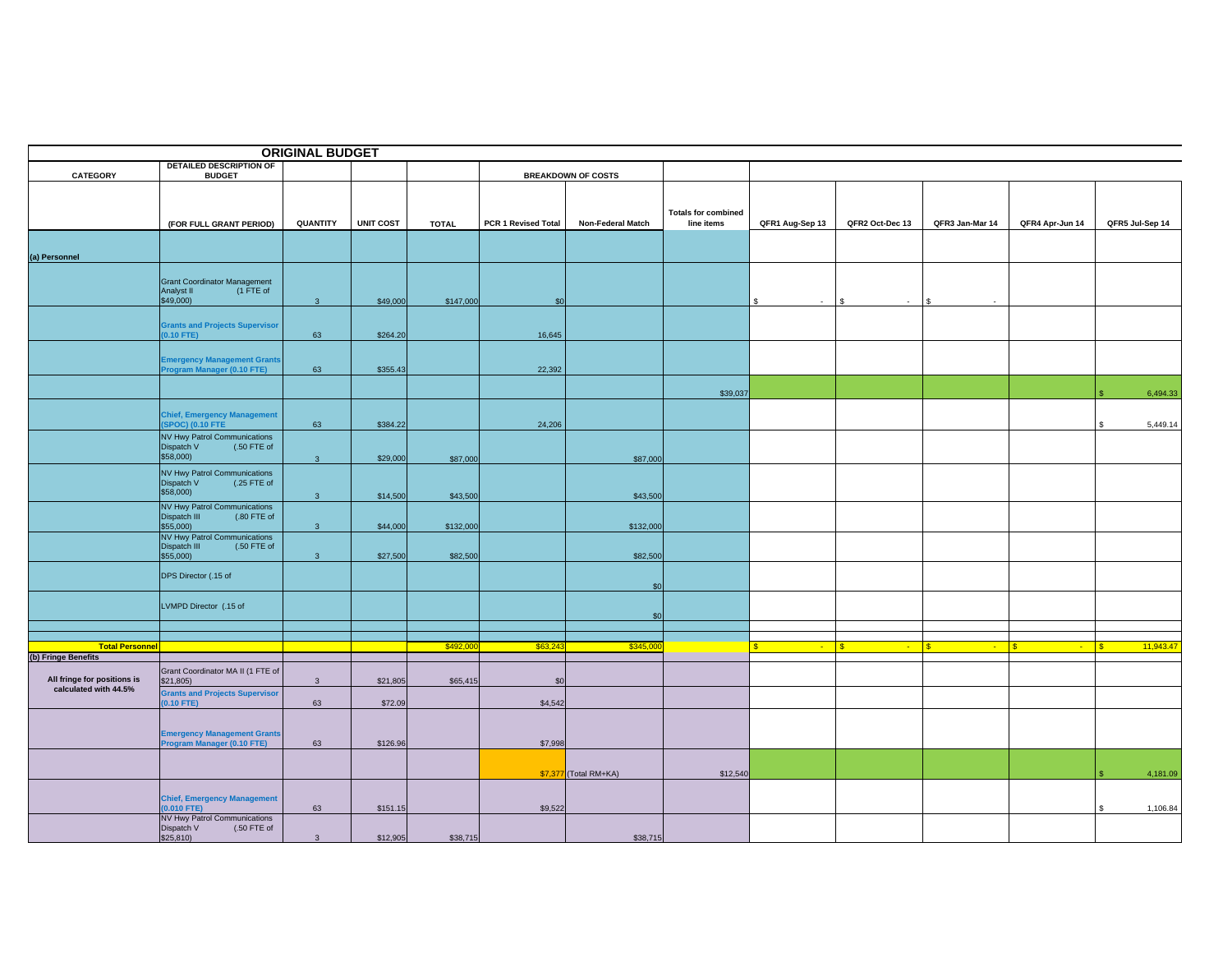|                             |                                                                  | <b>ORIGINAL BUDGET</b>  |                  |              |                     |                           |                                          |                        |                        |                 |                    |                   |          |
|-----------------------------|------------------------------------------------------------------|-------------------------|------------------|--------------|---------------------|---------------------------|------------------------------------------|------------------------|------------------------|-----------------|--------------------|-------------------|----------|
| CATEGORY                    | DETAILED DESCRIPTION OF<br><b>BUDGET</b>                         |                         |                  |              |                     | <b>BREAKDOWN OF COSTS</b> |                                          |                        |                        |                 |                    |                   |          |
|                             |                                                                  |                         |                  |              |                     |                           |                                          |                        |                        |                 |                    |                   |          |
|                             |                                                                  |                         |                  |              |                     |                           |                                          |                        |                        |                 |                    |                   |          |
|                             | (FOR FULL GRANT PERIOD)                                          | QUANTITY                | <b>UNIT COST</b> | <b>TOTAL</b> | PCR 1 Revised Total | <b>Non-Federal Match</b>  | <b>Totals for combined</b><br>line items | QFR1 Aug-Sep 13        | QFR2 Oct-Dec 13        | QFR3 Jan-Mar 14 | QFR4 Apr-Jun 14    | QFR5 Jul-Sep 14   |          |
|                             |                                                                  |                         |                  |              |                     |                           |                                          |                        |                        |                 |                    |                   |          |
|                             |                                                                  |                         |                  |              |                     |                           |                                          |                        |                        |                 |                    |                   |          |
| (a) Personnel               |                                                                  |                         |                  |              |                     |                           |                                          |                        |                        |                 |                    |                   |          |
|                             | <b>Grant Coordinator Management</b>                              |                         |                  |              |                     |                           |                                          |                        |                        |                 |                    |                   |          |
|                             | (1 FTE of<br>Analyst II<br>\$49,000)                             | $\overline{\mathbf{3}}$ | \$49,000         | \$147,000    | \$0                 |                           |                                          | $\mathbb{S}$<br>$\sim$ | $\mathbf{s}$<br>$\sim$ | l s<br>$\sim$   |                    |                   |          |
|                             |                                                                  |                         |                  |              |                     |                           |                                          |                        |                        |                 |                    |                   |          |
|                             | <b>Grants and Projects Supervisor</b><br>$0.10$ FTE)             | 63                      | \$264.20         |              | 16,645              |                           |                                          |                        |                        |                 |                    |                   |          |
|                             |                                                                  |                         |                  |              |                     |                           |                                          |                        |                        |                 |                    |                   |          |
|                             | <b>Emergency Management Grants</b>                               |                         |                  |              |                     |                           |                                          |                        |                        |                 |                    |                   |          |
|                             | Program Manager (0.10 FTE)                                       | 63                      | \$355.43         |              | 22,392              |                           |                                          |                        |                        |                 |                    |                   |          |
|                             |                                                                  |                         |                  |              |                     |                           | \$39,037                                 |                        |                        |                 |                    |                   | 6,494.33 |
|                             |                                                                  |                         |                  |              |                     |                           |                                          |                        |                        |                 |                    |                   |          |
|                             | <b>Chief, Emergency Management</b><br><b>SPOC) (0.10 FTE</b>     | 63                      | \$384.22         |              | 24,206              |                           |                                          |                        |                        |                 |                    |                   | 5,449.14 |
|                             | <b>NV Hwy Patrol Communications</b>                              |                         |                  |              |                     |                           |                                          |                        |                        |                 |                    |                   |          |
|                             | (.50 FTE of<br>Dispatch V<br>\$58,000)                           | 3 <sup>2</sup>          | \$29,000         | \$87,000     |                     | \$87,000                  |                                          |                        |                        |                 |                    |                   |          |
|                             | <b>NV Hwy Patrol Communications</b>                              |                         |                  |              |                     |                           |                                          |                        |                        |                 |                    |                   |          |
|                             | Dispatch V<br>(.25 FTE of<br>\$58,000)                           |                         |                  |              |                     |                           |                                          |                        |                        |                 |                    |                   |          |
|                             | <b>NV Hwy Patrol Communications</b>                              | $\overline{\mathbf{3}}$ | \$14,500         | \$43,500     |                     | \$43,500                  |                                          |                        |                        |                 |                    |                   |          |
|                             | Dispatch III<br>(.80 FTE of                                      |                         |                  |              |                     |                           |                                          |                        |                        |                 |                    |                   |          |
|                             | $$55,000$ )<br><b>NV Hwy Patrol Communications</b>               | $\mathbf{3}$            | \$44,000         | \$132,000    |                     | \$132,000                 |                                          |                        |                        |                 |                    |                   |          |
|                             | $(.50$ FTE of<br>Dispatch III<br>\$55,000)                       | $\mathbf{3}$            | \$27,500         | \$82,500     |                     | \$82,500                  |                                          |                        |                        |                 |                    |                   |          |
|                             |                                                                  |                         |                  |              |                     |                           |                                          |                        |                        |                 |                    |                   |          |
|                             | DPS Director (.15 of                                             |                         |                  |              |                     | \$0                       |                                          |                        |                        |                 |                    |                   |          |
|                             |                                                                  |                         |                  |              |                     |                           |                                          |                        |                        |                 |                    |                   |          |
|                             | LVMPD Director (.15 of                                           |                         |                  |              |                     | \$0                       |                                          |                        |                        |                 |                    |                   |          |
|                             |                                                                  |                         |                  |              |                     |                           |                                          |                        |                        |                 |                    |                   |          |
| <b>Total Personnel</b>      |                                                                  |                         |                  | \$492,00     | \$63,243            | \$345,00                  |                                          | $\sim 10^{-11}$        | $\sqrt{3}$<br>$\sim$   | l s<br>$\sim$   | <b>S</b><br>$\sim$ | 11,943.47<br>l S. |          |
| (b) Fringe Benefits         |                                                                  |                         |                  |              |                     |                           |                                          |                        |                        |                 |                    |                   |          |
| All fringe for positions is | Grant Coordinator MA II (1 FTE of<br>\$21,805)                   | $\overline{3}$          | \$21,805         | \$65,415     | \$0                 |                           |                                          |                        |                        |                 |                    |                   |          |
| calculated with 44.5%       | <b>Grants and Projects Supervisor</b>                            |                         |                  |              |                     |                           |                                          |                        |                        |                 |                    |                   |          |
|                             | $0.10$ FTE)                                                      | 63                      | \$72.09          |              | \$4,542             |                           |                                          |                        |                        |                 |                    |                   |          |
|                             |                                                                  |                         |                  |              |                     |                           |                                          |                        |                        |                 |                    |                   |          |
|                             | <b>Emergency Management Grants</b><br>Program Manager (0.10 FTE) | 63                      | \$126.96         |              | \$7,998             |                           |                                          |                        |                        |                 |                    |                   |          |
|                             |                                                                  |                         |                  |              |                     |                           |                                          |                        |                        |                 |                    |                   |          |
|                             |                                                                  |                         |                  |              |                     | \$7,377 (Total RM+KA)     | \$12,540                                 |                        |                        |                 |                    |                   | 4,181.09 |
|                             |                                                                  |                         |                  |              |                     |                           |                                          |                        |                        |                 |                    |                   |          |
|                             | <b>Chief, Emergency Management</b><br>$0.010$ FTE)               | 63                      | \$151.15         |              | \$9,522             |                           |                                          |                        |                        |                 |                    | S                 | 1,106.84 |
|                             | NV Hwy Patrol Communications                                     |                         |                  |              |                     |                           |                                          |                        |                        |                 |                    |                   |          |
|                             | Dispatch V<br>(.50 FTE of<br>\$25,810                            | $\overline{3}$          | \$12,905         | \$38,715     |                     | \$38,715                  |                                          |                        |                        |                 |                    |                   |          |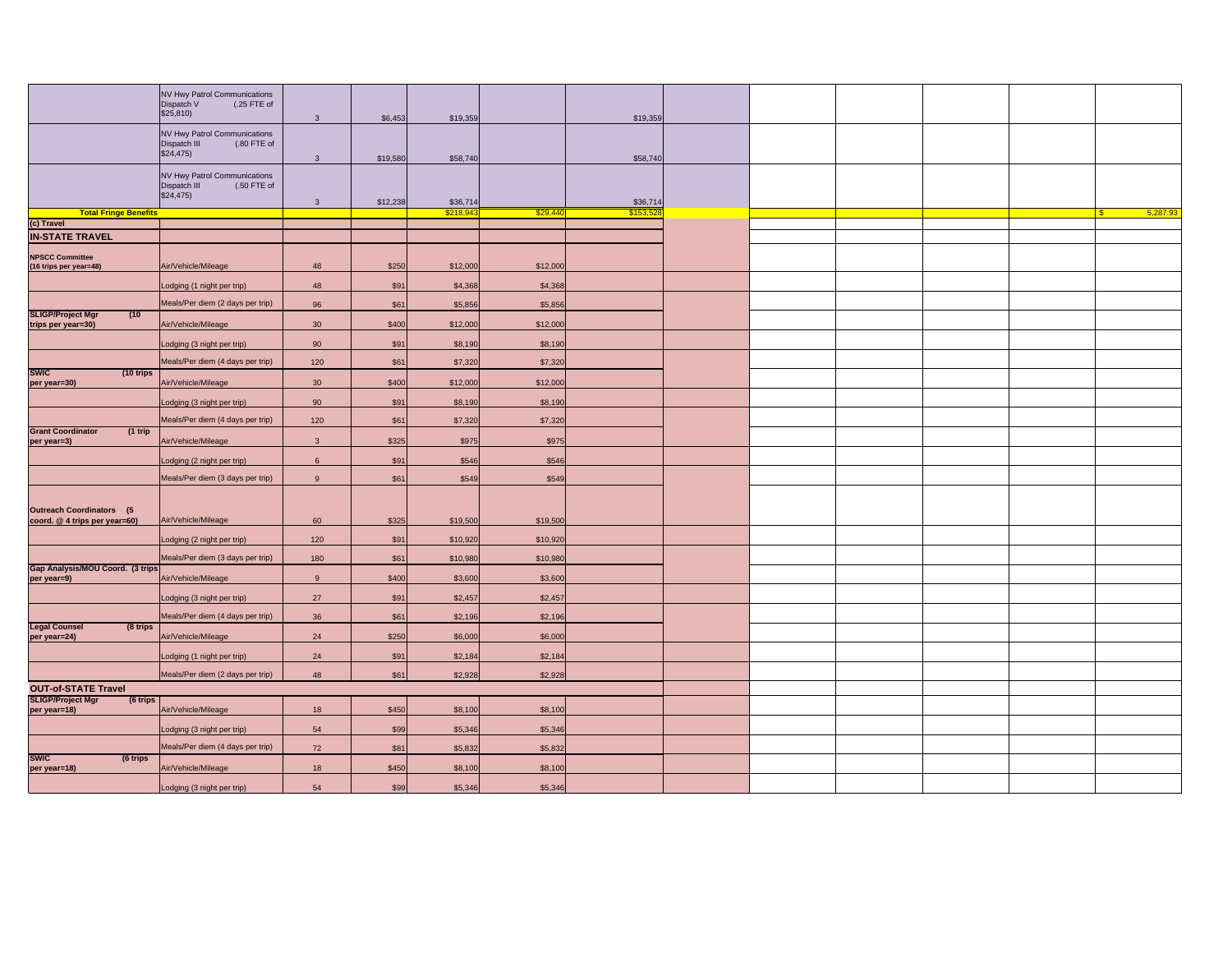|                                                                   | NV Hwy Patrol Communications<br>Dispatch V<br>(.25 FTE of<br>\$25,810    | $\mathbf{3}$    | \$6,453              | \$19,359           |                    | \$19,359 |  |  |          |
|-------------------------------------------------------------------|--------------------------------------------------------------------------|-----------------|----------------------|--------------------|--------------------|----------|--|--|----------|
|                                                                   | NV Hwy Patrol Communications<br>(.80 FTE of<br>Dispatch III<br>\$24,475) | $\mathbf{3}$    | \$19,580             | \$58,740           |                    | \$58,740 |  |  |          |
|                                                                   | NV Hwy Patrol Communications<br>(.50 FTE of<br>Dispatch III<br>\$24,475) | $\overline{3}$  | \$12,238             | \$36,714           |                    | \$36,714 |  |  |          |
| <b>Total Fringe Benefits</b>                                      |                                                                          |                 |                      | \$218.9            | \$29.44            | \$153.52 |  |  | 5,287.93 |
| (c) Travel                                                        |                                                                          |                 |                      |                    |                    |          |  |  |          |
| <b>IN-STATE TRAVEL</b>                                            |                                                                          |                 |                      |                    |                    |          |  |  |          |
|                                                                   |                                                                          |                 |                      |                    |                    |          |  |  |          |
| <b>NPSCC Committee</b><br>(16 trips per year=48)                  | Air/Vehicle/Mileage                                                      | 48              | \$250                | \$12,000           | \$12,000           |          |  |  |          |
|                                                                   | Lodging (1 night per trip)                                               | 48              | \$91                 | \$4,368            | \$4,368            |          |  |  |          |
| <b>SLIGP/Project Mgr</b><br>(10)                                  | Meals/Per diem (2 days per trip)                                         | 96              | \$61                 | \$5,856            | \$5,856            |          |  |  |          |
| trips per year=30)                                                | Air/Vehicle/Mileage                                                      | 30              | \$400                | \$12,000           | \$12,000           |          |  |  |          |
|                                                                   | Lodging (3 night per trip)                                               | 90              | \$91                 | \$8,190            | \$8,190            |          |  |  |          |
| <b>SWIC</b><br>(10 trips)                                         | Meals/Per diem (4 days per trip)                                         | 120             | \$61                 | \$7,320            | \$7,320            |          |  |  |          |
| per year=30)                                                      | Air/Vehicle/Mileage                                                      | 30 <sup>°</sup> | \$400                | \$12,000           | \$12,000           |          |  |  |          |
|                                                                   | Lodging (3 night per trip)                                               | 90              | \$91                 | \$8,190            | \$8,190            |          |  |  |          |
| <b>Grant Coordinator</b><br>$(1$ trip                             | Meals/Per diem (4 days per trip)                                         | 120             | \$61                 | \$7,320            | \$7,320            |          |  |  |          |
| per year=3)                                                       | Air/Vehicle/Mileage                                                      | $\mathbf{3}$    | \$325                | \$975              | \$975              |          |  |  |          |
|                                                                   | Lodging (2 night per trip)                                               | 6               | \$91                 | \$546              | \$546              |          |  |  |          |
|                                                                   | Meals/Per diem (3 days per trip)                                         | 9               | \$61                 | \$549              | \$549              |          |  |  |          |
| <b>Outreach Coordinators (5)</b><br>coord. @ 4 trips per year=60) | Air/Vehicle/Mileage                                                      | 60              | \$325                | \$19,500           | \$19,500           |          |  |  |          |
|                                                                   | Lodging (2 night per trip)                                               | 120             | \$91                 | \$10,920           | \$10,920           |          |  |  |          |
| Gap Analysis/MOU Coord. (3 trips                                  | Meals/Per diem (3 days per trip)                                         | 180             | \$61                 | \$10,980           | \$10,980           |          |  |  |          |
| per year=9)                                                       | Air/Vehicle/Mileage                                                      | 9               | \$400                | \$3,600            | \$3,600            |          |  |  |          |
|                                                                   | Lodging (3 night per trip)                                               | 27              | \$91                 | \$2,457            | \$2,457            |          |  |  |          |
| <b>Legal Counsel</b><br>(8 trips                                  | Meals/Per diem (4 days per trip)                                         | 36              | \$61                 | \$2,196            | \$2,196            |          |  |  |          |
| per year=24)                                                      | Air/Vehicle/Mileage                                                      | 24              | \$250                | \$6,000            | \$6,000            |          |  |  |          |
|                                                                   | Lodging (1 night per trip)                                               | 24              | \$91                 | \$2,184            | \$2,184            |          |  |  |          |
|                                                                   | Meals/Per diem (2 days per trip)                                         | 48              | \$61                 | \$2,928            | \$2,928            |          |  |  |          |
| <b>OUT-of-STATE Travel</b>                                        |                                                                          |                 |                      |                    |                    |          |  |  |          |
| <b>SLIGP/Project Mgr</b><br>(6 trips<br>per year=18)              | Air/Vehicle/Mileage                                                      | 18              | \$450                | \$8,100            | \$8,100            |          |  |  |          |
|                                                                   | Lodging (3 night per trip)                                               | 54              | \$99                 | \$5,346            | \$5,346            |          |  |  |          |
|                                                                   | Meals/Per diem (4 days per trip)                                         | 72              | \$81                 | \$5,832            | \$5,832            |          |  |  |          |
| <b>SWIC</b><br>(6 trips                                           |                                                                          |                 |                      |                    |                    |          |  |  |          |
| per year=18)                                                      | Air/Vehicle/Mileage<br>Lodging (3 night per trip)                        | 18<br>54        | <b>\$450</b><br>\$99 | \$8,100<br>\$5,346 | \$8,100<br>\$5,346 |          |  |  |          |
|                                                                   |                                                                          |                 |                      |                    |                    |          |  |  |          |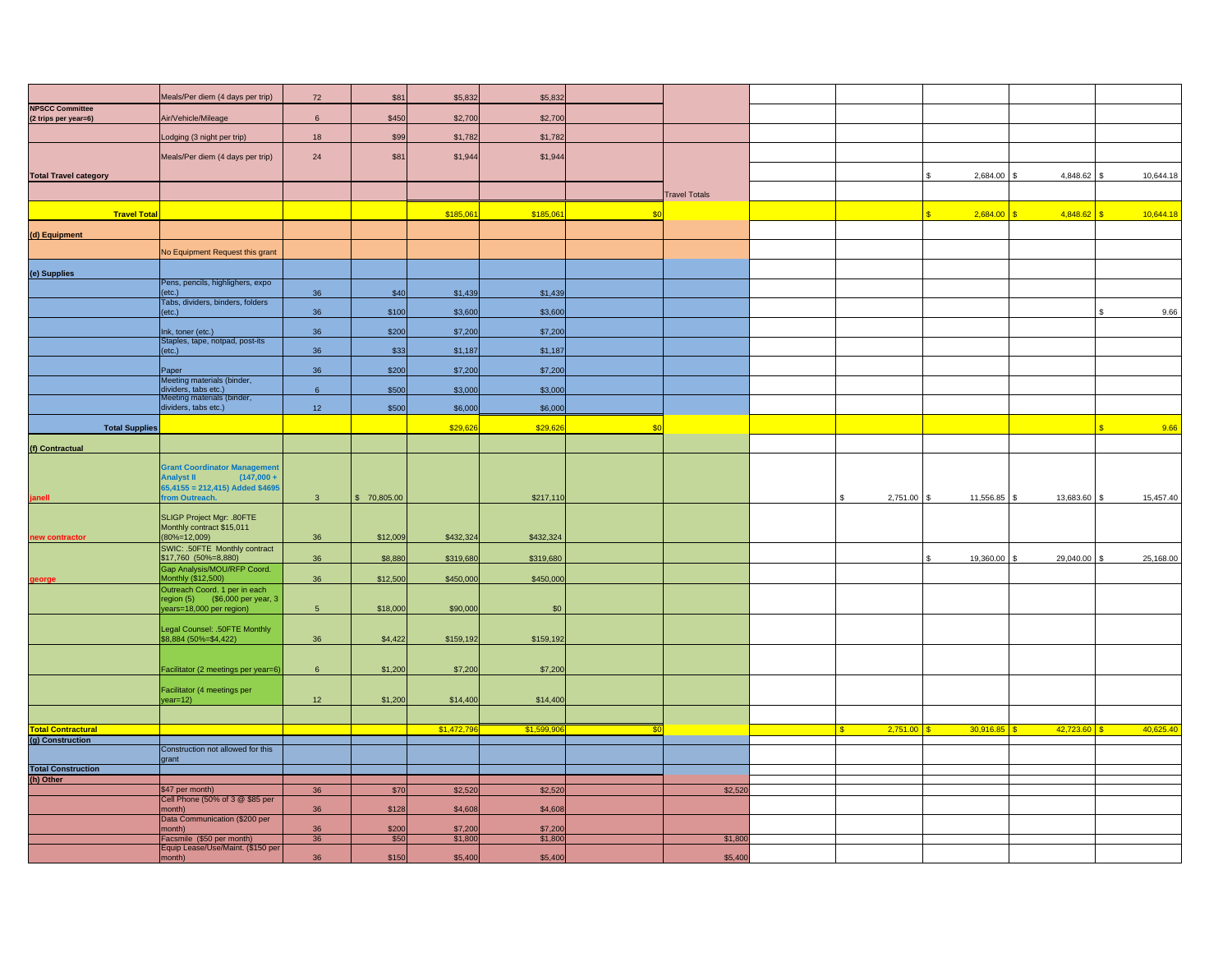|                                                | Meals/Per diem (4 days per trip)                                        | 72              | \$81        | \$5,832    | \$5,832    |             |                      |                |                    |                |                  |
|------------------------------------------------|-------------------------------------------------------------------------|-----------------|-------------|------------|------------|-------------|----------------------|----------------|--------------------|----------------|------------------|
| <b>NPSCC Committee</b><br>(2 trips per year=6) | Air/Vehicle/Mileage                                                     | 6               | \$450       | \$2,700    | \$2,700    |             |                      |                |                    |                |                  |
|                                                |                                                                         |                 |             |            |            |             |                      |                |                    |                |                  |
|                                                | odging (3 night per trip)                                               | 18              | \$99        | \$1,782    | \$1,782    |             |                      |                |                    |                |                  |
|                                                | Meals/Per diem (4 days per trip)                                        | 24              | \$81        | \$1,944    | \$1,944    |             |                      |                |                    |                |                  |
| <b>Total Travel category</b>                   |                                                                         |                 |             |            |            |             |                      |                | 2,684.00<br>\$     | 4,848.62       | 10,644.18<br>\$. |
|                                                |                                                                         |                 |             |            |            |             | <b>Travel Totals</b> |                |                    |                |                  |
| <b>Travel Total</b>                            |                                                                         |                 |             | \$185,06   | \$185,06   | \$0         |                      |                | 2,684.00           | 4,848.62       | 10,644.18        |
| (d) Equipment                                  |                                                                         |                 |             |            |            |             |                      |                |                    |                |                  |
|                                                | No Equipment Request this grant                                         |                 |             |            |            |             |                      |                |                    |                |                  |
|                                                |                                                                         |                 |             |            |            |             |                      |                |                    |                |                  |
| (e) Supplies                                   | Pens, pencils, highlighers, expo                                        |                 |             |            |            |             |                      |                |                    |                |                  |
|                                                | etc.)<br>Tabs, dividers, binders, folders                               | 36              | \$40        | \$1,439    | \$1,439    |             |                      |                |                    |                |                  |
|                                                | (etc.)                                                                  | 36              | \$100       | \$3,600    | \$3,600    |             |                      |                |                    |                | 9.66             |
|                                                | Ink, toner (etc.)                                                       | 36              | \$200       | \$7,200    | \$7,200    |             |                      |                |                    |                |                  |
|                                                | Staples, tape, notpad, post-its<br>etc.)                                | 36              | \$33        | \$1,187    | \$1,187    |             |                      |                |                    |                |                  |
|                                                | Paper                                                                   | 36              | \$200       | \$7,200    | \$7,200    |             |                      |                |                    |                |                  |
|                                                | Meeting materials (binder,<br>dividers, tabs etc.)                      | $\,$ 6          | \$500       | \$3,000    | \$3,000    |             |                      |                |                    |                |                  |
|                                                | <b>Meeting materials (binder,</b>                                       |                 |             |            |            |             |                      |                |                    |                |                  |
|                                                | dividers, tabs etc.)                                                    | 12 <sup>°</sup> | \$500       | \$6,000    | \$6,000    |             |                      |                |                    |                |                  |
| <b>Total Supplies</b>                          |                                                                         |                 |             | \$29,626   | \$29,62    | \$0         |                      |                |                    |                | 9.66             |
| (f) Contractual                                |                                                                         |                 |             |            |            |             |                      |                |                    |                |                  |
|                                                | <b>Grant Coordinator Management</b>                                     |                 |             |            |            |             |                      |                |                    |                |                  |
|                                                | $(147,000 +$<br><b>Analyst II</b><br>$65,4155 = 212,415$ ) Added \$4695 |                 |             |            |            |             |                      |                |                    |                |                  |
|                                                | om Outreach.                                                            | 3 <sup>5</sup>  | \$70,805.00 |            | \$217,110  |             |                      | 2,751.00 \$    | 11,556.85 \$       | 13,683.60 \$   | 15,457.40        |
|                                                | SLIGP Project Mgr: .80FTE                                               |                 |             |            |            |             |                      |                |                    |                |                  |
| new contractor                                 | Monthly contract \$15,011<br>$(80\% = 12,009)$                          | 36              | \$12,009    | \$432,324  | \$432,324  |             |                      |                |                    |                |                  |
|                                                | SWIC: .50FTE Monthly contract<br>\$17,760 (50%=8,880)                   | 36              | \$8,880     | \$319,680  | \$319,680  |             |                      |                | 19,360.00 \$<br>\$ | 29,040.00 \$   | 25,168.00        |
|                                                | Gap Analysis/MOU/RFP Coord.<br><b>Monthly (\$12,500)</b>                | 36              | \$12,500    | \$450,000  | \$450,000  |             |                      |                |                    |                |                  |
| eorge                                          | Outreach Coord. 1 per in each                                           |                 |             |            |            |             |                      |                |                    |                |                  |
|                                                | region (5) (\$6,000 per year, 3<br>ears=18,000 per region)              | 5 <sup>5</sup>  | \$18,000    | \$90,000   | \$0        |             |                      |                |                    |                |                  |
|                                                | Legal Counsel: .50FTE Monthly                                           |                 |             |            |            |             |                      |                |                    |                |                  |
|                                                | \$8,884 (50%=\$4,422)                                                   | 36              | \$4,422     | \$159,192  | \$159,192  |             |                      |                |                    |                |                  |
|                                                |                                                                         |                 |             |            |            |             |                      |                |                    |                |                  |
|                                                | Facilitator (2 meetings per year=6)                                     | 6               | \$1,200     | \$7,200    | \$7,200    |             |                      |                |                    |                |                  |
|                                                | Facilitator (4 meetings per                                             |                 |             |            |            |             |                      |                |                    |                |                  |
|                                                | $/ear=12)$                                                              | 12              | \$1,200     | \$14,400   | \$14,400   |             |                      |                |                    |                |                  |
| <b>Total Contractural</b>                      |                                                                         |                 |             | \$1,472,79 | \$1,599,90 | $\sqrt{30}$ |                      | 2,751.00<br>-S | $30,916.85$ \$     | $42,723.60$ \$ | 40,625.40        |
| (g) Construction                               | Construction not allowed for this                                       |                 |             |            |            |             |                      |                |                    |                |                  |
|                                                | grant                                                                   |                 |             |            |            |             |                      |                |                    |                |                  |
| <b>Total Construction</b>                      |                                                                         |                 |             |            |            |             |                      |                |                    |                |                  |
| (h) Other                                      | \$47 per month)                                                         | 36              | \$70        | \$2,520    | \$2,520    |             | \$2,520              |                |                    |                |                  |
|                                                | Cell Phone (50% of 3 @ \$85 per                                         |                 |             |            |            |             |                      |                |                    |                |                  |
|                                                | month)<br>Data Communication (\$200 per                                 | 36              | \$128       | \$4,608    | \$4,608    |             |                      |                |                    |                |                  |
|                                                | nonth)                                                                  | 36              | \$200       | \$7,20     | \$7,20     |             |                      |                |                    |                |                  |
|                                                | Facsmile (\$50 per month)<br>Equip Lease/Use/Maint. (\$150 per          | 36              | \$50        | \$1,800    | \$1,800    |             | \$1,800              |                |                    |                |                  |
|                                                | month)                                                                  | 36              | \$150       | \$5,400    | \$5,400    |             | \$5,400              |                |                    |                |                  |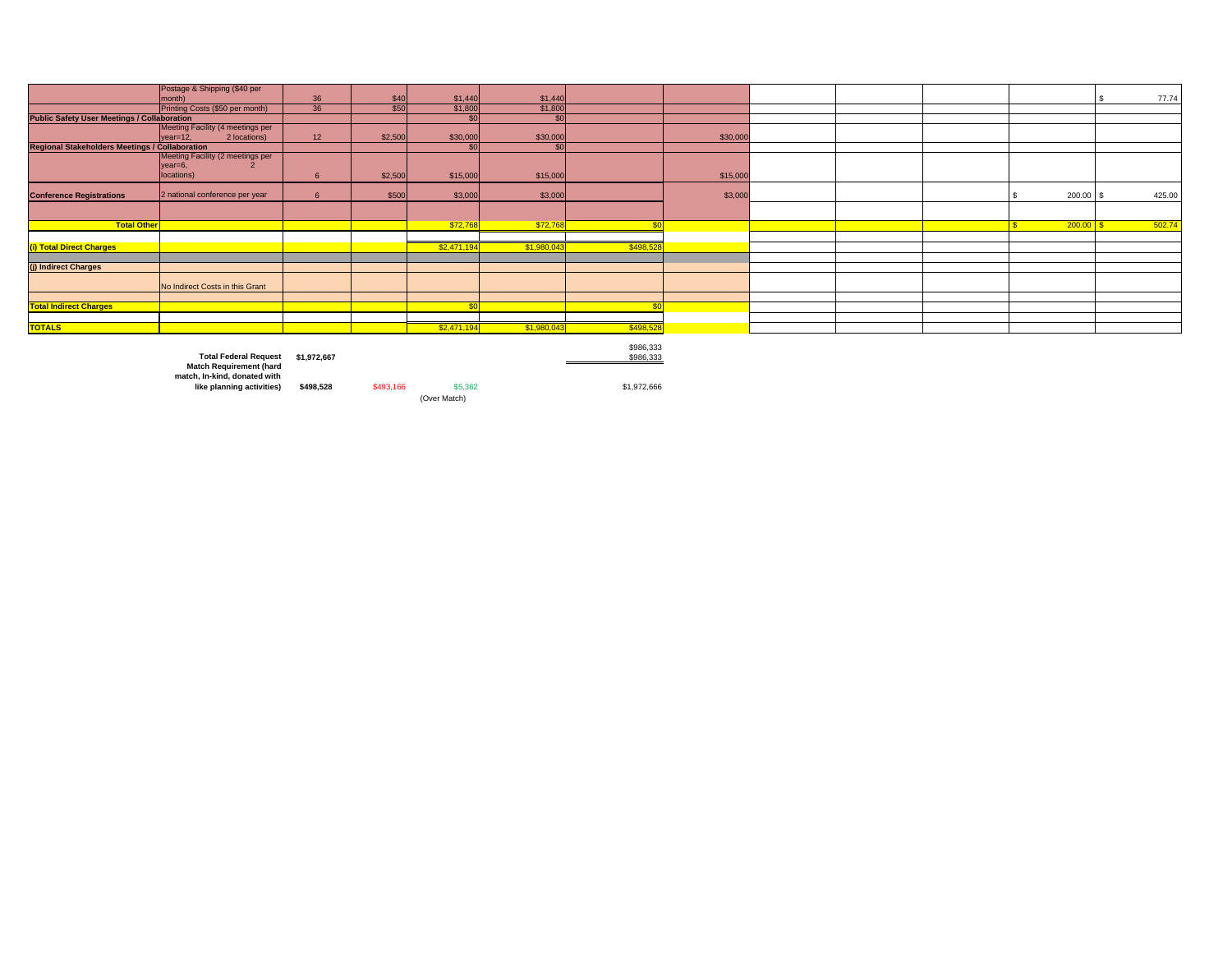|                                                       | Postage & Shipping (\$40 per     |             |         |              |                 |           |          |  |        |        |
|-------------------------------------------------------|----------------------------------|-------------|---------|--------------|-----------------|-----------|----------|--|--------|--------|
|                                                       | month)                           | 36          | \$40    | \$1,440      | \$1,440         |           |          |  |        | 77.74  |
|                                                       | Printing Costs (\$50 per month)  | 36          | \$50    | \$1,800      | \$1,800         |           |          |  |        |        |
| <b>Public Safety User Meetings / Collaboration</b>    |                                  |             |         |              | \$0             |           |          |  |        |        |
|                                                       | Meeting Facility (4 meetings per |             |         |              |                 |           |          |  |        |        |
|                                                       | 2 locations)<br>$year=12$        | 12          | \$2,500 | \$30,000     | \$30,000        |           | \$30,000 |  |        |        |
| <b>Regional Stakeholders Meetings / Collaboration</b> |                                  |             |         | \$0          | SO <sub>1</sub> |           |          |  |        |        |
|                                                       | Meeting Facility (2 meetings per |             |         |              |                 |           |          |  |        |        |
|                                                       | $year=6$ ,                       |             |         |              |                 |           |          |  |        |        |
|                                                       | locations)                       | 6           | \$2,500 | \$15,000     | \$15,000        |           | \$15,000 |  |        |        |
|                                                       |                                  |             |         |              |                 |           |          |  |        |        |
| <b>Conference Registrations</b>                       | 2 national conference per year   | 6           | \$500   | \$3,000      | \$3,000         |           | \$3,000  |  | 200.00 | 425.00 |
|                                                       |                                  |             |         |              |                 |           |          |  |        |        |
| <b>Total Other</b>                                    |                                  |             |         | \$72,768     | \$72,768        |           |          |  | 200.00 | 502.74 |
|                                                       |                                  |             |         |              |                 |           |          |  |        |        |
|                                                       |                                  |             |         |              |                 |           |          |  |        |        |
| (i) Total Direct Charges                              |                                  |             |         | \$2,471,194  | \$1,980,04      | \$498,52  |          |  |        |        |
|                                                       |                                  |             |         |              |                 |           |          |  |        |        |
| (j) Indirect Charges                                  |                                  |             |         |              |                 |           |          |  |        |        |
|                                                       | No Indirect Costs in this Grant  |             |         |              |                 |           |          |  |        |        |
|                                                       |                                  |             |         |              |                 |           |          |  |        |        |
| <b>Total Indirect Charges</b>                         |                                  |             |         | $\mathbb{C}$ |                 |           |          |  |        |        |
|                                                       |                                  |             |         |              |                 |           |          |  |        |        |
| <b>TOTALS</b>                                         |                                  |             |         |              |                 |           |          |  |        |        |
|                                                       |                                  |             |         | \$2,471,194  | \$1,980,043     | \$498,528 |          |  |        |        |
|                                                       |                                  |             |         |              |                 |           |          |  |        |        |
|                                                       |                                  |             |         |              |                 | \$986,333 |          |  |        |        |
|                                                       | <b>Total Federal Request</b>     | \$1,972,667 |         |              |                 | \$986,333 |          |  |        |        |

**Total Federal Request \$1,972,667** \$986,333 **Match Requirement (hard match, In-kind, donated with** 

**like planning activities) \$498,528** \$493,166 \$5,362 \$1,972,666 (Over Match)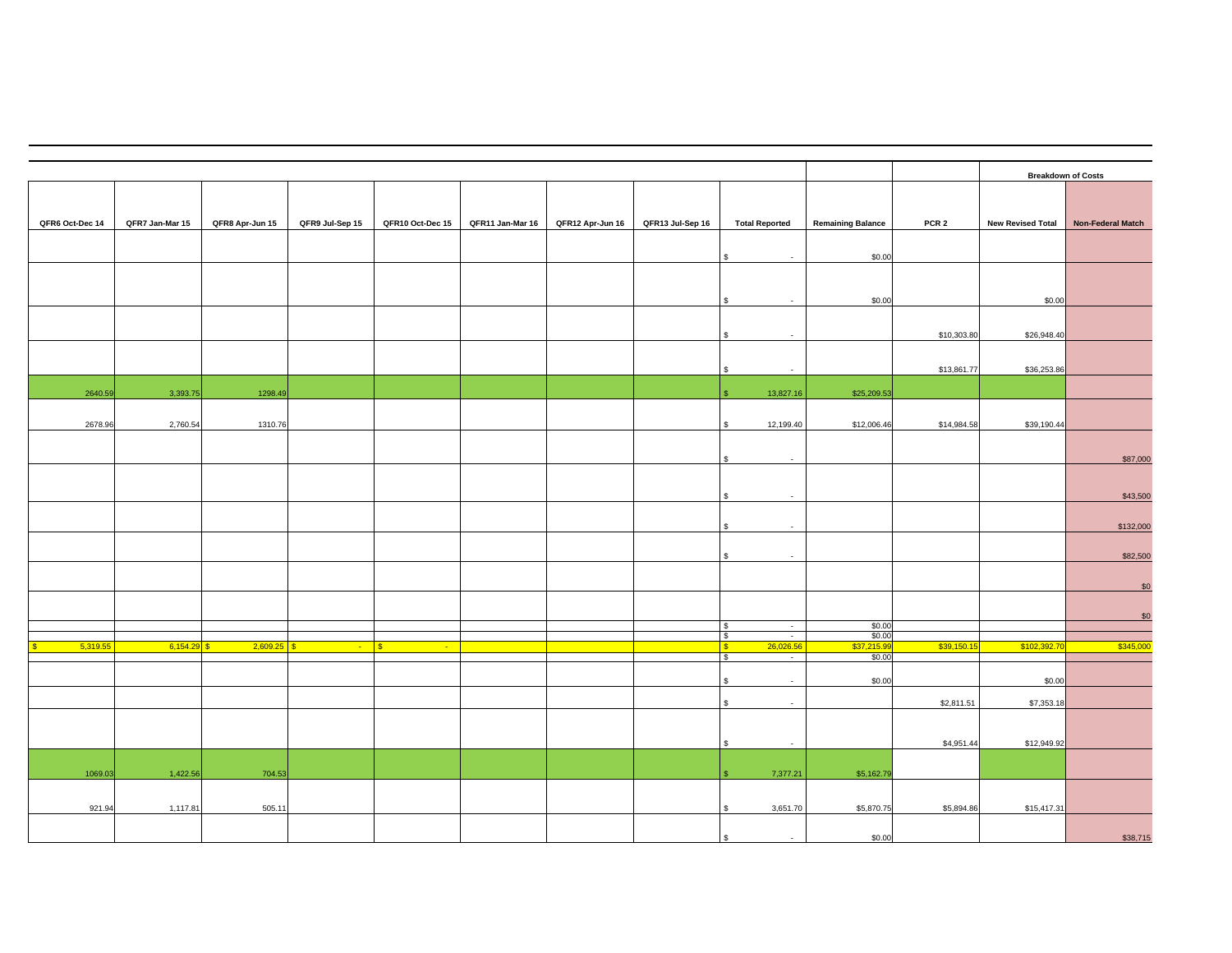|                 |                 |                          |                 |                        |                  |                  |                  |                                                                  |                          |                  |                          | <b>Breakdown of Costs</b> |
|-----------------|-----------------|--------------------------|-----------------|------------------------|------------------|------------------|------------------|------------------------------------------------------------------|--------------------------|------------------|--------------------------|---------------------------|
| QFR6 Oct-Dec 14 | QFR7 Jan-Mar 15 | QFR8 Apr-Jun 15          | QFR9 Jul-Sep 15 | QFR10 Oct-Dec 15       | QFR11 Jan-Mar 16 | QFR12 Apr-Jun 16 | QFR13 Jul-Sep 16 | <b>Total Reported</b>                                            | <b>Remaining Balance</b> | PCR <sub>2</sub> | <b>New Revised Total</b> | Non-Federal Match         |
|                 |                 |                          |                 |                        |                  |                  |                  |                                                                  |                          |                  |                          |                           |
|                 |                 |                          |                 |                        |                  |                  |                  | $\sim$                                                           | \$0.00                   |                  |                          |                           |
|                 |                 |                          |                 |                        |                  |                  |                  |                                                                  |                          |                  |                          |                           |
|                 |                 |                          |                 |                        |                  |                  |                  | $\sim$                                                           | \$0.00                   |                  | \$0.00                   |                           |
|                 |                 |                          |                 |                        |                  |                  |                  |                                                                  |                          | \$10,303.80      | \$26,948.40              |                           |
|                 |                 |                          |                 |                        |                  |                  |                  | $\sim$                                                           |                          | \$13,861.77      | \$36,253.86              |                           |
| 2640.59         | 3,393.75        | 1298.49                  |                 |                        |                  |                  |                  | 13,827.16                                                        | \$25,209.53              |                  |                          |                           |
|                 |                 |                          |                 |                        |                  |                  |                  |                                                                  |                          |                  |                          |                           |
| 2678.96         | 2,760.54        | 1310.76                  |                 |                        |                  |                  |                  | 12,199.40                                                        | \$12,006.46              | \$14,984.58      | \$39,190.44              |                           |
|                 |                 |                          |                 |                        |                  |                  |                  | $\sim$                                                           |                          |                  |                          | \$87,000                  |
|                 |                 |                          |                 |                        |                  |                  |                  |                                                                  |                          |                  |                          |                           |
|                 |                 |                          |                 |                        |                  |                  |                  | $\overline{\phantom{a}}$                                         |                          |                  |                          | \$43,500                  |
|                 |                 |                          |                 |                        |                  |                  |                  | $\sim$                                                           |                          |                  |                          | \$132,000                 |
|                 |                 |                          |                 |                        |                  |                  |                  | $\sim$                                                           |                          |                  |                          | \$82,500                  |
|                 |                 |                          |                 |                        |                  |                  |                  |                                                                  |                          |                  |                          | \$0                       |
|                 |                 |                          |                 |                        |                  |                  |                  |                                                                  |                          |                  |                          |                           |
|                 |                 |                          |                 |                        |                  |                  |                  | G)<br>$\overline{a}$<br>$\overline{\phantom{a}}$                 | \$0.00<br>\$0.00         |                  |                          | \$0                       |
| 5,319.55        | 6,154.29        | 2,609.25<br>$\mathbf{s}$ | $\sim$          | $\mathbf{s}$<br>$\sim$ |                  |                  |                  | $\frac{1}{2}$<br>26,026.56<br>$\sqrt{s}$<br>$\sqrt{3}$<br>$\sim$ | \$37,215.9<br>\$0.00     | \$39,150.15      | \$102,392.70             | \$345,000                 |
|                 |                 |                          |                 |                        |                  |                  |                  | $\sim$                                                           | \$0.00                   |                  | \$0.00                   |                           |
|                 |                 |                          |                 |                        |                  |                  |                  | \$<br>$\sim$                                                     |                          | \$2,811.51       | \$7,353.18               |                           |
|                 |                 |                          |                 |                        |                  |                  |                  |                                                                  |                          |                  |                          |                           |
|                 |                 |                          |                 |                        |                  |                  |                  | $\sim$                                                           |                          | \$4,951.44       | \$12,949.92              |                           |
| 1069.03         | 1,422.56        | 704.53                   |                 |                        |                  |                  |                  | 7,377.21                                                         | \$5,162.79               |                  |                          |                           |
|                 |                 |                          |                 |                        |                  |                  |                  |                                                                  |                          |                  |                          |                           |
| 921.94          | 1,117.81        | 505.11                   |                 |                        |                  |                  |                  | 3,651.70                                                         | \$5,870.75               | \$5,894.86       | \$15,417.31              |                           |
|                 |                 |                          |                 |                        |                  |                  |                  |                                                                  | \$0.00                   |                  |                          | \$38,715                  |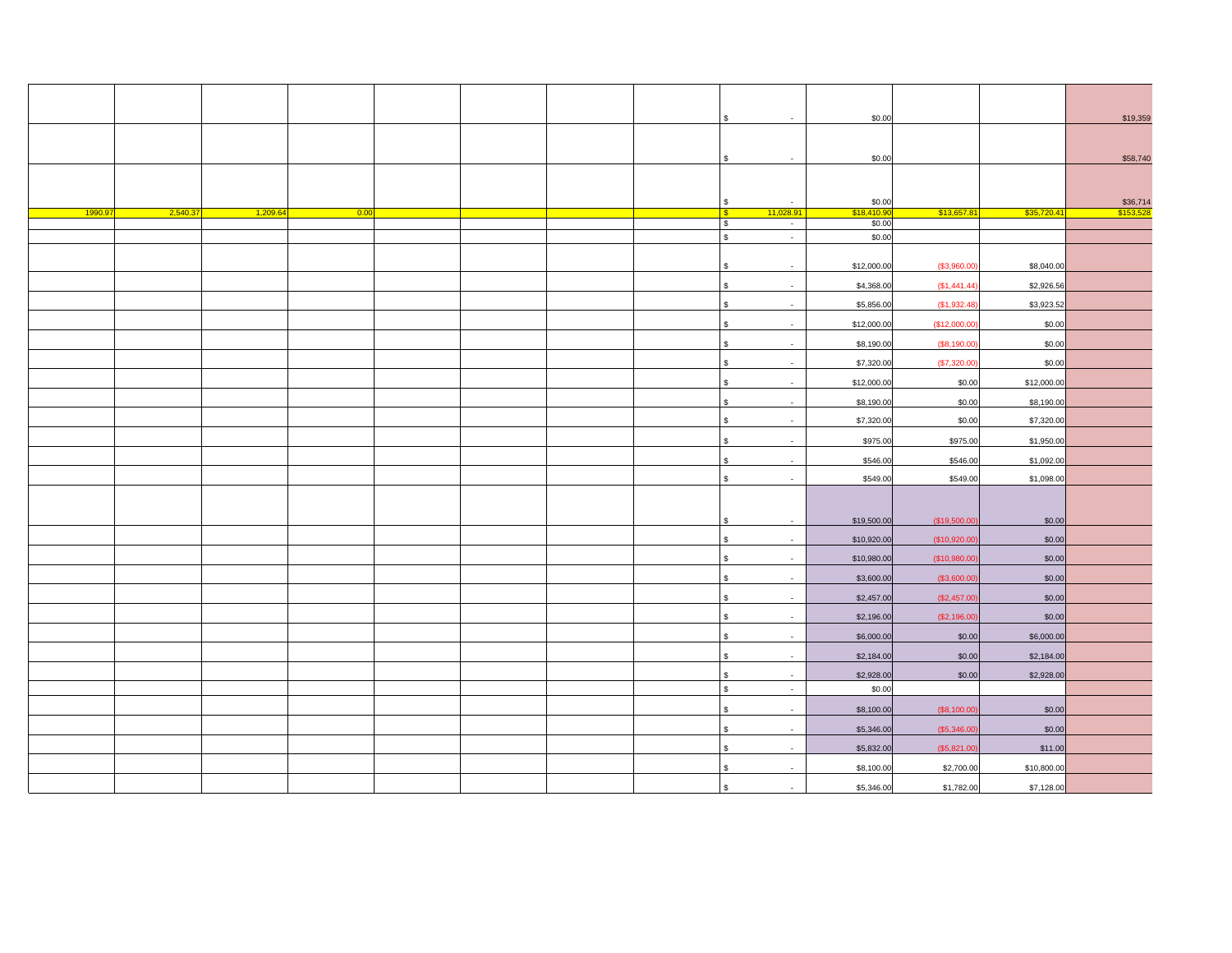|        |         |         |      |  |  | \$                                         | \$0.00      |              |             | \$19,359              |
|--------|---------|---------|------|--|--|--------------------------------------------|-------------|--------------|-------------|-----------------------|
|        |         |         |      |  |  |                                            |             |              |             |                       |
|        |         |         |      |  |  | \$                                         | \$0.00      |              |             | \$58,740              |
|        |         |         |      |  |  |                                            |             |              |             |                       |
|        |         |         |      |  |  | $\sqrt{3}$<br>$\sim$                       | \$0.00      |              |             |                       |
| 1990.9 | 2,540.3 | 1,209.6 | 0.00 |  |  | $\sqrt{3}$<br>11,028.91                    | \$18,410.9  | \$13,657.81  | \$35,720.4  | \$36,714<br>\$153,528 |
|        |         |         |      |  |  | $$\mathbb{S}$$<br>$\sim$                   | \$0.00      |              |             |                       |
|        |         |         |      |  |  | $\mathsf{s}$<br>$\sim$                     | \$0.00      |              |             |                       |
|        |         |         |      |  |  |                                            |             |              |             |                       |
|        |         |         |      |  |  | $\mathbf{s}$                               | \$12,000.00 | (\$3,960.00  | \$8,040.00  |                       |
|        |         |         |      |  |  | $\,$<br>$\sim$                             | \$4,368.00  | (\$1,441.44] | \$2,926.56  |                       |
|        |         |         |      |  |  | $\,$<br>$\sim$                             | \$5,856.00  | (\$1,932.48) | \$3,923.52  |                       |
|        |         |         |      |  |  | $$\mathbb{S}$$<br>$\overline{\phantom{a}}$ | \$12,000.00 | (\$12,000.00 | \$0.00      |                       |
|        |         |         |      |  |  | $$\mathbb{S}$$                             | \$8,190.00  | (\$8,190.00  | \$0.00      |                       |
|        |         |         |      |  |  | $\sqrt{3}$<br>$\sim$                       | \$7,320.00  | (\$7,320.00  | \$0.00      |                       |
|        |         |         |      |  |  | $$\mathbb{S}$$<br>$\sim$                   | \$12,000.00 | \$0.00       | \$12,000.00 |                       |
|        |         |         |      |  |  | $$\mathbb{S}$$<br>$\sim$                   | \$8,190.00  | \$0.00       | \$8,190.00  |                       |
|        |         |         |      |  |  | $$\mathbb{S}$$<br>$\sim$                   | \$7,320.00  | \$0.00       | \$7,320.00  |                       |
|        |         |         |      |  |  | $$\mathbb{S}$$<br>$\sim$                   | \$975.00    | \$975.00     | \$1,950.00  |                       |
|        |         |         |      |  |  | $$\mathbb{S}$$<br>$\sim$                   | \$546.00    | \$546.00     | \$1,092.00  |                       |
|        |         |         |      |  |  | $$\mathbb{S}$$                             | \$549.00    | \$549.00     | \$1,098.00  |                       |
|        |         |         |      |  |  |                                            |             |              |             |                       |
|        |         |         |      |  |  | \$<br>$\sim$                               | \$19,500.00 | (\$19,500.00 | \$0.00      |                       |
|        |         |         |      |  |  | $$\mathbb{S}$$<br>$\sim$                   | \$10,920.00 | (\$10,920.00 | \$0.00      |                       |
|        |         |         |      |  |  | $\,$<br>$\sim$                             | \$10,980.00 | (\$10,980.00 | \$0.00      |                       |
|        |         |         |      |  |  | $$\mathbb{S}$$                             | \$3,600.00  | (\$3,600.00  | \$0.00      |                       |
|        |         |         |      |  |  | $\,$                                       | \$2,457.00  | (\$2,457.00  | \$0.00      |                       |
|        |         |         |      |  |  | $$\mathbb{S}$$<br>$\overline{\phantom{a}}$ | \$2,196.00  | (\$2,196.00  | \$0.00      |                       |
|        |         |         |      |  |  | ${\mathbb S}$                              | \$6,000.00  | \$0.00       | \$6,000.00  |                       |
|        |         |         |      |  |  | $\mathbb{S}$<br>$\sim$                     | \$2,184.00  | \$0.00       | \$2,184.00  |                       |
|        |         |         |      |  |  | $\,$<br>$\sim$                             | \$2,928.00  | \$0.00       | \$2,928.00  |                       |
|        |         |         |      |  |  | $\Theta$<br>$\sim$                         | \$0.00      |              |             |                       |
|        |         |         |      |  |  | $\mathfrak s$<br>$\sim$                    | \$8,100.00  | (\$8,100.00  | \$0.00      |                       |
|        |         |         |      |  |  | $$\mathbb{S}$$<br>$\overline{\phantom{a}}$ | \$5,346.00  | (\$5,346.00  | \$0.00      |                       |
|        |         |         |      |  |  | $$\mathbb{S}$$<br>$\sim$                   | \$5,832.00  | (\$5,821.00  | \$11.00     |                       |
|        |         |         |      |  |  | \$                                         | \$8,100.00  | \$2,700.00   | \$10,800.00 |                       |
|        |         |         |      |  |  | $\mathbf{s}$                               | \$5,346.00  | \$1,782.00   | \$7,128.00  |                       |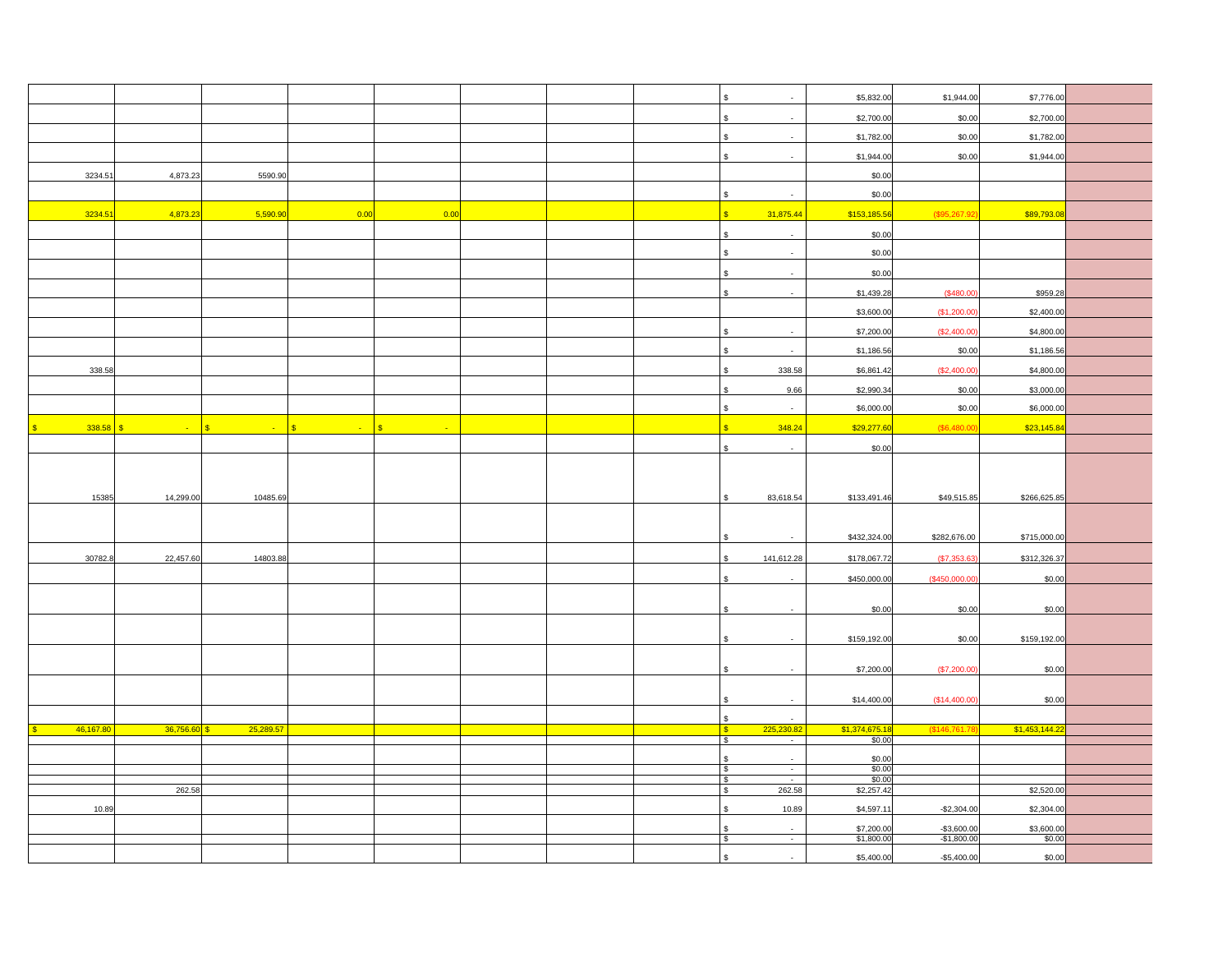|             |                |           |      |      |  | \$<br>$\sim$                                                                        | \$5,832.00               | \$1,944.00                   | \$7,776.00           |  |
|-------------|----------------|-----------|------|------|--|-------------------------------------------------------------------------------------|--------------------------|------------------------------|----------------------|--|
|             |                |           |      |      |  | $\mathfrak{s}$<br>$\sim$                                                            | \$2,700.00               | \$0.00                       | \$2,700.00           |  |
|             |                |           |      |      |  | $\mathbf{\hat{s}}$                                                                  | \$1,782.00               | \$0.00                       | \$1,782.00           |  |
|             |                |           |      |      |  | $\mathbf{s}$                                                                        | \$1,944.00               | \$0.00                       | \$1,944.00           |  |
| 3234.51     | 4,873.23       | 5590.90   |      |      |  |                                                                                     | \$0.00                   |                              |                      |  |
|             |                |           |      |      |  | $\mathfrak{s}$<br>$\sim$                                                            | \$0.00                   |                              |                      |  |
| 3234.51     | 4,873.23       | 5,590.9   | 0.00 | 0.00 |  | S<br>31,875.44                                                                      | \$153,185.56             | (\$95,267.92)                | \$89,793.08          |  |
|             |                |           |      |      |  | $$\mathbb{S}$$<br>$\sim$                                                            | \$0.00                   |                              |                      |  |
|             |                |           |      |      |  | $\mathbb{S}$<br>$\sim$                                                              | \$0.00                   |                              |                      |  |
|             |                |           |      |      |  | $\mathbf{s}$                                                                        | \$0.00                   |                              |                      |  |
|             |                |           |      |      |  | $\mathbf{s}$<br>$\sim$                                                              | \$1,439.28               | (\$480.00                    | \$959.28             |  |
|             |                |           |      |      |  |                                                                                     | \$3,600.00               | (\$1,200.00                  | \$2,400.00           |  |
|             |                |           |      |      |  | $\mathbb S$<br>$\sim$                                                               | \$7,200.00               | (\$2,400.00                  | \$4,800.00           |  |
|             |                |           |      |      |  | $\sqrt{3}$<br>$\sim$                                                                | \$1,186.56               | \$0.00                       | \$1,186.56           |  |
| 338.58      |                |           |      |      |  | $$\mathbb{S}$$<br>338.58                                                            | \$6,861.42               | (\$2,400.00                  | \$4,800.00           |  |
|             |                |           |      |      |  | $$\mathfrak{S}$$<br>9.66                                                            | \$2,990.34               | \$0.00                       | \$3,000.00           |  |
|             |                |           |      |      |  | $\mathbb S$<br>$\sim$                                                               | \$6,000.00               | \$0.00                       | \$6,000.00           |  |
| $338.58$ \$ |                | ÷.        | S    |      |  | $\overline{\mathbf{s}}$<br>348.24                                                   | \$29,277.60              | (\$6,480.00                  | \$23,145.84          |  |
|             |                |           |      |      |  | \$<br>$\sim$                                                                        | \$0.00                   |                              |                      |  |
|             |                |           |      |      |  |                                                                                     |                          |                              |                      |  |
|             |                |           |      |      |  |                                                                                     |                          |                              |                      |  |
| 15385       | 14,299.00      | 10485.69  |      |      |  | 83,618.54<br>\$                                                                     | \$133,491.46             | \$49,515.85                  | \$266,625.85         |  |
|             |                |           |      |      |  |                                                                                     |                          |                              |                      |  |
|             |                |           |      |      |  | \$                                                                                  | \$432,324.00             | \$282,676.00                 | \$715,000.00         |  |
| 30782.8     | 22,457.60      | 14803.88  |      |      |  | \$<br>141,612.28                                                                    | \$178,067.72             | (\$7,353.63                  | \$312,326.37         |  |
|             |                |           |      |      |  | $\mathfrak s$                                                                       | \$450,000.00             | (\$450,000.00                | \$0.00               |  |
|             |                |           |      |      |  |                                                                                     |                          |                              |                      |  |
|             |                |           |      |      |  | $\mathbf{\hat{s}}$                                                                  | \$0.00                   | \$0.00                       | \$0.00               |  |
|             |                |           |      |      |  | \$.                                                                                 | \$159,192.00             | \$0.00                       | \$159,192.00         |  |
|             |                |           |      |      |  |                                                                                     |                          |                              |                      |  |
|             |                |           |      |      |  |                                                                                     | \$7,200.00               | (\$7,200.00                  | \$0.00               |  |
|             |                |           |      |      |  | \$                                                                                  | \$14,400.00              | (\$14,400.00                 | \$0.00               |  |
|             |                |           |      |      |  | $$\mathfrak{s}$$<br>$\sim$                                                          |                          |                              |                      |  |
| 46,167.80   | $36,756.60$ \$ | 25,289.57 |      |      |  | 225,230.82<br>$\sqrt{3}$                                                            | \$1,374,675.18           | $($ \$146,761.78             | \$1,453,144.2        |  |
|             |                |           |      |      |  | $\frac{1}{2}$<br>$\sim$                                                             | \$0.00                   |                              |                      |  |
|             |                |           |      |      |  | $\mathfrak s$<br>$\sim$                                                             | \$0.00                   |                              |                      |  |
|             |                |           |      |      |  | $\frac{1}{2}$<br>$\overline{\phantom{a}}$<br>$\sqrt{3}$<br>$\overline{\phantom{a}}$ | \$0.00<br>\$0.00         |                              |                      |  |
|             | 262.58         |           |      |      |  | $\bullet$<br>262.58                                                                 | \$2,257.42               |                              | \$2,520.00           |  |
| 10.89       |                |           |      |      |  | $\mathbb{S}$<br>10.89                                                               | \$4,597.11               | $-$ \$2,304.00               | \$2,304.00           |  |
|             |                |           |      |      |  |                                                                                     |                          |                              |                      |  |
|             |                |           |      |      |  | l \$<br>$\sim$                                                                      | \$7,200.00<br>\$1,800.00 | $-$3,600.00$<br>$-$1,800.00$ | \$3,600.00<br>\$0.00 |  |
|             |                |           |      |      |  |                                                                                     | \$5,400.00               | $-$5,400.00$                 | \$0.00               |  |
|             |                |           |      |      |  |                                                                                     |                          |                              |                      |  |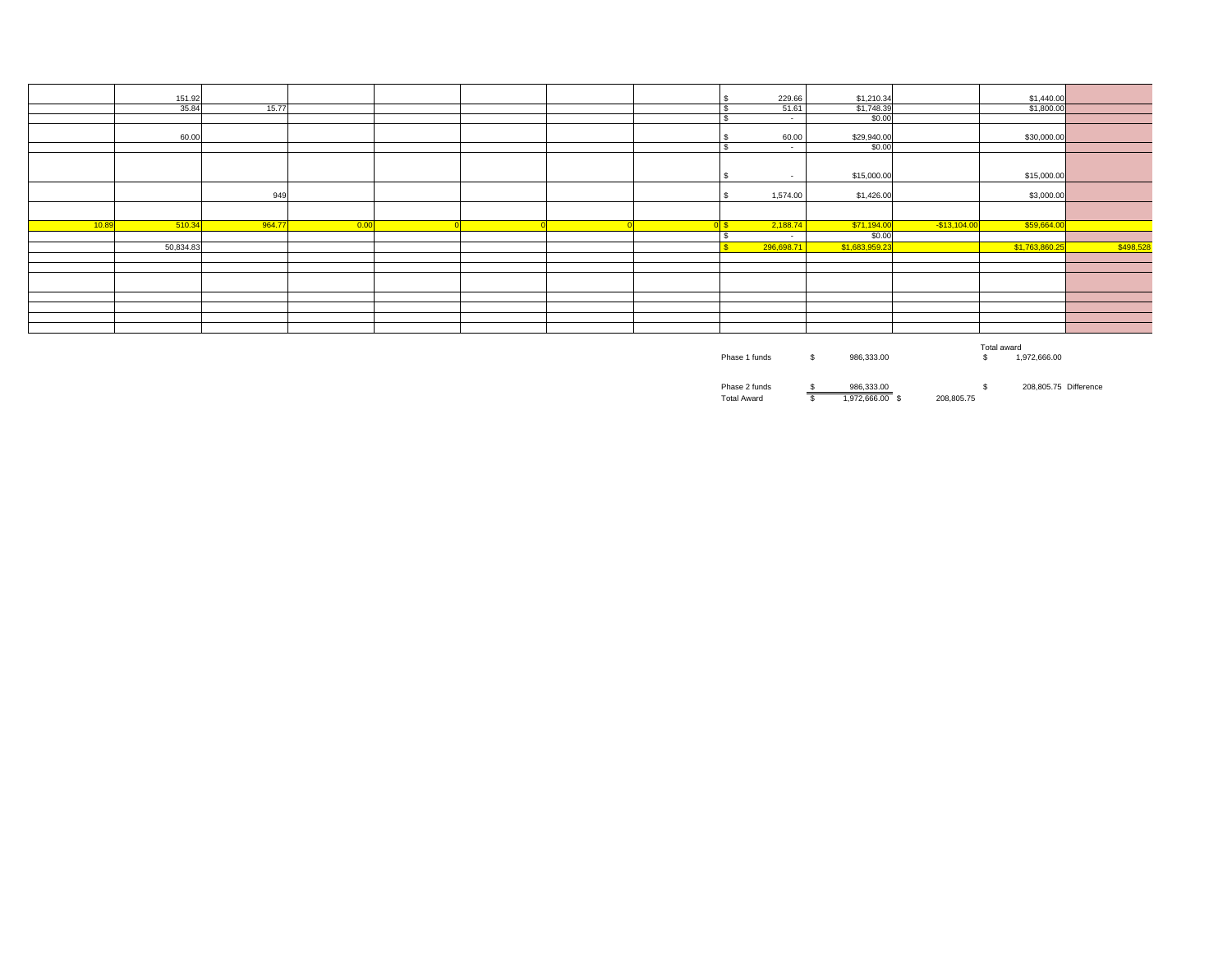|       | 151.92    |        |      |  |  | 229.66         | \$1,210.34     |               | \$1,440.00     |           |
|-------|-----------|--------|------|--|--|----------------|----------------|---------------|----------------|-----------|
|       | 35.84     | 15.77  |      |  |  | 51.61          | \$1,748.39     |               | \$1,800.00     |           |
|       |           |        |      |  |  | $\sim$         | \$0.00         |               |                |           |
|       | 60.00     |        |      |  |  | 60.00          | \$29,940.00    |               | \$30,000.00    |           |
|       |           |        |      |  |  | $\sim$         | \$0.00         |               |                |           |
|       |           |        |      |  |  |                |                |               |                |           |
|       |           |        |      |  |  | $\sim$         | \$15,000.00    |               | \$15,000.00    |           |
|       |           | 949    |      |  |  | 1,574.00       | \$1,426.00     |               | \$3,000.00     |           |
|       |           |        |      |  |  |                |                |               |                |           |
| 10.89 | 510.34    | 964.77 | 0.00 |  |  | 2,188.74<br>0S | \$71,194.00    | $-$13,104.00$ | \$59,664.00    |           |
|       |           |        |      |  |  | $\sim$         | \$0.00         |               |                |           |
|       | 50,834.83 |        |      |  |  | 296,698.71     | \$1,683,959.23 |               | \$1,763,860.25 | \$498,528 |
|       |           |        |      |  |  |                |                |               |                |           |
|       |           |        |      |  |  |                |                |               |                |           |
|       |           |        |      |  |  |                |                |               |                |           |
|       |           |        |      |  |  |                |                |               |                |           |
|       |           |        |      |  |  |                |                |               |                |           |
|       |           |        |      |  |  |                |                |               |                |           |
|       |           |        |      |  |  |                |                |               |                |           |
|       |           |        |      |  |  |                |                |               |                |           |

|               |   |            | Total award  |  |
|---------------|---|------------|--------------|--|
| Phase 1 funds | œ | 986.333.00 | 1.972.666.00 |  |
|               |   |            |              |  |

Phase 2 funds 986,333.00 \$ 208,805.75 \$ Difference Total Award 1,972,666.00 \$ 208,805.75 \$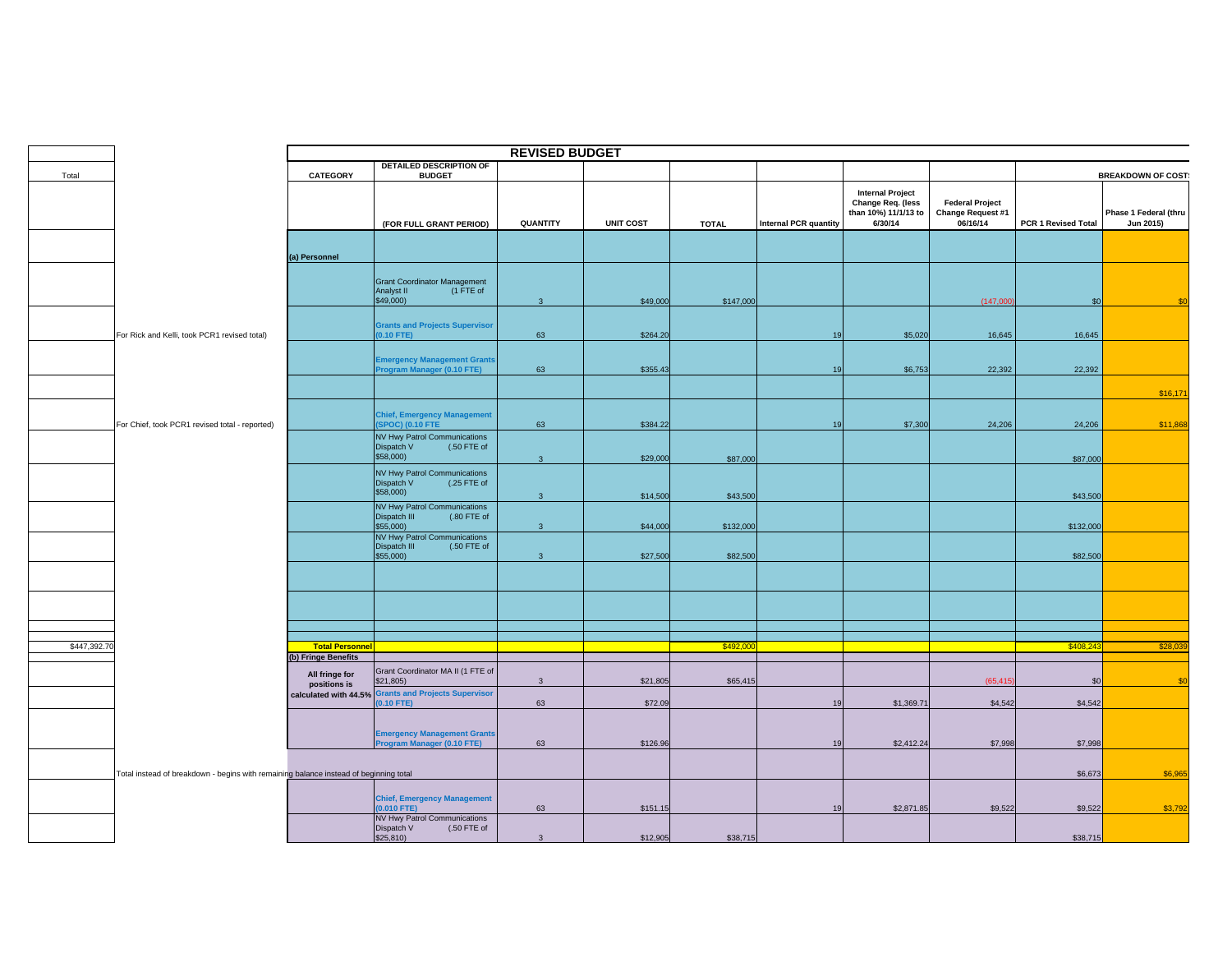|              |                                                                                       |                                               |                                                                                                     | <b>REVISED BUDGET</b> |                  |              |                              |                                                                                 |                                                         |                     |                                    |
|--------------|---------------------------------------------------------------------------------------|-----------------------------------------------|-----------------------------------------------------------------------------------------------------|-----------------------|------------------|--------------|------------------------------|---------------------------------------------------------------------------------|---------------------------------------------------------|---------------------|------------------------------------|
| Total        |                                                                                       | CATEGORY                                      | <b>DETAILED DESCRIPTION OF</b><br><b>BUDGET</b>                                                     |                       |                  |              |                              |                                                                                 |                                                         |                     | <b>BREAKDOWN OF COST:</b>          |
|              |                                                                                       |                                               | (FOR FULL GRANT PERIOD)                                                                             | QUANTITY              | <b>UNIT COST</b> | <b>TOTAL</b> | <b>Internal PCR quantity</b> | <b>Internal Project</b><br>Change Req. (less<br>than 10%) 11/1/13 to<br>6/30/14 | <b>Federal Project</b><br>Change Request #1<br>06/16/14 | PCR 1 Revised Total | Phase 1 Federal (thru<br>Jun 2015) |
|              |                                                                                       | (a) Personnel                                 |                                                                                                     |                       |                  |              |                              |                                                                                 |                                                         |                     |                                    |
|              |                                                                                       |                                               | <b>Grant Coordinator Management</b><br>Analyst II<br>(1 FTE of<br>\$49,000)                         | $\overline{3}$        | \$49,000         | \$147,000    |                              |                                                                                 | (147,000)                                               | \$0                 | \$0                                |
|              | For Rick and Kelli, took PCR1 revised total)                                          |                                               | <b>Grants and Projects Supervisor</b><br>$0.10$ FTE)                                                | 63                    | \$264.20         |              | 19                           | \$5,020                                                                         | 16,645                                                  | 16,645              |                                    |
|              |                                                                                       |                                               | <b>Emergency Management Grants</b><br><b>Program Manager (0.10 FTE)</b>                             | 63                    | \$355.43         |              | 19                           | \$6,753                                                                         | 22,392                                                  | 22,392              |                                    |
|              |                                                                                       |                                               |                                                                                                     |                       |                  |              |                              |                                                                                 |                                                         |                     | \$16,17                            |
|              | For Chief, took PCR1 revised total - reported)                                        |                                               | <b>Chief, Emergency Management</b><br><b>SPOC) (0.10 FTE</b><br><b>NV Hwy Patrol Communications</b> | 63                    | \$384.22         |              | 19                           | \$7,300                                                                         | 24,206                                                  | 24,206              | \$11,868                           |
|              |                                                                                       |                                               | Dispatch V<br>(.50 FTE of<br>\$58,000                                                               | 3 <sup>7</sup>        | \$29,000         | \$87,000     |                              |                                                                                 |                                                         | \$87,000            |                                    |
|              |                                                                                       |                                               | NV Hwy Patrol Communications<br>Dispatch V<br>$(.25$ FTE of<br>\$58,000)                            | 3 <sup>1</sup>        | \$14,500         | \$43,500     |                              |                                                                                 |                                                         | \$43,500            |                                    |
|              |                                                                                       |                                               | <b>NV Hwy Patrol Communications</b><br>Dispatch III<br>(.80 FTE of<br>\$55,000)                     | $\mathbf{3}$          | \$44,000         | \$132,000    |                              |                                                                                 |                                                         | \$132,000           |                                    |
|              |                                                                                       |                                               | <b>NV Hwy Patrol Communications</b><br>Dispatch III<br>$(.50$ FTE of<br>\$55,000)                   | $\overline{3}$        | \$27,500         | \$82,500     |                              |                                                                                 |                                                         | \$82,500            |                                    |
|              |                                                                                       |                                               |                                                                                                     |                       |                  |              |                              |                                                                                 |                                                         |                     |                                    |
|              |                                                                                       |                                               |                                                                                                     |                       |                  |              |                              |                                                                                 |                                                         |                     |                                    |
| \$447,392.70 |                                                                                       | <b>Total Personnel</b><br>(b) Fringe Benefits |                                                                                                     |                       |                  | \$492,0      |                              |                                                                                 |                                                         | \$408,243           | \$28,03                            |
|              |                                                                                       | All fringe for<br>positions is                | Grant Coordinator MA II (1 FTE of<br>\$21,805)                                                      | $\mathbf{3}$          | \$21,805         | \$65,415     |                              |                                                                                 | (65.415)                                                | \$0                 |                                    |
|              |                                                                                       |                                               | calculated with 44.5% Grants and Projects Supervisor<br>$0.10$ FTE)                                 | 63                    | \$72.09          |              | 19                           | \$1,369.71                                                                      | \$4,542                                                 | \$4,542             |                                    |
|              |                                                                                       |                                               | <b>Emergency Management Grants</b><br>Program Manager (0.10 FTE)                                    | 63                    | \$126.96         |              | 19                           | \$2,412.24                                                                      | \$7,998                                                 | \$7,998             |                                    |
|              | Total instead of breakdown - begins with remaining balance instead of beginning total |                                               |                                                                                                     |                       |                  |              |                              |                                                                                 |                                                         | \$6,673             | \$6,965                            |
|              |                                                                                       |                                               | <b>Chief, Emergency Management</b><br>$0.010$ FTE)                                                  | 63                    | \$151.15         |              | 19                           | \$2,871.85                                                                      | \$9,522                                                 | \$9,522             | \$3,792                            |
|              |                                                                                       |                                               | <b>NV Hwy Patrol Communications</b><br>Dispatch V<br>(.50 FTE of<br>\$25,810                        | $\mathbf{3}$          | \$12,905         | \$38,715     |                              |                                                                                 |                                                         | \$38,715            |                                    |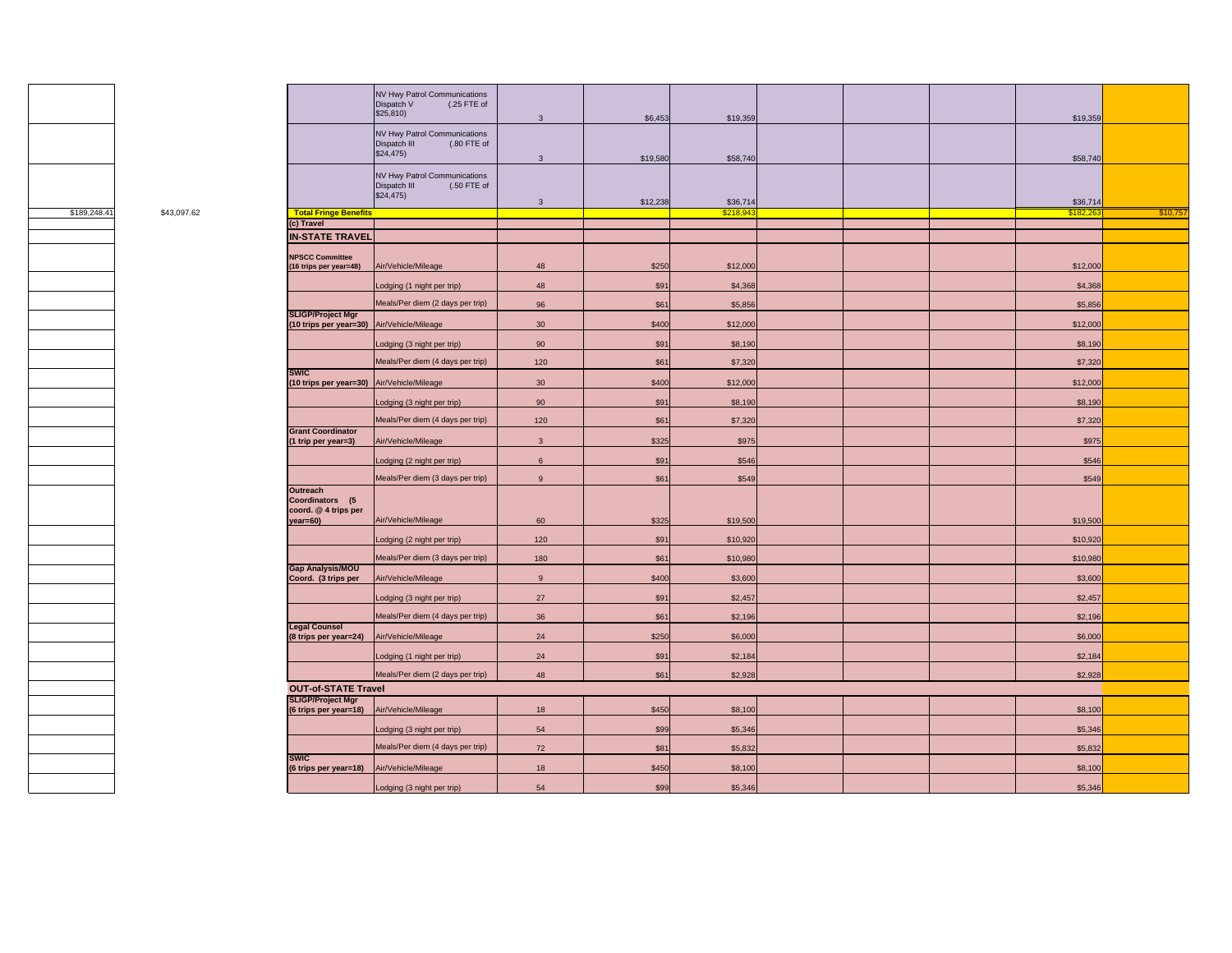

|              |             |                                                                        | NV Hwy Patrol Communications<br>Dispatch V<br>(.25 FTE of<br>\$25,810)  |                 |               |                      |  |                      |          |
|--------------|-------------|------------------------------------------------------------------------|-------------------------------------------------------------------------|-----------------|---------------|----------------------|--|----------------------|----------|
|              |             |                                                                        | NV Hwy Patrol Communications                                            | $\mathbf{3}$    | \$6,453       | \$19,359             |  | \$19,359             |          |
|              |             |                                                                        | Dispatch III<br>(.80 FTE of<br>\$24,475                                 | 3               | \$19,580      | \$58,740             |  | \$58,740             |          |
|              |             |                                                                        | NV Hwy Patrol Communications<br>Dispatch III<br>(.50 FTE of<br>\$24,475 | 3 <sup>1</sup>  | \$12,238      | \$36,714             |  | \$36,714             |          |
| \$189,248.41 | \$43,097.62 | <b>Total Fringe Benefits</b>                                           |                                                                         |                 |               | \$218,94             |  | \$182,20             | \$10,757 |
|              |             | (c) Travel                                                             |                                                                         |                 |               |                      |  |                      |          |
|              |             | <b>IN-STATE TRAVEL</b>                                                 |                                                                         |                 |               |                      |  |                      |          |
|              |             | <b>NPSCC Committee</b><br>(16 trips per year=48)                       | Air/Vehicle/Mileage                                                     | 48              | \$250         | \$12,000             |  | \$12,000             |          |
|              |             |                                                                        | Lodging (1 night per trip)                                              | 48              | \$91          | \$4,368              |  | \$4,368              |          |
|              |             |                                                                        | Meals/Per diem (2 days per trip)                                        | 96              | \$61          | \$5,856              |  | \$5,856              |          |
|              |             | <b>SLIGP/Project Mgr</b><br>(10 trips per year=30) Air/Vehicle/Mileage |                                                                         | 30              | \$400         | \$12,000             |  | \$12,000             |          |
|              |             |                                                                        | Lodging (3 night per trip)                                              | 90              | \$91          | \$8,190              |  | \$8,190              |          |
|              |             | <b>SWIC</b>                                                            | Meals/Per diem (4 days per trip)                                        | 120             | \$61          | \$7,320              |  | \$7,320              |          |
|              |             | (10 trips per year=30) Air/Vehicle/Mileage                             |                                                                         | 30 <sup>°</sup> | \$400         | \$12,000             |  | \$12,000             |          |
|              |             |                                                                        | Lodging (3 night per trip)                                              | 90              | \$91          | \$8,190              |  | \$8,190              |          |
|              |             | <b>Grant Coordinator</b>                                               | Meals/Per diem (4 days per trip)                                        | 120             | \$61          | \$7,320              |  | \$7,320              |          |
|              |             | (1 trip per year=3)                                                    | Air/Vehicle/Mileage                                                     | $\mathbf{3}$    | \$325         | \$975                |  | \$975                |          |
|              |             |                                                                        | Lodging (2 night per trip)                                              | $\,$ 6 $\,$     | \$91          | \$546                |  | \$546                |          |
|              |             |                                                                        | Meals/Per diem (3 days per trip)                                        | 9               | \$61          | \$549                |  | \$549                |          |
|              |             | <b>Outreach</b><br>Coordinators (5<br>coord. @ 4 trips per             |                                                                         |                 |               |                      |  |                      |          |
|              |             | $year=60)$                                                             | Air/Vehicle/Mileage                                                     | 60<br>120       | \$325<br>\$91 | \$19,500<br>\$10,920 |  | \$19,500<br>\$10,920 |          |
|              |             |                                                                        | Lodging (2 night per trip)<br>Meals/Per diem (3 days per trip)          | 180             | \$61          | \$10,980             |  | \$10,980             |          |
|              |             | <b>Gap Analysis/MOU</b><br>Coord. (3 trips per                         | Air/Vehicle/Mileage                                                     | 9               | \$400         | \$3,600              |  | \$3,600              |          |
|              |             |                                                                        | Lodging (3 night per trip)                                              | 27              | \$91          | \$2,457              |  | \$2,457              |          |
|              |             |                                                                        | Meals/Per diem (4 days per trip)                                        | 36              | \$61          | \$2,196              |  | \$2,196              |          |
|              |             | <b>Legal Counsel</b><br>(8 trips per year=24)                          | Air/Vehicle/Mileage                                                     | 24              | \$250         | \$6,000              |  | \$6,000              |          |
|              |             |                                                                        | Lodging (1 night per trip)                                              | 24              | \$91          | \$2,184              |  | \$2,184              |          |
|              |             |                                                                        | Meals/Per diem (2 days per trip)                                        | 48              | \$61          | \$2,928              |  | \$2,928              |          |
|              |             | <b>OUT-of-STATE Travel</b>                                             |                                                                         |                 |               |                      |  |                      |          |
|              |             | <b>SLIGP/Project Mgr</b><br>(6 trips per year=18)                      | Air/Vehicle/Mileage                                                     | 18              | \$450         | \$8,100              |  | \$8,100              |          |
|              |             |                                                                        | Lodging (3 night per trip)                                              | 54              | \$99          | \$5,346              |  | \$5,346              |          |
|              |             | <b>SWIC</b>                                                            | Meals/Per diem (4 days per trip)                                        | 72              | \$81          | \$5,832              |  | \$5,832              |          |
|              |             | (6 trips per year=18)                                                  | Air/Vehicle/Mileage                                                     | 18              | \$450         | \$8,100              |  | \$8,100              |          |
|              |             |                                                                        | Lodging (3 night per trip)                                              | 54              | \$99          | \$5,346              |  | \$5.346              |          |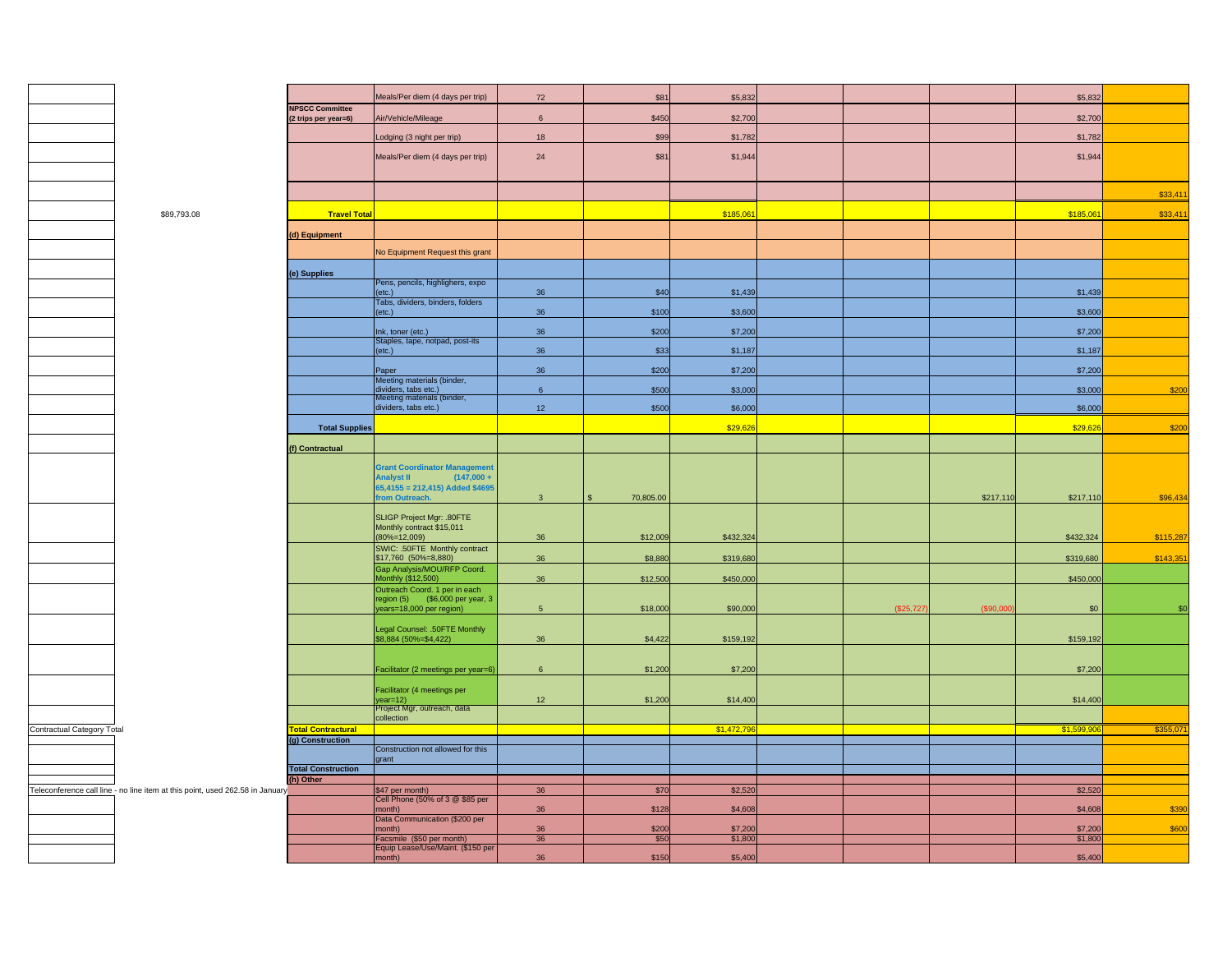|                                                | \$89 |
|------------------------------------------------|------|
|                                                |      |
|                                                |      |
|                                                |      |
|                                                |      |
|                                                |      |
|                                                |      |
|                                                |      |
|                                                |      |
|                                                |      |
|                                                |      |
|                                                |      |
|                                                |      |
|                                                |      |
|                                                |      |
|                                                |      |
|                                                |      |
|                                                |      |
|                                                |      |
|                                                |      |
|                                                |      |
|                                                |      |
|                                                |      |
|                                                |      |
|                                                |      |
|                                                |      |
|                                                |      |
|                                                |      |
|                                                |      |
|                                                |      |
|                                                |      |
|                                                |      |
|                                                |      |
|                                                |      |
|                                                |      |
|                                                |      |
|                                                |      |
|                                                |      |
|                                                |      |
|                                                |      |
|                                                |      |
|                                                |      |
| Contractual Category Total                     |      |
|                                                |      |
|                                                |      |
|                                                |      |
|                                                |      |
| Teleconference call line - no line item at the |      |
|                                                |      |
|                                                |      |
|                                                |      |
|                                                |      |
|                                                |      |
|                                                |      |

|                                                                               |                           | Meals/Per diem (4 days per trip)                               | 72              | \$81      | \$5,832    |           |           | \$5,832   |           |
|-------------------------------------------------------------------------------|---------------------------|----------------------------------------------------------------|-----------------|-----------|------------|-----------|-----------|-----------|-----------|
|                                                                               | <b>NPSCC Committee</b>    |                                                                |                 |           | \$2,700    |           |           | \$2,700   |           |
|                                                                               | (2 trips per year=6)      | Air/Vehicle/Mileage                                            | $6\overline{6}$ | \$450     |            |           |           |           |           |
|                                                                               |                           | Lodging (3 night per trip)                                     | 18              | \$99      | \$1,782    |           |           | \$1,782   |           |
|                                                                               |                           | Meals/Per diem (4 days per trip)                               | 24              | \$81      | \$1,944    |           |           | \$1,944   |           |
|                                                                               |                           |                                                                |                 |           |            |           |           |           |           |
|                                                                               |                           |                                                                |                 |           |            |           |           |           |           |
|                                                                               |                           |                                                                |                 |           |            |           |           |           | \$33,411  |
| \$89,793.08                                                                   | <b>Travel Total</b>       |                                                                |                 |           | \$185,06   |           |           | \$185,061 | \$33,41'  |
|                                                                               | (d) Equipment             |                                                                |                 |           |            |           |           |           |           |
|                                                                               |                           | No Equipment Request this grant                                |                 |           |            |           |           |           |           |
|                                                                               |                           |                                                                |                 |           |            |           |           |           |           |
|                                                                               | (e) Supplies              | Pens, pencils, highlighers, expo                               |                 |           |            |           |           |           |           |
|                                                                               |                           | $(\text{etc.})$                                                | 36              | \$40      | \$1,439    |           |           | \$1,439   |           |
|                                                                               |                           | Tabs, dividers, binders, folders<br>$(\text{etc.})$            | 36              | \$100     | \$3,600    |           |           | \$3,600   |           |
|                                                                               |                           | Ink, toner (etc.)                                              | 36              | \$200     | \$7,200    |           |           | \$7,200   |           |
|                                                                               |                           | Staples, tape, notpad, post-its                                |                 |           |            |           |           |           |           |
|                                                                               |                           | $(\text{etc.})$                                                | 36              | \$33      | \$1,187    |           |           | \$1,187   |           |
|                                                                               |                           | Paper                                                          | 36              | \$200     | \$7,200    |           |           | \$7,200   |           |
|                                                                               |                           | Meeting materials (binder,<br>dividers, tabs etc.)             | $6\overline{6}$ | \$500     | \$3,000    |           |           | \$3,000   | \$200     |
|                                                                               |                           | Meeting materials (binder,<br>dividers, tabs etc.)             | 12              | \$500     | \$6,000    |           |           | \$6,000   |           |
|                                                                               |                           |                                                                |                 |           |            |           |           |           |           |
|                                                                               | <b>Total Supplies</b>     |                                                                |                 |           | \$29,626   |           |           | \$29,626  | \$200     |
|                                                                               | (f) Contractual           |                                                                |                 |           |            |           |           |           |           |
|                                                                               |                           | <b>Grant Coordinator Management</b>                            |                 |           |            |           |           |           |           |
|                                                                               |                           | <b>Analyst II</b><br>$(147,000 +$                              |                 |           |            |           |           |           |           |
|                                                                               |                           | $65,4155 = 212,415$ ) Added \$4695<br>rom Outreach.            | $\mathbf{3}$    | 70,805.00 |            |           | \$217,110 | \$217,110 | \$96,434  |
|                                                                               |                           |                                                                |                 |           |            |           |           |           |           |
|                                                                               |                           | SLIGP Project Mgr: .80FTE<br>Monthly contract \$15,011         |                 |           |            |           |           |           |           |
|                                                                               |                           | $(80\% = 12,009)$                                              | 36              | \$12,009  | \$432,324  |           |           | \$432,324 | \$115,287 |
|                                                                               |                           | SWIC: .50FTE Monthly contract<br>\$17,760 (50%=8,880)          | 36              | \$8,880   | \$319,680  |           |           | \$319,680 | \$143,35  |
|                                                                               |                           | Gap Analysis/MOU/RFP Coord.                                    |                 |           |            |           |           |           |           |
|                                                                               |                           | Monthly (\$12,500)<br>Outreach Coord. 1 per in each            | 36              | \$12,500  | \$450,000  |           |           | \$450,000 |           |
|                                                                               |                           | region $(5)$ $( $6,000$ per year, 3                            |                 |           |            |           |           |           |           |
|                                                                               |                           | years=18,000 per region)                                       | $5\phantom{.0}$ | \$18,000  | \$90,000   | (\$25,727 | (S90,000) | \$0       | \$0       |
|                                                                               |                           | Legal Counsel: .50FTE Monthly<br>\$8,884 (50%=\$4,422)         |                 |           |            |           |           |           |           |
|                                                                               |                           |                                                                | 36              | \$4,422   | \$159,192  |           |           | \$159,192 |           |
|                                                                               |                           |                                                                |                 |           |            |           |           |           |           |
|                                                                               |                           | Facilitator (2 meetings per year=6)                            | 6               | \$1,200   | \$7,200    |           |           | \$7,200   |           |
|                                                                               |                           | Facilitator (4 meetings per                                    | 12              |           |            |           |           | \$14,400  |           |
|                                                                               |                           | year=12)<br>Project Mgr, outreach, data                        |                 | \$1,200   | \$14,400   |           |           |           |           |
| Contractual Category Total                                                    | <b>Total Contractural</b> | collection                                                     |                 |           | \$1,472,79 |           |           | \$1,599   | \$355,07  |
|                                                                               | (g) Construction          |                                                                |                 |           |            |           |           |           |           |
|                                                                               |                           | Construction not allowed for this<br>grant                     |                 |           |            |           |           |           |           |
|                                                                               | <b>Total Construction</b> |                                                                |                 |           |            |           |           |           |           |
| Teleconference call line - no line item at this point, used 262.58 in January | (h) Other                 | \$47 per month)                                                | 36              | \$70      | \$2,520    |           |           | \$2,520   |           |
|                                                                               |                           | Cell Phone (50% of 3 @ \$85 per                                |                 |           |            |           |           |           |           |
|                                                                               |                           | month)<br>Data Communication (\$200 per                        | 36              | \$128     | \$4,608    |           |           | \$4,608   | \$390     |
|                                                                               |                           | month)                                                         | 36              | \$200     | \$7,200    |           |           | \$7,200   | \$600     |
|                                                                               |                           | Facsmile (\$50 per month)<br>Equip Lease/Use/Maint. (\$150 per | 36              | \$50      | \$1,800    |           |           | \$1,800   |           |
|                                                                               |                           | month)                                                         | 36              | \$150     | \$5,400    |           |           | \$5,400   |           |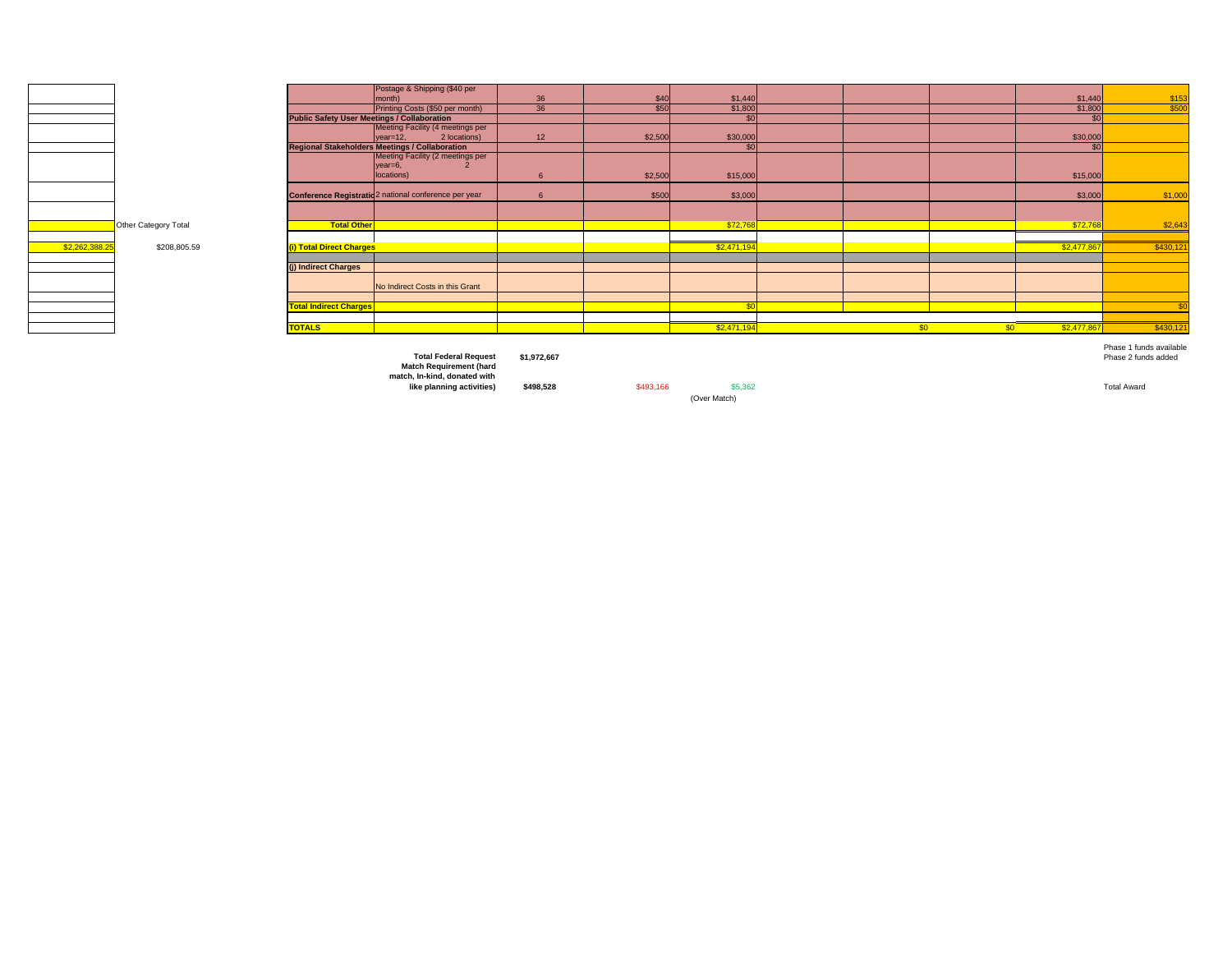

|                |                      |                                                    | Postage & Shipping (\$40 per                          |    |         |             |     |     |                |                         |
|----------------|----------------------|----------------------------------------------------|-------------------------------------------------------|----|---------|-------------|-----|-----|----------------|-------------------------|
|                |                      |                                                    | month)                                                | 36 | \$40    | \$1,440     |     |     | \$1,440        | $\frac{$153}{$500}$     |
|                |                      |                                                    | Printing Costs (\$50 per month)                       | 36 | \$50    | \$1,800     |     |     | \$1,800        |                         |
|                |                      | <b>Public Safety User Meetings / Collaboration</b> |                                                       |    |         |             |     |     | C <sub>n</sub> |                         |
|                |                      |                                                    | Meeting Facility (4 meetings per                      |    |         |             |     |     |                |                         |
|                |                      |                                                    | 2 locations)<br>$year=12$ .                           | 12 | \$2,500 | \$30,000    |     |     | \$30,000       |                         |
|                |                      |                                                    | <b>Regional Stakeholders Meetings / Collaboration</b> |    |         | $\sigma$    |     |     | $\mathbf{c}$   |                         |
|                |                      |                                                    | Meeting Facility (2 meetings per                      |    |         |             |     |     |                |                         |
|                |                      |                                                    | year=6,                                               |    |         |             |     |     |                |                         |
|                |                      |                                                    | locations)                                            |    | \$2,500 | \$15,000    |     |     | \$15,000       |                         |
|                |                      |                                                    |                                                       |    |         |             |     |     |                |                         |
|                |                      |                                                    | Conference Registratio 2 national conference per year |    | \$500   | \$3,000     |     |     | \$3,000        | \$1,000                 |
|                |                      |                                                    |                                                       |    |         |             |     |     |                |                         |
|                |                      |                                                    |                                                       |    |         |             |     |     |                |                         |
|                | Other Category Total | <b>Total Other</b>                                 |                                                       |    |         | \$72,76     |     |     | \$72,768       | \$2,643                 |
|                |                      |                                                    |                                                       |    |         |             |     |     |                |                         |
| \$2,262,388.25 | \$208,805.59         | (i) Total Direct Charges                           |                                                       |    |         | \$2,471,19  |     |     | \$2,477,86     | \$430,121               |
|                |                      |                                                    |                                                       |    |         |             |     |     |                |                         |
|                |                      | (i) Indirect Charges                               |                                                       |    |         |             |     |     |                |                         |
|                |                      |                                                    |                                                       |    |         |             |     |     |                |                         |
|                |                      |                                                    | No Indirect Costs in this Grant                       |    |         |             |     |     |                |                         |
|                |                      |                                                    |                                                       |    |         |             |     |     |                |                         |
|                |                      | <b>Total Indirect Charges</b>                      |                                                       |    |         |             |     |     |                |                         |
|                |                      |                                                    |                                                       |    |         |             |     |     |                |                         |
|                |                      | <b>TOTALS</b>                                      |                                                       |    |         | \$2,471,194 | \$0 | \$0 | \$2,477,867    | \$430,121               |
|                |                      |                                                    |                                                       |    |         |             |     |     |                |                         |
|                |                      |                                                    |                                                       |    |         |             |     |     |                |                         |
|                |                      |                                                    |                                                       |    |         |             |     |     |                | Phase 1 funds available |

**Total Federal Request \$1,972,667** Phase 2 funds added **Match Requirement (hard match, In-kind, donated with** 

**like planning activities) \$498,528** \$493,166 \$5,362 Total Award (Over Match)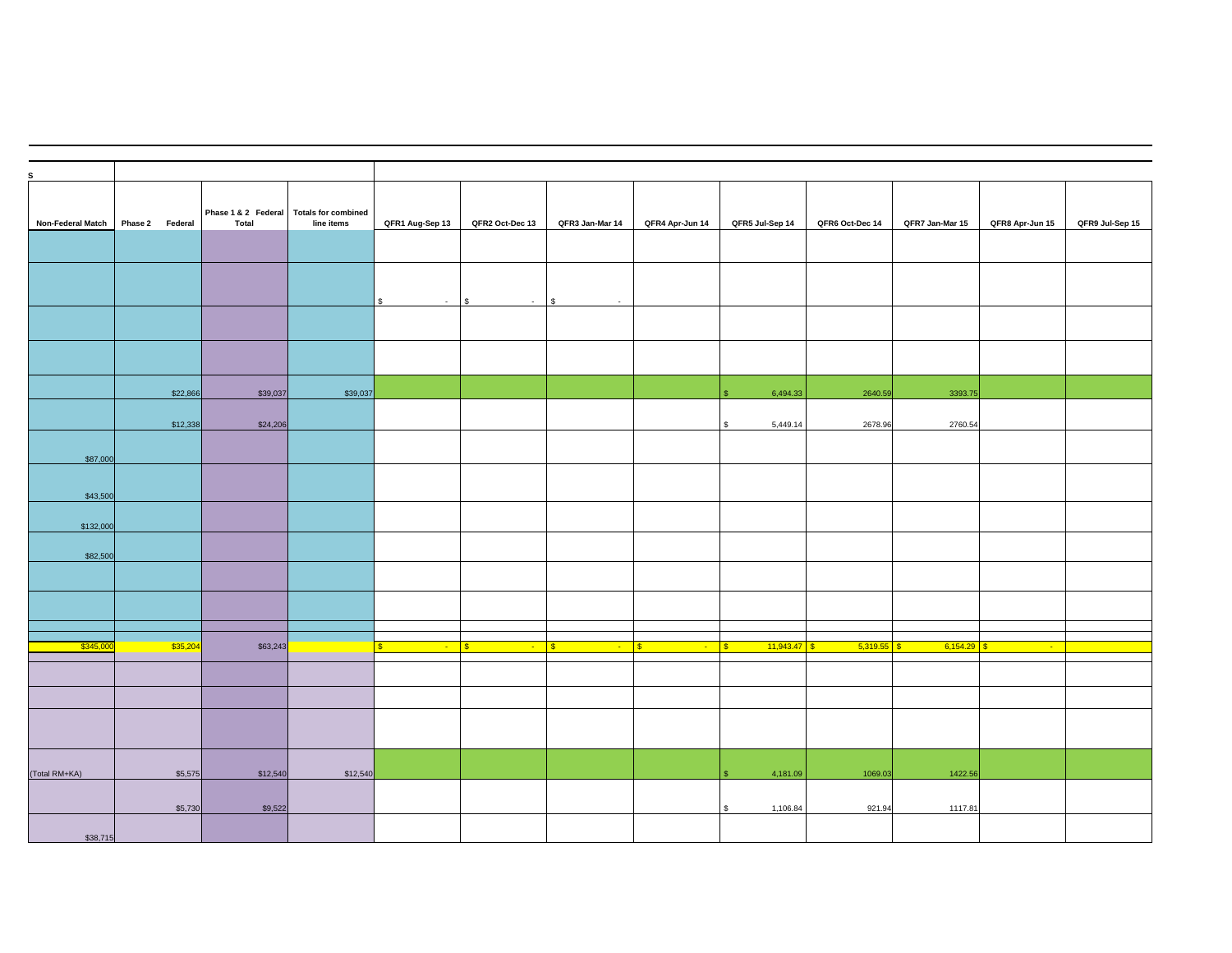| Non-Federal Match | Phase 2 Federal |          | <b>Total</b> | Phase 1 & 2 Federal Totals for combined<br>line items | QFR1 Aug-Sep 13          | QFR2 Oct-Dec 13        | QFR3 Jan-Mar 14 | QFR4 Apr-Jun 14      | QFR5 Jul-Sep 14              | QFR6 Oct-Dec 14 | QFR7 Jan-Mar 15 | QFR8 Apr-Jun 15 | QFR9 Jul-Sep 15 |
|-------------------|-----------------|----------|--------------|-------------------------------------------------------|--------------------------|------------------------|-----------------|----------------------|------------------------------|-----------------|-----------------|-----------------|-----------------|
|                   |                 |          |              |                                                       |                          |                        |                 |                      |                              |                 |                 |                 |                 |
|                   |                 |          |              |                                                       | $\mathfrak{S}$<br>$\sim$ | $\mathbf{s}$<br>$\sim$ | l \$<br>$\sim$  |                      |                              |                 |                 |                 |                 |
|                   |                 |          |              |                                                       |                          |                        |                 |                      |                              |                 |                 |                 |                 |
|                   |                 |          |              |                                                       |                          |                        |                 |                      |                              |                 |                 |                 |                 |
|                   |                 | \$22,866 | \$39,037     | \$39,037                                              |                          |                        |                 |                      | 6,494.33                     | 2640.59         | 3393.75         |                 |                 |
|                   |                 | \$12,338 | \$24,206     |                                                       |                          |                        |                 |                      | 5,449.14                     | 2678.96         | 2760.54         |                 |                 |
| \$87,000          |                 |          |              |                                                       |                          |                        |                 |                      |                              |                 |                 |                 |                 |
| \$43,500          |                 |          |              |                                                       |                          |                        |                 |                      |                              |                 |                 |                 |                 |
| \$132,000         |                 |          |              |                                                       |                          |                        |                 |                      |                              |                 |                 |                 |                 |
| \$82,500          |                 |          |              |                                                       |                          |                        |                 |                      |                              |                 |                 |                 |                 |
|                   |                 |          |              |                                                       |                          |                        |                 |                      |                              |                 |                 |                 |                 |
|                   |                 |          |              |                                                       |                          |                        |                 |                      |                              |                 |                 |                 |                 |
|                   |                 |          |              |                                                       |                          |                        |                 |                      |                              |                 |                 |                 |                 |
| \$345,00          |                 | \$35,204 | \$63,243     |                                                       | $\sim$                   | $\sqrt{s}$<br>$\sim$   | $\sim$          | $\sqrt{3}$<br>$\sim$ | $11,943.47$ \$<br>$\sqrt{3}$ | 5,319.55        | 6,154.29<br>S.  | $\sim$          |                 |
|                   |                 |          |              |                                                       |                          |                        |                 |                      |                              |                 |                 |                 |                 |
|                   |                 |          |              |                                                       |                          |                        |                 |                      |                              |                 |                 |                 |                 |
|                   |                 |          |              |                                                       |                          |                        |                 |                      |                              |                 |                 |                 |                 |
| (Total RM+KA)     |                 | \$5,575  | \$12,540     | \$12,540                                              |                          |                        |                 |                      | 4,181.09                     | 1069.03         | 1422.56         |                 |                 |
|                   |                 | \$5,730  | \$9,522      |                                                       |                          |                        |                 |                      | 1,106.84                     | 921.94          | 1117.81         |                 |                 |
| \$38,715          |                 |          |              |                                                       |                          |                        |                 |                      |                              |                 |                 |                 |                 |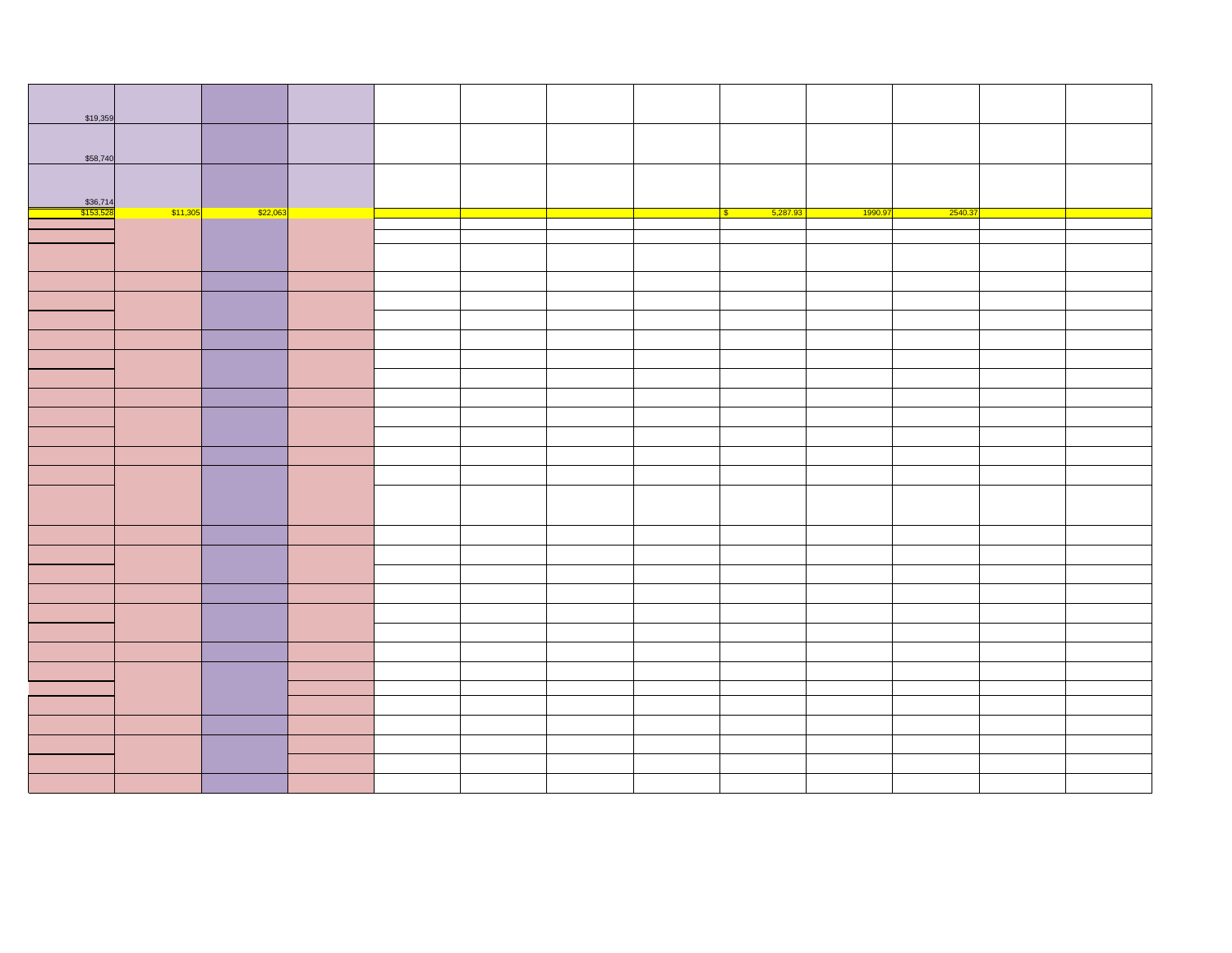| \$19,359                     |          |          |  |  |                        |         |         |  |
|------------------------------|----------|----------|--|--|------------------------|---------|---------|--|
|                              |          |          |  |  |                        |         |         |  |
|                              |          |          |  |  |                        |         |         |  |
| \$58,740                     |          |          |  |  |                        |         |         |  |
|                              |          |          |  |  |                        |         |         |  |
|                              |          |          |  |  |                        |         |         |  |
| \$36,714<br><u>\$153,528</u> | \$11,305 | \$22,063 |  |  | 5,287.93<br>$\sqrt{3}$ | 1990.97 | 2540.37 |  |
|                              |          |          |  |  |                        |         |         |  |
|                              |          |          |  |  |                        |         |         |  |
|                              |          |          |  |  |                        |         |         |  |
|                              |          |          |  |  |                        |         |         |  |
|                              |          |          |  |  |                        |         |         |  |
|                              |          |          |  |  |                        |         |         |  |
|                              |          |          |  |  |                        |         |         |  |
|                              |          |          |  |  |                        |         |         |  |
|                              |          |          |  |  |                        |         |         |  |
|                              |          |          |  |  |                        |         |         |  |
|                              |          |          |  |  |                        |         |         |  |
|                              |          |          |  |  |                        |         |         |  |
|                              |          |          |  |  |                        |         |         |  |
|                              |          |          |  |  |                        |         |         |  |
|                              |          |          |  |  |                        |         |         |  |
|                              |          |          |  |  |                        |         |         |  |
|                              |          |          |  |  |                        |         |         |  |
|                              |          |          |  |  |                        |         |         |  |
|                              |          |          |  |  |                        |         |         |  |
|                              |          |          |  |  |                        |         |         |  |
|                              |          |          |  |  |                        |         |         |  |
|                              |          |          |  |  |                        |         |         |  |
|                              |          |          |  |  |                        |         |         |  |
|                              |          |          |  |  |                        |         |         |  |
|                              |          |          |  |  |                        |         |         |  |
|                              |          |          |  |  |                        |         |         |  |
|                              |          |          |  |  |                        |         |         |  |
|                              |          |          |  |  |                        |         |         |  |
|                              |          |          |  |  |                        |         |         |  |
|                              |          |          |  |  |                        |         |         |  |
|                              |          |          |  |  |                        |         |         |  |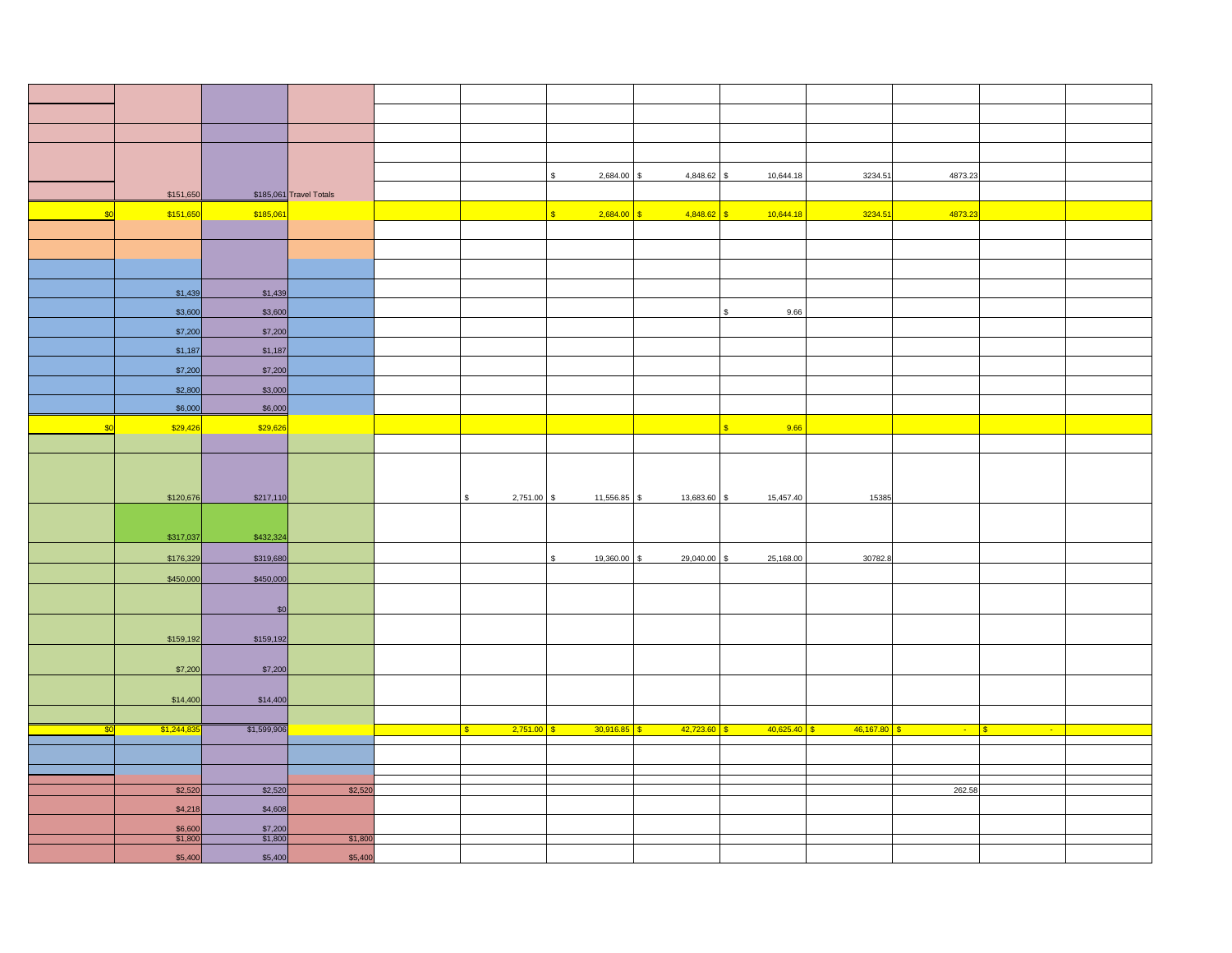|     |                    |                    |                         |                    | 2,684.00       | 4,848.62                     | 10,644.18<br>\$                 | 3234.51               | 4873.23 |                                 |  |
|-----|--------------------|--------------------|-------------------------|--------------------|----------------|------------------------------|---------------------------------|-----------------------|---------|---------------------------------|--|
|     | \$151,650          |                    | \$185,061 Travel Totals |                    |                |                              |                                 |                       |         |                                 |  |
| \$0 | \$151,650          | \$185,061          |                         |                    | 2,684.00<br>s. | $4,848.62$ \$<br>S           | 10,644.18                       | 3234.51               | 4873.23 |                                 |  |
|     |                    |                    |                         |                    |                |                              |                                 |                       |         |                                 |  |
|     |                    |                    |                         |                    |                |                              |                                 |                       |         |                                 |  |
|     |                    |                    |                         |                    |                |                              |                                 |                       |         |                                 |  |
|     |                    |                    |                         |                    |                |                              |                                 |                       |         |                                 |  |
|     |                    |                    |                         |                    |                |                              |                                 |                       |         |                                 |  |
|     | \$1,439            | \$1,439            |                         |                    |                |                              |                                 |                       |         |                                 |  |
|     | \$3,600            | \$3,600            |                         |                    |                |                              | 9.66<br>\$                      |                       |         |                                 |  |
|     | \$7,200            | \$7,200            |                         |                    |                |                              |                                 |                       |         |                                 |  |
|     |                    |                    |                         |                    |                |                              |                                 |                       |         |                                 |  |
|     | \$1,187            | \$1,187            |                         |                    |                |                              |                                 |                       |         |                                 |  |
|     | \$7,200            | \$7,200            |                         |                    |                |                              |                                 |                       |         |                                 |  |
|     | \$2,800            | \$3,000            |                         |                    |                |                              |                                 |                       |         |                                 |  |
|     | \$6,000            | \$6,000            |                         |                    |                |                              |                                 |                       |         |                                 |  |
|     |                    |                    |                         |                    |                |                              |                                 |                       |         |                                 |  |
|     | \$29,426           | \$29,626           |                         |                    |                |                              | $\overline{\mathbf{s}}$<br>9.66 |                       |         |                                 |  |
|     |                    |                    |                         |                    |                |                              |                                 |                       |         |                                 |  |
|     |                    |                    |                         |                    |                |                              |                                 |                       |         |                                 |  |
|     |                    |                    |                         |                    |                |                              |                                 |                       |         |                                 |  |
|     | \$120,676          | \$217,110          |                         | 2,751.00 \$<br>\$. | 11,556.85      | 13,683.60 \$<br>$\mathbf{s}$ | 15,457.40                       | 15385                 |         |                                 |  |
|     |                    |                    |                         |                    |                |                              |                                 |                       |         |                                 |  |
|     |                    |                    |                         |                    |                |                              |                                 |                       |         |                                 |  |
|     | \$317,037          | \$432,324          |                         |                    |                |                              |                                 |                       |         |                                 |  |
|     | \$176,329          | \$319,680          |                         |                    | 19,360.00      | 29,040.00<br>ፍ               | 25,168.00<br>\$                 | 30782.8               |         |                                 |  |
|     |                    |                    |                         |                    |                |                              |                                 |                       |         |                                 |  |
|     | \$450,000          | \$450,000          |                         |                    |                |                              |                                 |                       |         |                                 |  |
|     |                    |                    |                         |                    |                |                              |                                 |                       |         |                                 |  |
|     |                    | \$0                |                         |                    |                |                              |                                 |                       |         |                                 |  |
|     |                    |                    |                         |                    |                |                              |                                 |                       |         |                                 |  |
|     | \$159,192          | \$159,192          |                         |                    |                |                              |                                 |                       |         |                                 |  |
|     |                    |                    |                         |                    |                |                              |                                 |                       |         |                                 |  |
|     | \$7,200            | \$7,200            |                         |                    |                |                              |                                 |                       |         |                                 |  |
|     |                    |                    |                         |                    |                |                              |                                 |                       |         |                                 |  |
|     | \$14,400           | \$14,400           |                         |                    |                |                              |                                 |                       |         |                                 |  |
|     |                    |                    |                         |                    |                |                              |                                 |                       |         |                                 |  |
|     | \$1,244,83         | \$1,599,906        |                         | 2,751.00           | 30,916.85      | 42,723.60<br>$\mathbf{s}$    | 40,625.40                       | 46,167.80<br><b>S</b> | $\sim$  | $\frac{1}{2}$<br>$\blacksquare$ |  |
|     |                    |                    |                         |                    |                |                              |                                 |                       |         |                                 |  |
|     |                    |                    |                         |                    |                |                              |                                 |                       |         |                                 |  |
|     |                    |                    |                         |                    |                |                              |                                 |                       |         |                                 |  |
|     | \$2,520            | \$2,520            | \$2,520                 |                    |                |                              |                                 |                       | 262.58  |                                 |  |
|     | \$4,218            | \$4,608            |                         |                    |                |                              |                                 |                       |         |                                 |  |
|     |                    |                    |                         |                    |                |                              |                                 |                       |         |                                 |  |
|     | \$6,600<br>\$1,800 | \$7,200<br>\$1,800 | \$1,800                 |                    |                |                              |                                 |                       |         |                                 |  |
|     |                    |                    |                         |                    |                |                              |                                 |                       |         |                                 |  |
|     | \$5,400            | \$5,400            | \$5,400                 |                    |                |                              |                                 |                       |         |                                 |  |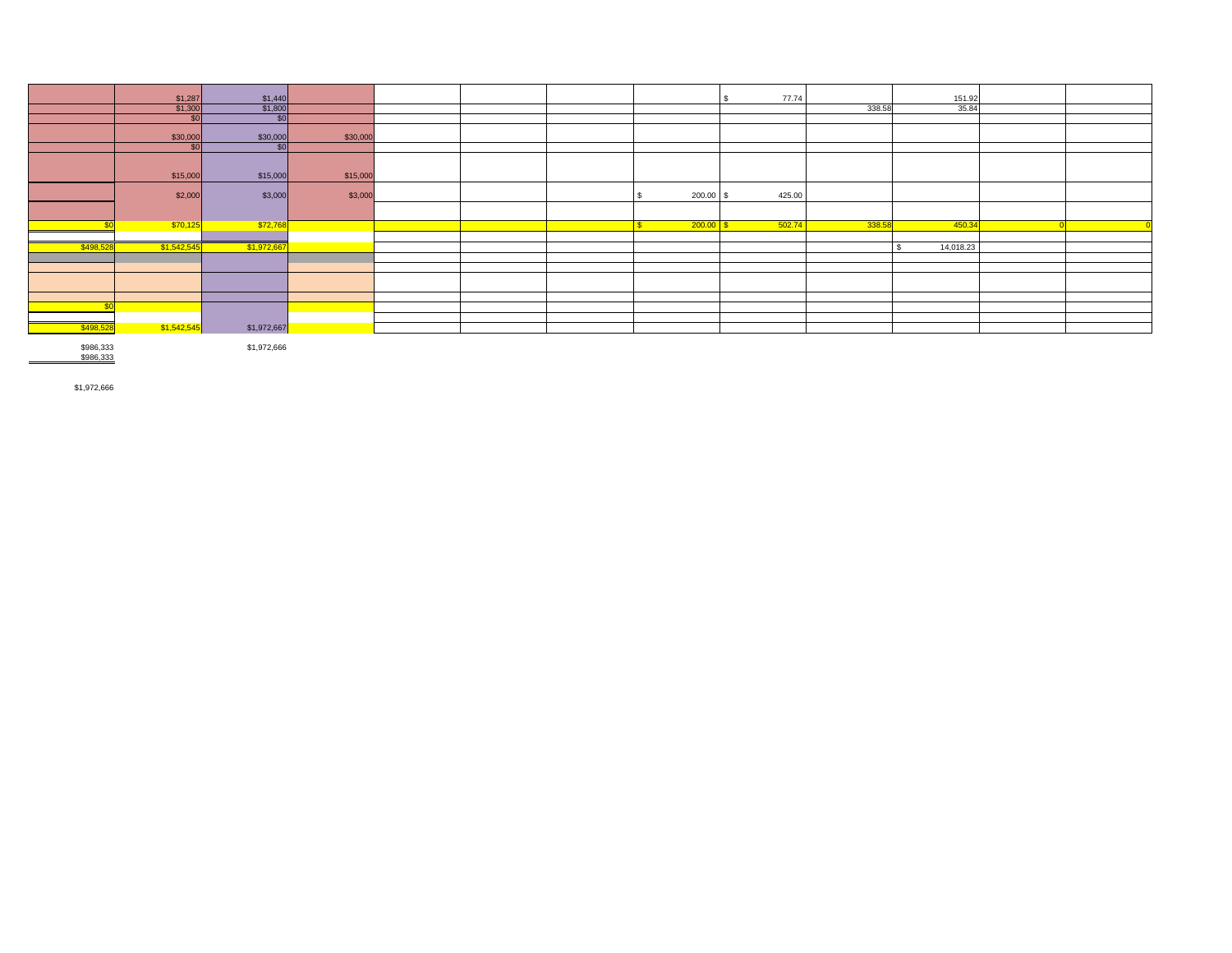|           | \$1,287     | \$1,440     |          |  |              |             | 77.74  |        | 151.92    |  |
|-----------|-------------|-------------|----------|--|--------------|-------------|--------|--------|-----------|--|
|           | \$1,300     | \$1,800     |          |  |              |             |        | 338.58 | 35.84     |  |
|           | \$0         | \$0         |          |  |              |             |        |        |           |  |
|           | \$30,000    | \$30,000    | \$30,000 |  |              |             |        |        |           |  |
|           | \$0         | \$0         |          |  |              |             |        |        |           |  |
|           | \$15,000    | \$15,000    | \$15,000 |  |              |             |        |        |           |  |
|           | \$2,000     | \$3,000     | \$3,000  |  |              | 200.00      | 425.00 |        |           |  |
|           |             |             |          |  |              |             |        |        |           |  |
|           | \$70,125    | \$72,768    |          |  | $\mathbf{s}$ | $200.00$ \$ | 502.74 | 338.58 | 450.34    |  |
|           |             |             |          |  |              |             |        |        |           |  |
| \$498,528 | \$1,542,545 | \$1,972,667 |          |  |              |             |        |        | 14,018.23 |  |
|           |             |             |          |  |              |             |        |        |           |  |
|           |             |             |          |  |              |             |        |        |           |  |
|           |             |             |          |  |              |             |        |        |           |  |
|           |             |             |          |  |              |             |        |        |           |  |
|           |             |             |          |  |              |             |        |        |           |  |
|           |             |             |          |  |              |             |        |        |           |  |
| \$498,528 | \$1,542,545 | \$1,972,667 |          |  |              |             |        |        |           |  |

\$986,333<br>\$986,333

\$1,972,666

\$1,972,666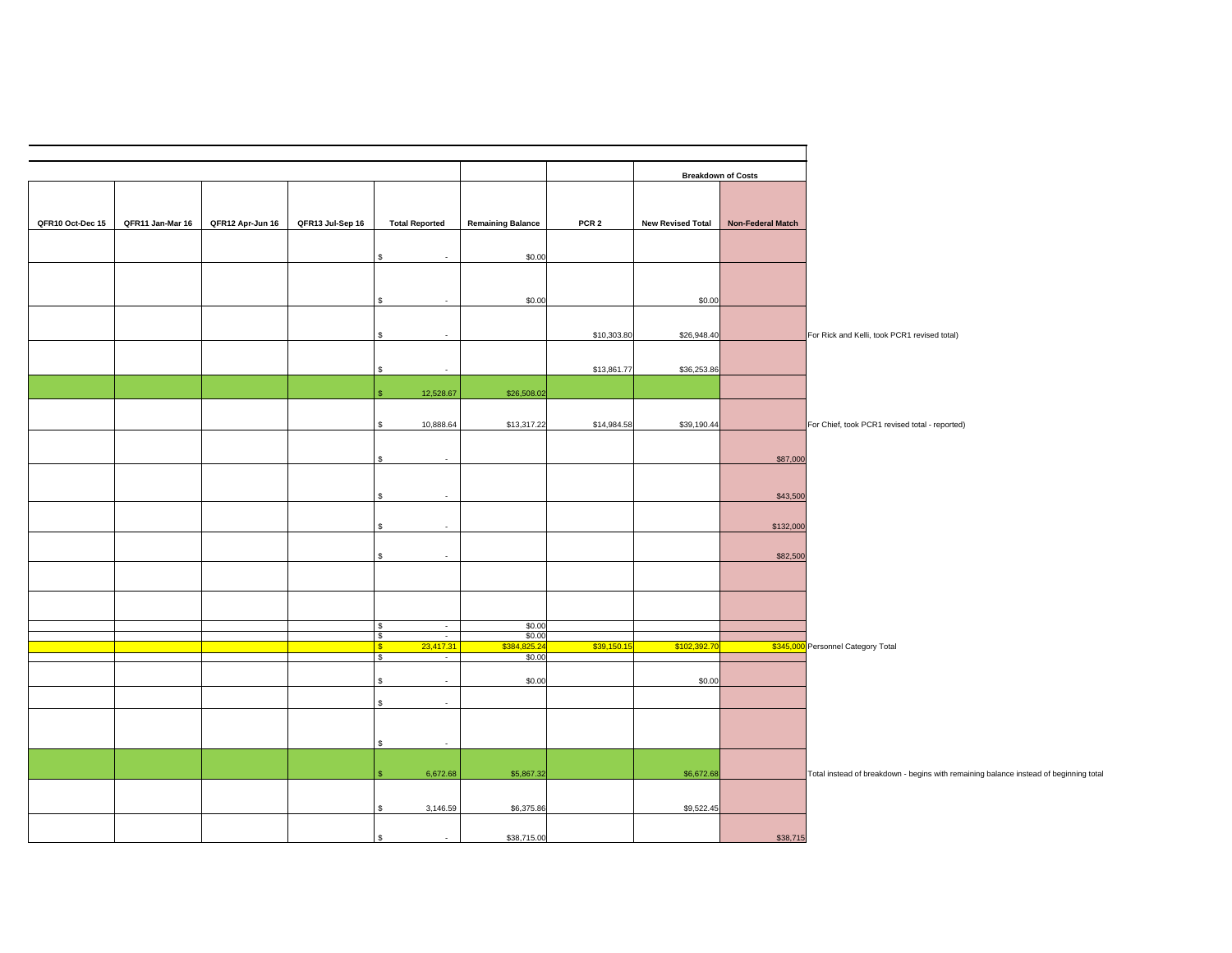|                                                                                      | <b>Breakdown of Costs</b> |                          |                  |                          |                                         |                  |                  |                  |                  |
|--------------------------------------------------------------------------------------|---------------------------|--------------------------|------------------|--------------------------|-----------------------------------------|------------------|------------------|------------------|------------------|
|                                                                                      |                           |                          |                  |                          |                                         |                  |                  |                  |                  |
|                                                                                      | Non-Federal Match         | <b>New Revised Total</b> | PCR <sub>2</sub> | <b>Remaining Balance</b> | <b>Total Reported</b>                   | QFR13 Jul-Sep 16 | QFR12 Apr-Jun 16 | QFR11 Jan-Mar 16 | QFR10 Oct-Dec 15 |
|                                                                                      |                           |                          |                  | \$0.00                   | $\overline{\phantom{a}}$                |                  |                  |                  |                  |
|                                                                                      |                           |                          |                  |                          |                                         |                  |                  |                  |                  |
|                                                                                      |                           | \$0.00                   |                  | \$0.00                   | $\sim$                                  |                  |                  |                  |                  |
|                                                                                      |                           |                          |                  |                          |                                         |                  |                  |                  |                  |
| For Rick and Kelli, took PCR1 revised total)                                         |                           | \$26,948.40              | \$10,303.80      |                          |                                         |                  |                  |                  |                  |
|                                                                                      |                           | \$36,253.86              | \$13,861.77      |                          | $\overline{\phantom{a}}$                |                  |                  |                  |                  |
|                                                                                      |                           |                          |                  | \$26,508.02              | 12,528.67                               |                  |                  |                  |                  |
|                                                                                      |                           |                          |                  |                          |                                         |                  |                  |                  |                  |
| For Chief, took PCR1 revised total - reported)                                       |                           | \$39,190.44              | \$14,984.58      | \$13,317.22              | 10,888.64<br>\$                         |                  |                  |                  |                  |
|                                                                                      | \$87,000                  |                          |                  |                          | $\overline{\phantom{a}}$                |                  |                  |                  |                  |
|                                                                                      |                           |                          |                  |                          |                                         |                  |                  |                  |                  |
|                                                                                      | \$43,500                  |                          |                  |                          | $\sim$                                  |                  |                  |                  |                  |
|                                                                                      | \$132,000                 |                          |                  |                          | $\mathbf{r}$                            |                  |                  |                  |                  |
|                                                                                      | \$82,500                  |                          |                  |                          | \$<br>$\overline{\phantom{a}}$          |                  |                  |                  |                  |
|                                                                                      |                           |                          |                  |                          |                                         |                  |                  |                  |                  |
|                                                                                      |                           |                          |                  |                          |                                         |                  |                  |                  |                  |
|                                                                                      |                           |                          |                  | \$0.00                   | $\sqrt{3}$<br>$\sim$                    |                  |                  |                  |                  |
|                                                                                      |                           |                          |                  | \$0.00                   | $\overline{\phantom{a}}$<br>\$          |                  |                  |                  |                  |
| \$345,000 Personnel Category Total                                                   |                           | \$102,392.7              | \$39,150.1       | \$384,825.24<br>\$0.00   | 23,417.31<br>$\sqrt{3}$<br>\$<br>$\sim$ |                  |                  |                  |                  |
|                                                                                      |                           | \$0.00                   |                  | \$0.00                   | \$<br>$\sim$                            |                  |                  |                  |                  |
|                                                                                      |                           |                          |                  |                          | \$<br>$\sim$                            |                  |                  |                  |                  |
|                                                                                      |                           |                          |                  |                          |                                         |                  |                  |                  |                  |
|                                                                                      |                           |                          |                  |                          | $\overline{\phantom{a}}$                |                  |                  |                  |                  |
|                                                                                      |                           |                          |                  |                          | ቁ                                       |                  |                  |                  |                  |
| Total instead of breakdown - begins with remaining balance instead of beginning tota |                           | \$6,672.68               |                  | \$5,867.32               | 6,672.68                                |                  |                  |                  |                  |
|                                                                                      |                           | \$9,522.45               |                  | \$6,375.86               | 3,146.59                                |                  |                  |                  |                  |
|                                                                                      | \$38,715                  |                          |                  | \$38,715.00              | $\sim$                                  |                  |                  |                  |                  |
|                                                                                      |                           |                          |                  |                          |                                         |                  |                  |                  |                  |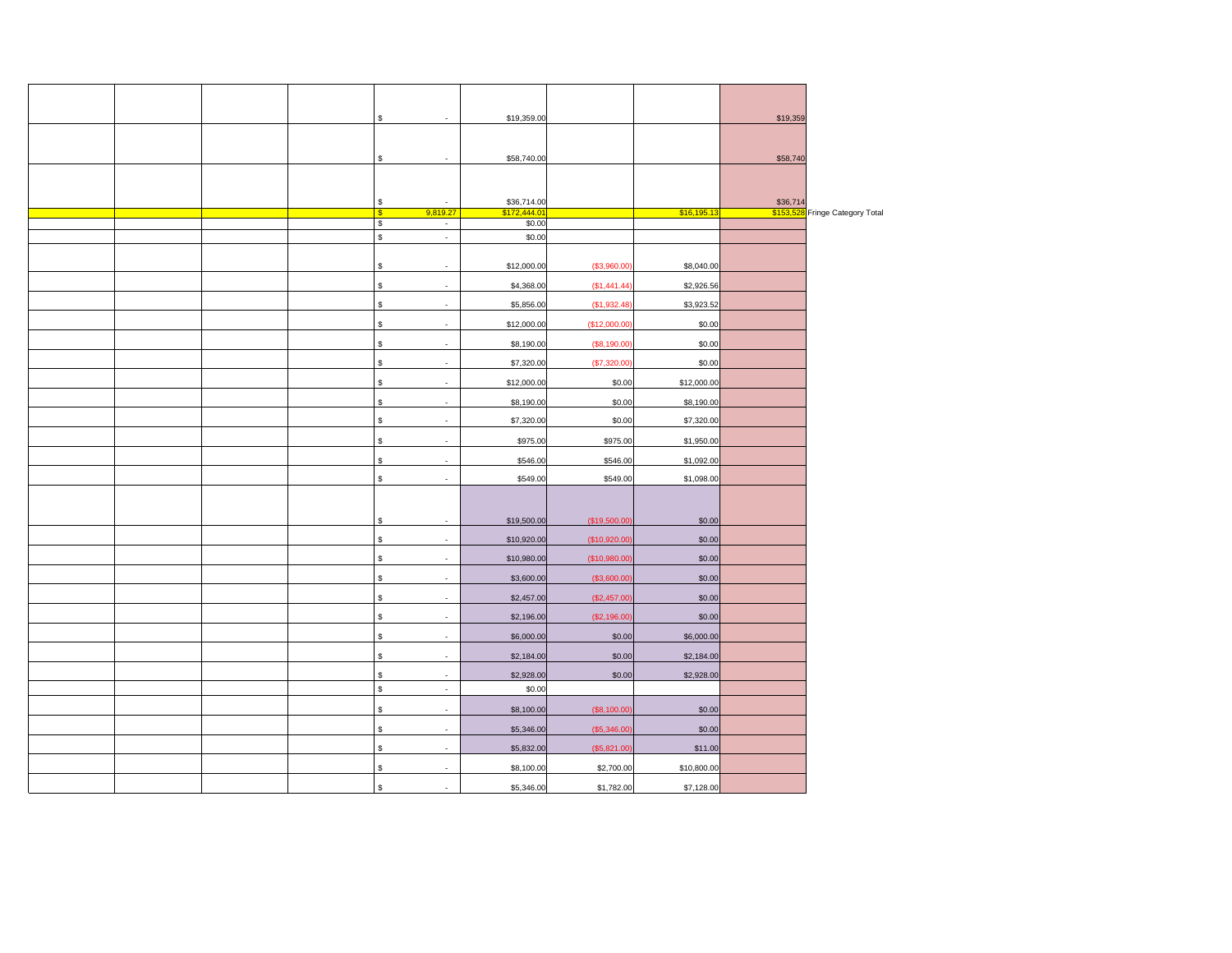|  |  | \$<br>$\overline{\phantom{a}}$                              | \$19,359.00                 |               |             | \$19,359 |                                 |
|--|--|-------------------------------------------------------------|-----------------------------|---------------|-------------|----------|---------------------------------|
|  |  |                                                             |                             |               |             |          |                                 |
|  |  | \$<br>$\overline{\phantom{a}}$                              | \$58,740.00                 |               |             | \$58,740 |                                 |
|  |  |                                                             |                             |               |             |          |                                 |
|  |  |                                                             |                             |               |             |          |                                 |
|  |  | \$<br>$\overline{\phantom{a}}$<br>9,819.27<br>$\frac{1}{2}$ | \$36,714.00<br>\$172,444.01 |               | \$16,195.13 | \$36,714 | \$153,528 Fringe Category Total |
|  |  | $\ddot{\theta}$<br>$\blacksquare$                           | \$0.00                      |               |             |          |                                 |
|  |  | \$<br>$\mathcal{L}_{\mathcal{A}}$                           | \$0.00                      |               |             |          |                                 |
|  |  | \$<br>$\overline{\phantom{a}}$                              | \$12,000.00                 | (\$3,960.00)  | \$8,040.00  |          |                                 |
|  |  | \$<br>$\overline{\phantom{a}}$                              | \$4,368.00                  | (S1, 441.44)  | \$2,926.56  |          |                                 |
|  |  | \$<br>÷                                                     | \$5,856.00                  | (\$1,932.48)  | \$3,923.52  |          |                                 |
|  |  | \$<br>$\overline{\phantom{a}}$                              | \$12,000.00                 | (\$12,000.00] | \$0.00      |          |                                 |
|  |  | \$<br>$\overline{\phantom{a}}$                              | \$8,190.00                  | (\$8,190.00)  | \$0.00      |          |                                 |
|  |  | \$<br>$\overline{\phantom{a}}$                              | \$7,320.00                  | (\$7,320.00)  | \$0.00      |          |                                 |
|  |  | \$<br>$\overline{\phantom{a}}$                              | \$12,000.00                 | \$0.00        | \$12,000.00 |          |                                 |
|  |  | \$<br>$\overline{\phantom{a}}$                              | \$8,190.00                  | \$0.00        | \$8,190.00  |          |                                 |
|  |  | \$<br>÷,                                                    | \$7,320.00                  | \$0.00        | \$7,320.00  |          |                                 |
|  |  | \$<br>$\overline{\phantom{a}}$                              | \$975.00                    | \$975.00      | \$1,950.00  |          |                                 |
|  |  | \$<br>$\overline{\phantom{a}}$                              | \$546.00                    | \$546.00      | \$1,092.00  |          |                                 |
|  |  | \$<br>$\overline{\phantom{a}}$                              | \$549.00                    | \$549.00      | \$1,098.00  |          |                                 |
|  |  |                                                             |                             |               |             |          |                                 |
|  |  | \$<br>$\overline{\phantom{a}}$                              | \$19,500.00                 | (\$19,500.00] | \$0.00      |          |                                 |
|  |  | \$<br>$\overline{\phantom{a}}$                              | \$10,920.00                 | (\$10,920.00) | \$0.00      |          |                                 |
|  |  | \$<br>$\overline{\phantom{a}}$                              | \$10,980.00                 | (\$10,980.00) | \$0.00      |          |                                 |
|  |  | \$<br>÷                                                     | \$3,600.00                  | (\$3,600.00)  | \$0.00      |          |                                 |
|  |  | \$<br>$\overline{\phantom{a}}$                              | \$2,457.00                  | (\$2,457.00)  | \$0.00      |          |                                 |
|  |  | \$<br>÷                                                     | \$2,196.00                  | (\$2,196.00)  | \$0.00      |          |                                 |
|  |  | \$<br>$\overline{\phantom{a}}$                              | \$6,000.00                  | \$0.00        | \$6,000.00  |          |                                 |
|  |  | \$<br>÷,                                                    | \$2,184.00                  | \$0.00        | \$2,184.00  |          |                                 |
|  |  | \$<br>$\overline{\phantom{a}}$                              | \$2,928.00                  | \$0.00        | \$2,928.00  |          |                                 |
|  |  | $\mathbb{S}$<br>$\sim$                                      | \$0.00                      |               |             |          |                                 |
|  |  | \$<br>$\overline{\phantom{a}}$                              | \$8,100.00                  | (\$8,100.00]  | \$0.00      |          |                                 |
|  |  | \$<br>$\overline{\phantom{a}}$                              | \$5,346.00                  | (\$5,346.00   | \$0.00      |          |                                 |
|  |  | \$<br>$\overline{\phantom{a}}$                              | \$5,832.00                  | (\$5,821.00)  | \$11.00     |          |                                 |
|  |  | \$                                                          | \$8,100.00                  | \$2,700.00    | \$10,800.00 |          |                                 |
|  |  | $\mathbb S$                                                 | \$5,346.00                  | \$1,782.00    | \$7,128,00  |          |                                 |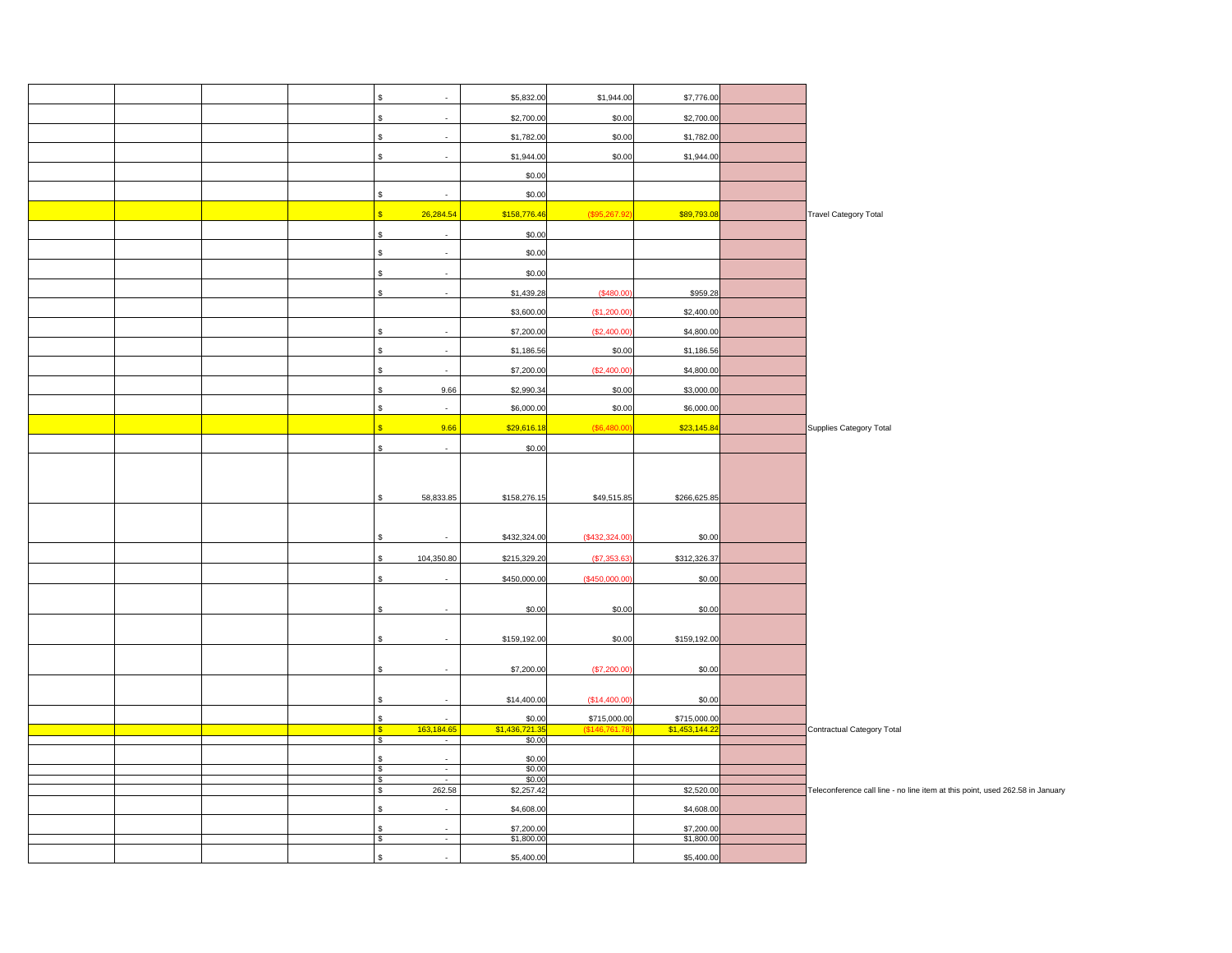|  |  | \$                        | $\overline{\phantom{a}}$     | \$5,832.00               | \$1,944.00                  | \$7,776.00                     |                                                                               |
|--|--|---------------------------|------------------------------|--------------------------|-----------------------------|--------------------------------|-------------------------------------------------------------------------------|
|  |  | \$                        | $\overline{\phantom{a}}$     | \$2,700.00               | \$0.00                      | \$2,700.00                     |                                                                               |
|  |  |                           | $\overline{a}$               | \$1,782.00               | \$0.00                      | \$1,782.00                     |                                                                               |
|  |  | \$                        | $\overline{\phantom{a}}$     | \$1,944.00               | \$0.00                      | \$1,944.00                     |                                                                               |
|  |  |                           |                              | \$0.00                   |                             |                                |                                                                               |
|  |  |                           | $\mathbb{Z}^2$               |                          |                             |                                |                                                                               |
|  |  | \$                        |                              | \$0.00                   |                             |                                |                                                                               |
|  |  | <sub>\$</sub>             | 26,284.54                    | \$158,776.46             | (\$95,267.92                | \$89,793.08                    | Travel Category Total                                                         |
|  |  | \$                        | $\overline{\phantom{a}}$     | \$0.00                   |                             |                                |                                                                               |
|  |  | \$                        | $\mathbb{Z}^2$               | \$0.00                   |                             |                                |                                                                               |
|  |  |                           | $\overline{a}$               | \$0.00                   |                             |                                |                                                                               |
|  |  | \$                        | $\sim$                       | \$1,439.28               | (\$480.00                   | \$959.28                       |                                                                               |
|  |  |                           |                              | \$3,600.00               | (\$1,200.00                 | \$2,400.00                     |                                                                               |
|  |  | \$                        | $\mathbb{Z}^2$               | \$7,200.00               | (\$2,400.00                 | \$4,800.00                     |                                                                               |
|  |  | \$                        | $\overline{\phantom{a}}$     | \$1,186.56               | \$0.00                      | \$1,186.56                     |                                                                               |
|  |  | \$                        | $\sim$                       | \$7,200.00               | (\$2,400.00                 | \$4,800.00                     |                                                                               |
|  |  | Ś,                        | 9.66                         | \$2,990.34               | \$0.00                      | \$3,000.00                     |                                                                               |
|  |  | \$                        | $\overline{\phantom{a}}$     | \$6,000.00               | \$0.00                      | \$6,000.00                     |                                                                               |
|  |  | $\overline{\mathbf{s}}$   | 9.66                         | \$29,616.18              | (\$6,480.00                 | \$23,145.84                    |                                                                               |
|  |  |                           |                              |                          |                             |                                | Supplies Category Total                                                       |
|  |  | \$                        | $\sim$                       | \$0.00                   |                             |                                |                                                                               |
|  |  |                           |                              |                          |                             |                                |                                                                               |
|  |  | \$.                       | 58,833.85                    | \$158,276.15             | \$49,515.85                 | \$266,625.85                   |                                                                               |
|  |  |                           |                              |                          |                             |                                |                                                                               |
|  |  |                           |                              |                          |                             |                                |                                                                               |
|  |  |                           |                              | \$432,324.00             | (\$432,324.00               | \$0.00                         |                                                                               |
|  |  | \$.                       | 104,350.80                   | \$215,329.20             | (\$7,353.63                 | \$312,326.37                   |                                                                               |
|  |  | \$.                       | $\overline{\phantom{a}}$     | \$450,000.00             | (\$450,000.00               | \$0.00                         |                                                                               |
|  |  |                           | $\overline{a}$               |                          |                             |                                |                                                                               |
|  |  |                           |                              | \$0.00                   | \$0.00                      | \$0.00                         |                                                                               |
|  |  | \$                        | $\mathcal{L}_{\mathcal{A}}$  | \$159,192.00             | \$0.00                      | \$159,192.00                   |                                                                               |
|  |  |                           |                              |                          |                             |                                |                                                                               |
|  |  |                           | $\overline{\phantom{a}}$     | \$7,200.00               | (\$7,200.00                 | \$0.00                         |                                                                               |
|  |  |                           |                              |                          |                             |                                |                                                                               |
|  |  | Ŝ.                        | $\overline{a}$               | \$14,400.00              | (\$14,400.00                | \$0.00                         |                                                                               |
|  |  | $\mathbb S$<br>$\sqrt{3}$ | $\mathbb{Z}^2$<br>163,184.65 | \$0.00<br>\$1,436,721.3  | \$715,000.00<br>(\$146,761. | \$715,000.00<br>\$1,453,144.22 | Contractual Category Total                                                    |
|  |  | $\bullet$                 | J,                           | \$0.00                   |                             |                                |                                                                               |
|  |  | \$<br>$\sqrt{3}$          | $\overline{a}$<br>$\sim$     | \$0.00<br>\$0.00         |                             |                                |                                                                               |
|  |  | \$                        | $\sim$                       | \$0.00                   |                             |                                |                                                                               |
|  |  | $\sqrt{3}$                | 262.58                       | \$2,257.42               |                             | \$2,520.00                     | Teleconference call line - no line item at this point, used 262.58 in January |
|  |  | \$                        | $\mathcal{L}$                | \$4,608.00               |                             | \$4,608.00                     |                                                                               |
|  |  | \$                        | ÷                            | \$7,200.00<br>\$1,800.00 |                             | \$7,200.00<br>\$1,800.00       |                                                                               |
|  |  |                           | $\overline{\phantom{a}}$     | \$5,400.00               |                             | \$5,400.00                     |                                                                               |
|  |  |                           |                              |                          |                             |                                |                                                                               |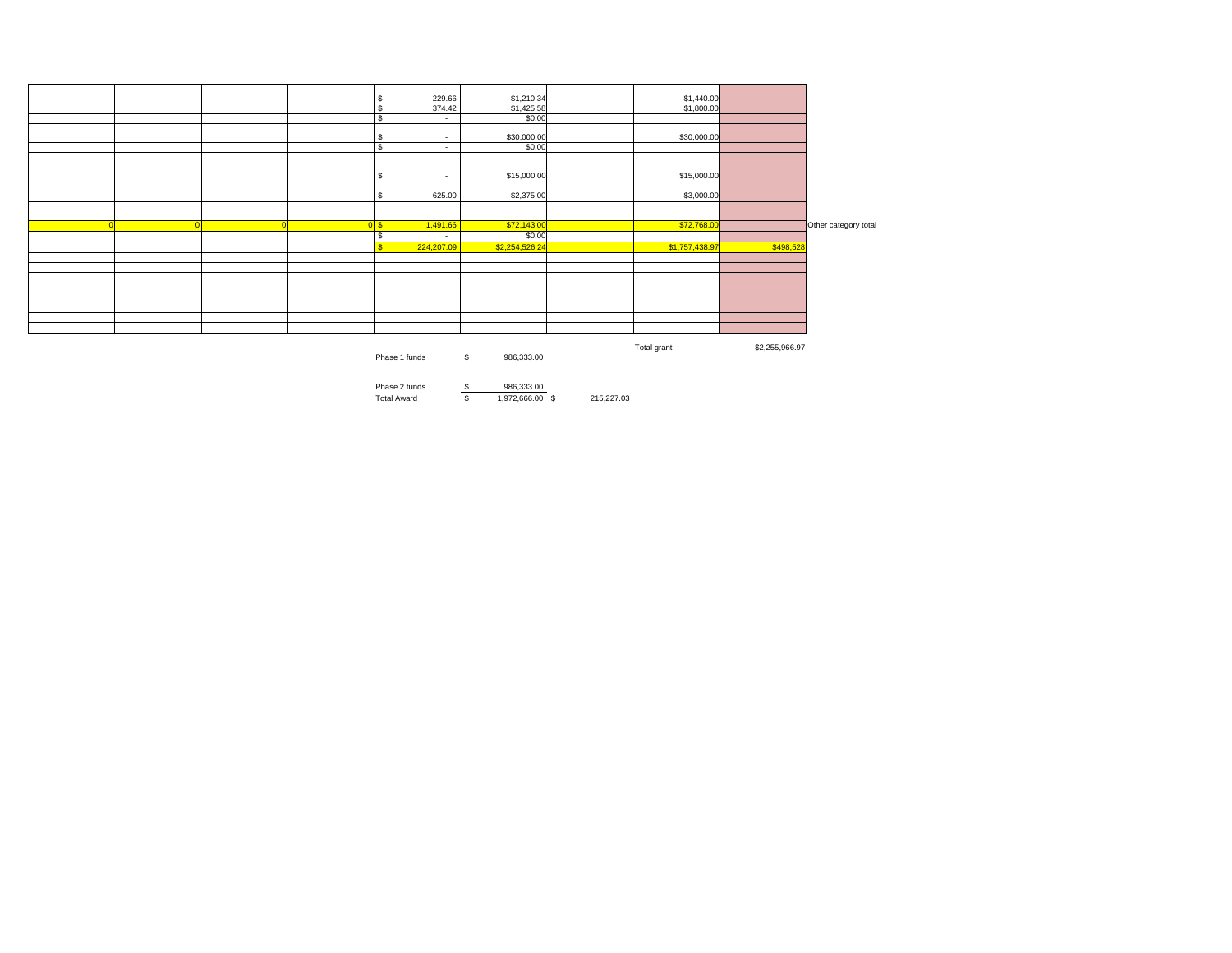|  |  | \$            | 229.66                   | \$1,210.34       | \$1,440.00     |                |                      |
|--|--|---------------|--------------------------|------------------|----------------|----------------|----------------------|
|  |  | -S            | 374.42                   | \$1,425.58       | \$1,800.00     |                |                      |
|  |  | Ŝ,            | $\sim$                   | \$0.00           |                |                |                      |
|  |  | -S            | $\sim$                   | \$30,000.00      | \$30,000.00    |                |                      |
|  |  | -S            | $\sim$                   | \$0.00           |                |                |                      |
|  |  | \$            | $\overline{\phantom{a}}$ | \$15,000.00      | \$15,000.00    |                |                      |
|  |  | S             | 625.00                   | \$2,375.00       | \$3,000.00     |                |                      |
|  |  |               |                          |                  |                |                |                      |
|  |  | 0S            | 1,491.66                 | \$72,143.00      | \$72,768.00    |                | Other category total |
|  |  | Ŝ.            | $\sim$                   | \$0.00           |                |                |                      |
|  |  | ¢             | 224,207.09               | \$2,254,526.24   | \$1,757,438.97 | \$498,528      |                      |
|  |  |               |                          |                  |                |                |                      |
|  |  |               |                          |                  |                |                |                      |
|  |  |               |                          |                  |                |                |                      |
|  |  |               |                          |                  |                |                |                      |
|  |  |               |                          |                  |                |                |                      |
|  |  |               |                          |                  |                |                |                      |
|  |  |               |                          |                  |                |                |                      |
|  |  |               |                          |                  |                |                |                      |
|  |  | Phase 1 funds |                          | \$<br>986,333.00 | Total grant    | \$2,255,966.97 |                      |

Phase 2 funds <u>\$ 986,333.00</u><br>Total Award \$ 1,972,666.00 \$ 215,227.03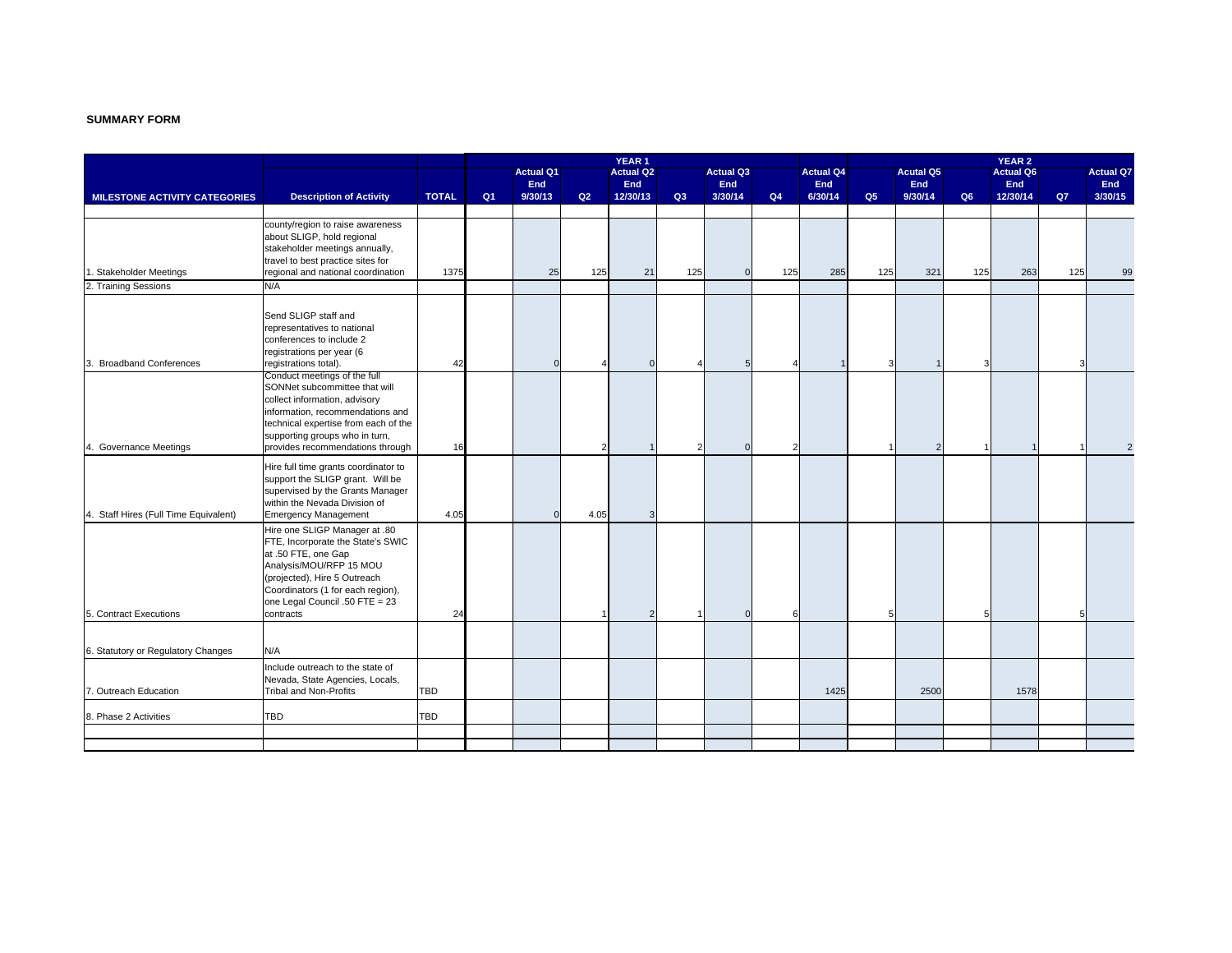#### **SUMMARY FORM**

|                                       |                                                                    |              | YEAR <sub>1</sub> |                  |      |                        |     |                  |     | <b>YEAR 2</b>    |     |                       |                |                  |     |                  |
|---------------------------------------|--------------------------------------------------------------------|--------------|-------------------|------------------|------|------------------------|-----|------------------|-----|------------------|-----|-----------------------|----------------|------------------|-----|------------------|
|                                       |                                                                    |              |                   | <b>Actual Q1</b> |      | <b>Actual Q2</b>       |     | <b>Actual Q3</b> |     | <b>Actual Q4</b> |     | <b>Acutal Q5</b>      |                | <b>Actual Q6</b> |     | <b>Actual Q7</b> |
|                                       |                                                                    | <b>TOTAL</b> | Q1                | End<br>9/30/13   | Q2   | <b>End</b><br>12/30/13 | Q3  | End<br>3/30/14   | Q4  | End<br>6/30/14   | Q5  | <b>End</b><br>9/30/14 | Q <sub>6</sub> | End<br>12/30/14  | Q7  | End<br>3/30/15   |
| <b>MILESTONE ACTIVITY CATEGORIES</b>  | <b>Description of Activity</b>                                     |              |                   |                  |      |                        |     |                  |     |                  |     |                       |                |                  |     |                  |
|                                       | county/region to raise awareness                                   |              |                   |                  |      |                        |     |                  |     |                  |     |                       |                |                  |     |                  |
|                                       | about SLIGP, hold regional                                         |              |                   |                  |      |                        |     |                  |     |                  |     |                       |                |                  |     |                  |
|                                       | stakeholder meetings annually,                                     |              |                   |                  |      |                        |     |                  |     |                  |     |                       |                |                  |     |                  |
|                                       | travel to best practice sites for                                  |              |                   |                  |      |                        |     |                  |     |                  |     |                       |                |                  |     |                  |
| Stakeholder Meetings                  | regional and national coordination                                 | 1375         |                   | 25               | 125  | 21                     | 125 | $\mathbf{0}$     | 125 | 285              | 125 | 321                   | 125            | 263              | 125 | 99               |
| 2. Training Sessions                  | N/A                                                                |              |                   |                  |      |                        |     |                  |     |                  |     |                       |                |                  |     |                  |
|                                       |                                                                    |              |                   |                  |      |                        |     |                  |     |                  |     |                       |                |                  |     |                  |
|                                       | Send SLIGP staff and                                               |              |                   |                  |      |                        |     |                  |     |                  |     |                       |                |                  |     |                  |
|                                       | representatives to national                                        |              |                   |                  |      |                        |     |                  |     |                  |     |                       |                |                  |     |                  |
|                                       | conferences to include 2                                           |              |                   |                  |      |                        |     |                  |     |                  |     |                       |                |                  |     |                  |
|                                       | registrations per year (6                                          |              |                   |                  |      |                        |     |                  |     |                  |     |                       |                |                  |     |                  |
| <b>Broadband Conferences</b>          | registrations total).                                              | 42           |                   | $\Omega$         |      | $\Omega$               |     | 5                |     |                  |     |                       | Э              |                  | Э   |                  |
|                                       | Conduct meetings of the full                                       |              |                   |                  |      |                        |     |                  |     |                  |     |                       |                |                  |     |                  |
|                                       | SONNet subcommittee that will                                      |              |                   |                  |      |                        |     |                  |     |                  |     |                       |                |                  |     |                  |
|                                       | collect information, advisory                                      |              |                   |                  |      |                        |     |                  |     |                  |     |                       |                |                  |     |                  |
|                                       | information, recommendations and                                   |              |                   |                  |      |                        |     |                  |     |                  |     |                       |                |                  |     |                  |
|                                       | technical expertise from each of the                               |              |                   |                  |      |                        |     |                  |     |                  |     |                       |                |                  |     |                  |
| 4. Governance Meetings                | supporting groups who in turn,<br>provides recommendations through | 16           |                   |                  |      |                        | 2   |                  |     |                  |     | 2                     |                |                  |     | $\overline{2}$   |
|                                       |                                                                    |              |                   |                  |      |                        |     |                  |     |                  |     |                       |                |                  |     |                  |
|                                       | Hire full time grants coordinator to                               |              |                   |                  |      |                        |     |                  |     |                  |     |                       |                |                  |     |                  |
|                                       | support the SLIGP grant. Will be                                   |              |                   |                  |      |                        |     |                  |     |                  |     |                       |                |                  |     |                  |
|                                       | supervised by the Grants Manager                                   |              |                   |                  |      |                        |     |                  |     |                  |     |                       |                |                  |     |                  |
| 4. Staff Hires (Full Time Equivalent) | within the Nevada Division of<br><b>Emergency Management</b>       | 4.05         |                   | $\Omega$         | 4.05 |                        |     |                  |     |                  |     |                       |                |                  |     |                  |
|                                       |                                                                    |              |                   |                  |      |                        |     |                  |     |                  |     |                       |                |                  |     |                  |
|                                       | Hire one SLIGP Manager at .80                                      |              |                   |                  |      |                        |     |                  |     |                  |     |                       |                |                  |     |                  |
|                                       | FTE, Incorporate the State's SWIC<br>at .50 FTE, one Gap           |              |                   |                  |      |                        |     |                  |     |                  |     |                       |                |                  |     |                  |
|                                       | Analysis/MOU/RFP 15 MOU                                            |              |                   |                  |      |                        |     |                  |     |                  |     |                       |                |                  |     |                  |
|                                       | (projected), Hire 5 Outreach                                       |              |                   |                  |      |                        |     |                  |     |                  |     |                       |                |                  |     |                  |
|                                       | Coordinators (1 for each region),                                  |              |                   |                  |      |                        |     |                  |     |                  |     |                       |                |                  |     |                  |
|                                       | one Legal Council .50 FTE = 23                                     |              |                   |                  |      |                        |     |                  |     |                  |     |                       |                |                  |     |                  |
| 5. Contract Executions                | contracts                                                          | 24           |                   |                  |      |                        |     | $\Omega$         |     |                  | 5   |                       | 5              |                  | 5   |                  |
|                                       |                                                                    |              |                   |                  |      |                        |     |                  |     |                  |     |                       |                |                  |     |                  |
|                                       |                                                                    |              |                   |                  |      |                        |     |                  |     |                  |     |                       |                |                  |     |                  |
| 6. Statutory or Regulatory Changes    | N/A                                                                |              |                   |                  |      |                        |     |                  |     |                  |     |                       |                |                  |     |                  |
|                                       | Include outreach to the state of                                   |              |                   |                  |      |                        |     |                  |     |                  |     |                       |                |                  |     |                  |
|                                       | Nevada, State Agencies, Locals,                                    |              |                   |                  |      |                        |     |                  |     |                  |     |                       |                |                  |     |                  |
| 7. Outreach Education                 | <b>Tribal and Non-Profits</b>                                      | <b>TBD</b>   |                   |                  |      |                        |     |                  |     | 1425             |     | 2500                  |                | 1578             |     |                  |
|                                       |                                                                    |              |                   |                  |      |                        |     |                  |     |                  |     |                       |                |                  |     |                  |
| 8. Phase 2 Activities                 | TBD                                                                | TBD          |                   |                  |      |                        |     |                  |     |                  |     |                       |                |                  |     |                  |
|                                       |                                                                    |              |                   |                  |      |                        |     |                  |     |                  |     |                       |                |                  |     |                  |
|                                       |                                                                    |              |                   |                  |      |                        |     |                  |     |                  |     |                       |                |                  |     |                  |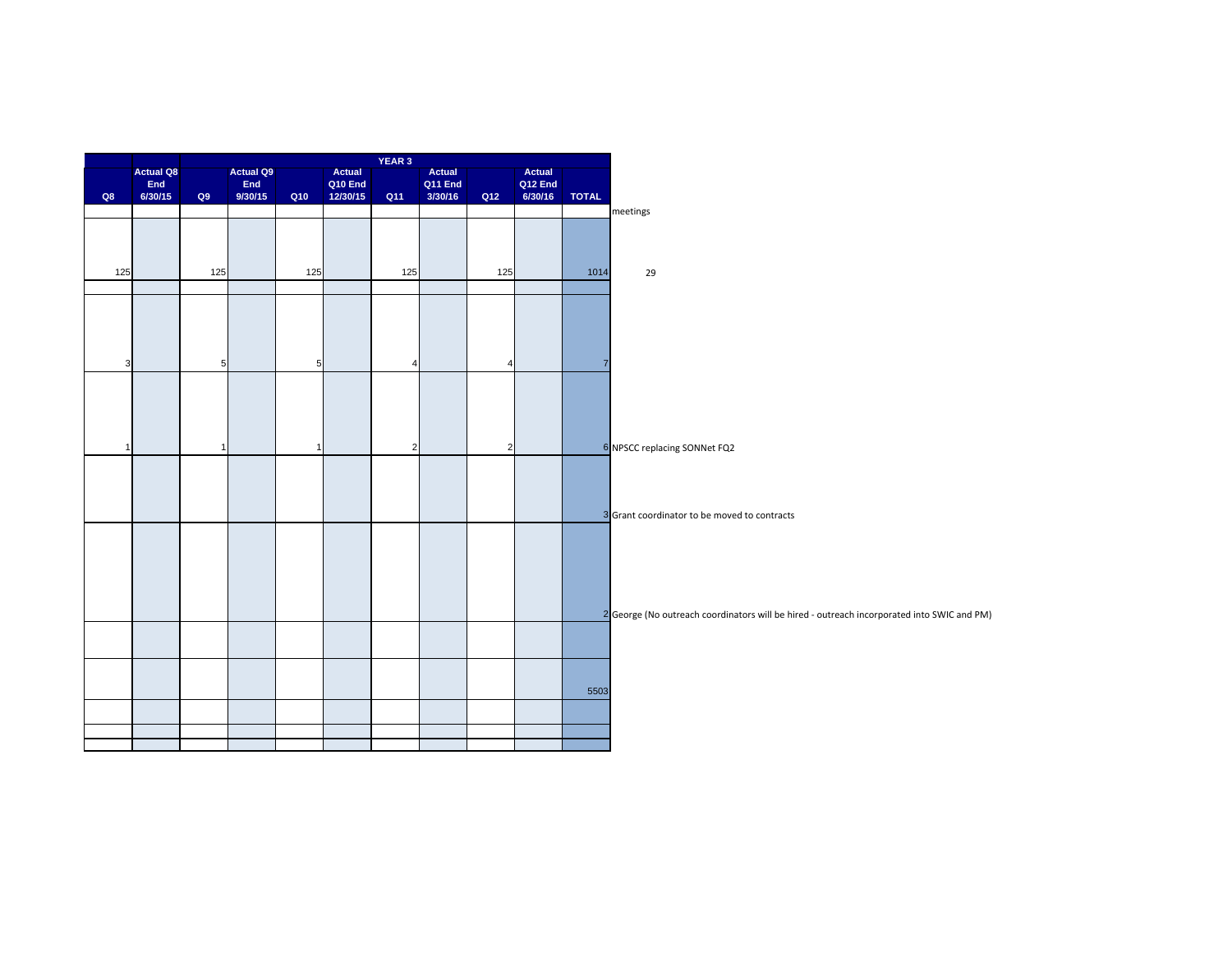| <b>Actual Q9</b><br>Q10 End<br>Q12 End<br>End<br>End<br>Q11 End<br>Q8<br>6/30/15<br>9/30/15<br>6/30/16<br><b>TOTAL</b><br>Q9<br>Q10<br>12/30/15<br>Q11<br>3/30/16<br>Q12<br>meetings<br>125<br>125<br>125<br>125<br>125<br>29<br>1014<br>5 <sub>l</sub><br>3<br>$5\phantom{.0}$<br>$\overline{4}$<br>$\overline{4}$<br>$\overline{7}$<br>$\overline{2}$<br>2<br>6 NPSCC replacing SONNet FQ2<br>$\mathbf{1}$<br>1<br>$\overline{1}$<br>3 Grant coordinator to be moved to contracts<br>5503 |                  |  |        | YEAR 3 |        |        |  |
|---------------------------------------------------------------------------------------------------------------------------------------------------------------------------------------------------------------------------------------------------------------------------------------------------------------------------------------------------------------------------------------------------------------------------------------------------------------------------------------------|------------------|--|--------|--------|--------|--------|--|
|                                                                                                                                                                                                                                                                                                                                                                                                                                                                                             | <b>Actual Q8</b> |  | Actual |        | Actual | Actual |  |
|                                                                                                                                                                                                                                                                                                                                                                                                                                                                                             |                  |  |        |        |        |        |  |
|                                                                                                                                                                                                                                                                                                                                                                                                                                                                                             |                  |  |        |        |        |        |  |
|                                                                                                                                                                                                                                                                                                                                                                                                                                                                                             |                  |  |        |        |        |        |  |
|                                                                                                                                                                                                                                                                                                                                                                                                                                                                                             |                  |  |        |        |        |        |  |
|                                                                                                                                                                                                                                                                                                                                                                                                                                                                                             |                  |  |        |        |        |        |  |
|                                                                                                                                                                                                                                                                                                                                                                                                                                                                                             |                  |  |        |        |        |        |  |
|                                                                                                                                                                                                                                                                                                                                                                                                                                                                                             |                  |  |        |        |        |        |  |
|                                                                                                                                                                                                                                                                                                                                                                                                                                                                                             |                  |  |        |        |        |        |  |
| 2 George (No outreach coordinators will be hired - outreach incorporated into SWIC and PM)                                                                                                                                                                                                                                                                                                                                                                                                  |                  |  |        |        |        |        |  |
|                                                                                                                                                                                                                                                                                                                                                                                                                                                                                             |                  |  |        |        |        |        |  |
|                                                                                                                                                                                                                                                                                                                                                                                                                                                                                             |                  |  |        |        |        |        |  |
|                                                                                                                                                                                                                                                                                                                                                                                                                                                                                             |                  |  |        |        |        |        |  |
|                                                                                                                                                                                                                                                                                                                                                                                                                                                                                             |                  |  |        |        |        |        |  |
|                                                                                                                                                                                                                                                                                                                                                                                                                                                                                             |                  |  |        |        |        |        |  |
|                                                                                                                                                                                                                                                                                                                                                                                                                                                                                             |                  |  |        |        |        |        |  |
|                                                                                                                                                                                                                                                                                                                                                                                                                                                                                             |                  |  |        |        |        |        |  |
|                                                                                                                                                                                                                                                                                                                                                                                                                                                                                             |                  |  |        |        |        |        |  |
|                                                                                                                                                                                                                                                                                                                                                                                                                                                                                             |                  |  |        |        |        |        |  |
|                                                                                                                                                                                                                                                                                                                                                                                                                                                                                             |                  |  |        |        |        |        |  |
|                                                                                                                                                                                                                                                                                                                                                                                                                                                                                             |                  |  |        |        |        |        |  |
|                                                                                                                                                                                                                                                                                                                                                                                                                                                                                             |                  |  |        |        |        |        |  |
|                                                                                                                                                                                                                                                                                                                                                                                                                                                                                             |                  |  |        |        |        |        |  |
|                                                                                                                                                                                                                                                                                                                                                                                                                                                                                             |                  |  |        |        |        |        |  |
|                                                                                                                                                                                                                                                                                                                                                                                                                                                                                             |                  |  |        |        |        |        |  |
|                                                                                                                                                                                                                                                                                                                                                                                                                                                                                             |                  |  |        |        |        |        |  |
|                                                                                                                                                                                                                                                                                                                                                                                                                                                                                             |                  |  |        |        |        |        |  |
|                                                                                                                                                                                                                                                                                                                                                                                                                                                                                             |                  |  |        |        |        |        |  |
|                                                                                                                                                                                                                                                                                                                                                                                                                                                                                             |                  |  |        |        |        |        |  |
|                                                                                                                                                                                                                                                                                                                                                                                                                                                                                             |                  |  |        |        |        |        |  |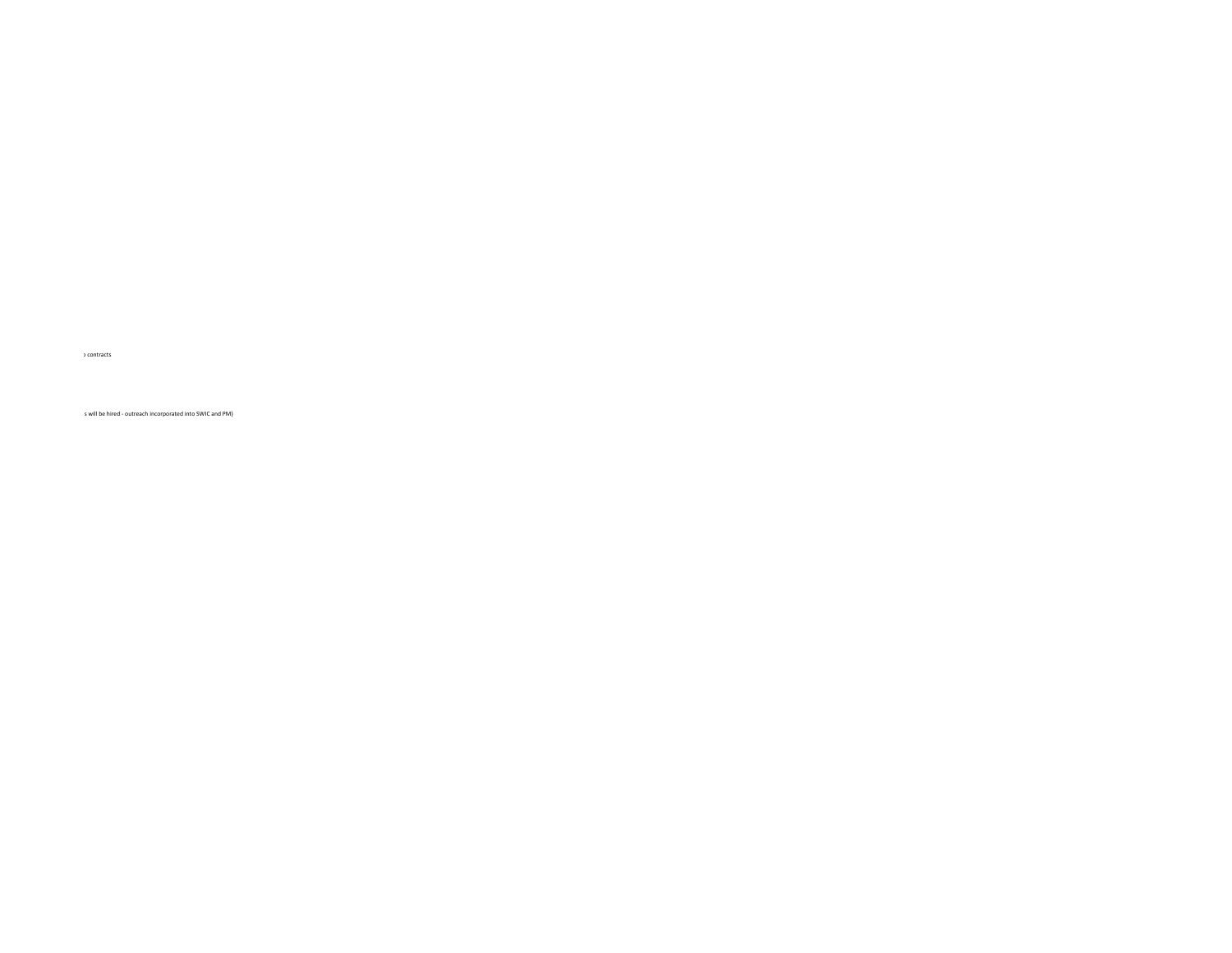s will be hired ‐ outreach incorporated into SWIC and PM)

o contracts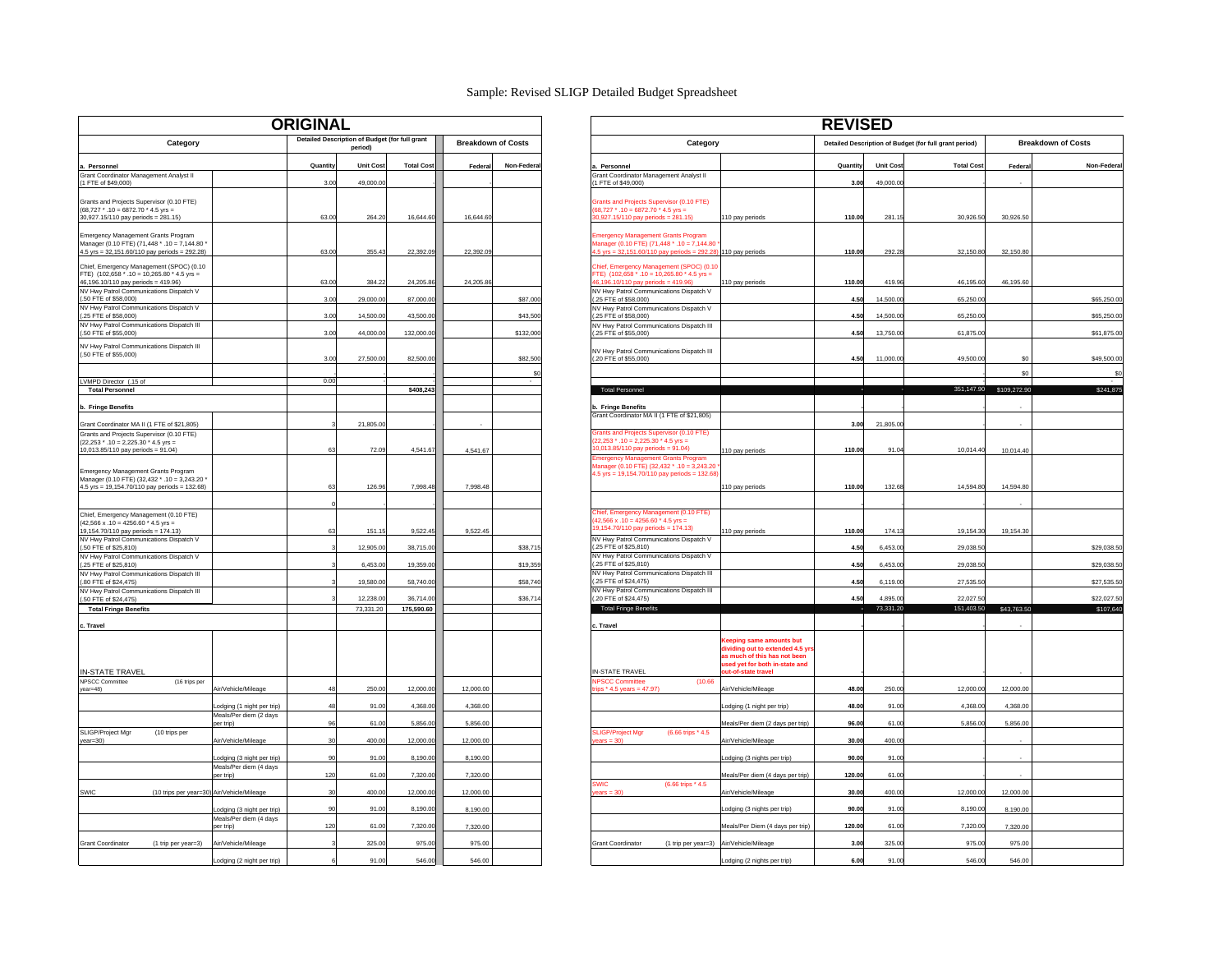#### Sample: Revised SLIGP Detailed Budget Spreadsheet

| <b>ORIGINAL</b>                                                                                                                       |                                     |          |                                                           | <b>REVISED</b>    |                           |               |                                                                                                                                                  |                                                                                              |          |                       |                                                        |             |
|---------------------------------------------------------------------------------------------------------------------------------------|-------------------------------------|----------|-----------------------------------------------------------|-------------------|---------------------------|---------------|--------------------------------------------------------------------------------------------------------------------------------------------------|----------------------------------------------------------------------------------------------|----------|-----------------------|--------------------------------------------------------|-------------|
| Category                                                                                                                              |                                     |          | Detailed Description of Budget (for full grant<br>period) |                   | <b>Breakdown of Costs</b> |               | Category                                                                                                                                         |                                                                                              |          |                       | Detailed Description of Budget (for full grant period) | Br          |
| a. Personnel                                                                                                                          |                                     | Quantity | <b>Unit Cost</b>                                          | <b>Total Cost</b> | Federa                    | Non-Federal   | Personnel                                                                                                                                        |                                                                                              | Quantity | Unit Cost             | <b>Total Cost</b>                                      | Federa      |
| Grant Coordinator Management Analyst II<br>(1 FTE of \$49,000)                                                                        |                                     | 3.00     | 49,000.00                                                 |                   |                           |               | Grant Coordinator Management Analyst II<br>1 FTE of \$49,000)                                                                                    |                                                                                              | 3.00     | 49,000.00             |                                                        |             |
|                                                                                                                                       |                                     |          |                                                           |                   |                           |               |                                                                                                                                                  |                                                                                              |          |                       |                                                        |             |
| Grants and Projects Supervisor (0.10 FTE)<br>$(68.727 * .10 = 6872.70 * 4.5$ vrs =<br>30,927.15/110 pay periods = 281.15)             |                                     | 63.00    | 264.20                                                    | 16,644.60         | 16,644.60                 |               | Grants and Projects Supervisor (0.10 FTE)<br>$68,727$ * .10 = 6872.70 * 4.5 yrs =<br>0,927.15/110 pay periods = 281.15)                          | 110 pay periods                                                                              | 110.00   | 281.1                 | 30,926.50                                              | 30,926.50   |
| Emergency Management Grants Program<br>Manager (0.10 FTE) (71,448 * .10 = 7,144.80 *<br>4.5 yrs = 32,151.60/110 pay periods = 292.28) |                                     | 63.00    | 355.43                                                    | 22,392.09         | 22,392.09                 |               | <b>Imergency Management Grants Program</b><br>Manager (0.10 FTE) (71,448 * .10 = 7,144.80<br>5 yrs = 32,151.60/110 pay periods = 292.28          | 110 pay periods                                                                              | 110.00   | 292.28                | 32,150.80                                              | 32,150.80   |
| Chief, Emergency Management (SPOC) (0.10<br>FTE) (102,658 * .10 = 10,265.80 * 4.5 yrs =<br>46,196.10/110 pay periods = 419.96)        |                                     | 63.00    | 384.22                                                    | 24,205.86         | 24,205.86                 |               | Chief, Emergency Management (SPOC) (0.10<br>TE) $(102,658 \times 0.10 = 10,265.80 \times 4.5 \text{ yrs})$<br>5,196.10/110 pay periods = 419.96) | 110 pay periods                                                                              | 110.00   | 419.96                | 46,195.60                                              | 46,195.60   |
| NV Hwy Patrol Communications Dispatch V<br>(.50 FTE of \$58,000)                                                                      |                                     | 3.00     | 29,000.00                                                 | 87,000.00         |                           | \$87,000      | NV Hwy Patrol Communications Dispatch V<br>(.25 FTE of \$58,000)                                                                                 |                                                                                              | 4.50     | 14,500.00             | 65,250.00                                              |             |
| NV Hwy Patrol Communications Dispatch V                                                                                               |                                     |          |                                                           |                   |                           |               | NV Hwy Patrol Communications Dispatch V                                                                                                          |                                                                                              |          |                       |                                                        |             |
| (.25 FTE of \$58,000)<br>NV Hwy Patrol Communications Dispatch III                                                                    |                                     | 3.00     | 14,500.0                                                  | 43,500.0          |                           | \$43,500      | .25 FTE of \$58,000)<br>NV Hwy Patrol Communications Dispatch III                                                                                |                                                                                              | 4.50     | 14,500.0              | 65,250.0                                               |             |
| (.50 FTE of \$55,000)                                                                                                                 |                                     | 3.00     | 44,000.00                                                 | 132,000.00        |                           | \$132,000     | (.25 FTE of \$55,000)                                                                                                                            |                                                                                              | 4.50     | 13,750.00             | 61,875.00                                              |             |
| NV Hwy Patrol Communications Dispatch III<br>(.50 FTE of \$55,000)                                                                    |                                     | 3.00     | 27,500.00                                                 | 82,500.00         |                           | \$82,500      | NV Hwy Patrol Communications Dispatch III<br>(.20 FTE of \$55,000)                                                                               |                                                                                              | 4.50     | 11,000.00             | 49,500.00                                              | \$0         |
| LVMPD Director (.15 of                                                                                                                |                                     | 0.00     |                                                           |                   |                           | <sub>SC</sub> |                                                                                                                                                  |                                                                                              |          |                       |                                                        | \$C         |
| <b>Total Personnel</b>                                                                                                                |                                     |          |                                                           | \$408,243         |                           |               | <b>Total Personnel</b>                                                                                                                           |                                                                                              |          |                       | 351,147.90                                             | \$109,272.9 |
| b. Fringe Benefits                                                                                                                    |                                     |          |                                                           |                   |                           |               | <b>Fringe Benefits</b>                                                                                                                           |                                                                                              |          |                       |                                                        |             |
| Grant Coordinator MA II (1 FTE of \$21,805)                                                                                           |                                     |          | 21,805.00                                                 |                   |                           |               | Grant Coordinator MA II (1 FTE of \$21,805)                                                                                                      |                                                                                              | 3.00     | 21,805.00             |                                                        |             |
| Grants and Projects Supervisor (0.10 FTE)                                                                                             |                                     |          |                                                           |                   |                           |               | Grants and Projects Supervisor (0.10 FTE)<br>$22,253$ * .10 = 2,225.30 * 4.5 yrs =                                                               |                                                                                              |          |                       |                                                        |             |
| $(22.253$ * $.10 = 2.225.30$ * 4.5 vrs =<br>10,013.85/110 pay periods = 91.04)                                                        |                                     | 63       | 72.09                                                     | 4,541.67          | 4,541.67                  |               | $0,013.85/110$ pay periods = $91.04$ )                                                                                                           | 110 pay periods                                                                              | 110.00   | 91.04                 | 10,014.40                                              | 10,014.40   |
| Emergency Management Grants Program<br>Manager (0.10 FTE) (32,432 * .10 = 3,243.20 '                                                  |                                     |          |                                                           |                   |                           |               | mergency Management Grants Program<br>lanager (0.10 FTE) (32,432 * .10 = 3,243.2<br>$4.5$ yrs = 19,154.70/110 pay periods = 132.68               |                                                                                              |          |                       |                                                        |             |
| 4.5 yrs = 19,154.70/110 pay periods = 132.68)                                                                                         |                                     | 63       | 126.96                                                    | 7,998.48          | 7,998.48                  |               |                                                                                                                                                  | 110 pay periods                                                                              | 110.00   | 132.68                | 14,594.80                                              | 14,594.80   |
|                                                                                                                                       |                                     |          |                                                           |                   |                           |               |                                                                                                                                                  |                                                                                              |          |                       |                                                        |             |
| Chief, Emergency Management (0.10 FTE)<br>$(42.566 \times .10 = 4256.60 * 4.5$ vrs =<br>19,154.70/110 pay periods = 174.13)           |                                     | 63       | 151.15                                                    | 9,522.45          | 9,522.45                  |               | Chief, Emergency Management (0.10 FTE)<br>$42.566 \times 10 = 4256.60 \times 4.5$ yrs =<br>9,154.70/110 pay periods = 174.13)                    | 110 pay periods                                                                              | 110.00   | 174.13                | 19,154.30                                              | 19,154.30   |
| NV Hwy Patrol Communications Dispatch V<br>(.50 FTE of \$25,810)                                                                      |                                     |          | 12,905.00                                                 | 38,715.00         |                           | \$38,715      | NV Hwy Patrol Communications Dispatch V<br>(.25 FTE of \$25,810)                                                                                 |                                                                                              | 4.50     | 6,453.00              | 29.038.5                                               |             |
| NV Hwy Patrol Communications Dispatch V                                                                                               |                                     |          |                                                           |                   |                           |               | NV Hwy Patrol Communications Dispatch V<br>.25 FTE of \$25,810)                                                                                  |                                                                                              |          |                       |                                                        |             |
| (.25 FTE of \$25,810)<br>NV Hwy Patrol Communications Dispatch III                                                                    |                                     |          | 6,453.00                                                  | 19,359.00         |                           | \$19,359      | NV Hwy Patrol Communications Dispatch III                                                                                                        |                                                                                              | 4.50     | 6,453.00              | 29,038.50                                              |             |
| (.80 FTE of \$24,475)<br>NV Hwy Patrol Communications Dispatch III                                                                    |                                     |          | 19,580.00                                                 | 58,740.00         |                           | \$58,740      | (.25 FTE of \$24,475)<br>NV Hwy Patrol Communications Dispatch III                                                                               |                                                                                              | 4.50     | 6,119.00              | 27,535.50                                              |             |
| (.50 FTE of \$24,475)                                                                                                                 |                                     |          | 12,238.00                                                 | 36,714.00         |                           | \$36,714      | (.20 FTE of \$24,475)<br><b>Total Fringe Benefit</b>                                                                                             |                                                                                              | 4.50     | 4.895.00<br>73.331.20 | 22,027.50<br>151.403.50                                |             |
| <b>Total Fringe Benefits</b>                                                                                                          |                                     |          | 73,331.20                                                 | 175,590.60        |                           |               |                                                                                                                                                  |                                                                                              |          |                       |                                                        | \$43,763.5  |
| c. Travel                                                                                                                             |                                     |          |                                                           |                   |                           |               | c. Travel                                                                                                                                        | leeping same amounts but<br>dividing out to extended 4.5 yr:<br>as much of this has not been |          |                       |                                                        |             |
| <b>IN-STATE TRAVEL</b>                                                                                                                |                                     |          |                                                           |                   |                           |               | <b>IN-STATE TRAVEL</b>                                                                                                                           | used yet for both in-state and<br>ut-of-state travel                                         |          |                       |                                                        |             |
| NPSCC Committee<br>(16 trips per<br>$year=48)$                                                                                        | Air/Vehicle/Mileage                 | 48       | 250.00                                                    | 12,000.00         | 12,000.00                 |               | <b>IPSCC Committee</b><br>(10.66)<br>ips $*$ 4.5 years = 47.97)                                                                                  | Air/Vehicle/Mileage                                                                          | 48.00    | 250.00                | 12,000.00                                              | 12,000.00   |
|                                                                                                                                       | Lodging (1 night per trip)          | 48       | 91.00                                                     | 4,368.00          | 4,368.00                  |               |                                                                                                                                                  | Lodging (1 night per trip)                                                                   | 48.00    | 91.00                 | 4,368.00                                               | 4,368.00    |
|                                                                                                                                       | Meals/Per diem (2 days<br>per trip) | 96       | 61.00                                                     | 5,856.00          | 5,856.00                  |               |                                                                                                                                                  | Meals/Per diem (2 days per trip)                                                             | 96.00    | 61.00                 | 5,856.00                                               | 5,856.00    |
| SLIGP/Project Mgr<br>(10 trips per<br>year=30)                                                                                        | Air/Vehicle/Mileage                 | 30       | 400.00                                                    | 12,000.0          | 12,000.00                 |               | (6.66 trips * 4.5)<br><b>SLIGP/Project Mgr</b><br>$\text{bars} = 30$                                                                             | Air/Vehicle/Mileage                                                                          | 30.00    | 400.00                |                                                        |             |
|                                                                                                                                       | Lodging (3 night per trip)          | 90       | 91.00                                                     | 8,190.00          | 8,190.00                  |               |                                                                                                                                                  | Lodging (3 nights per trip)                                                                  | 90.00    | 91.00                 |                                                        |             |
|                                                                                                                                       | Meals/Per diem (4 days<br>per trip) | 120      | 61.00                                                     | 7,320.00          | 7,320.00                  |               |                                                                                                                                                  | Meals/Per diem (4 days per trip)                                                             | 120.00   | 61.00                 |                                                        |             |
| <b>SWIC</b><br>(10 trips per year=30) Air/Vehicle/Mileage                                                                             |                                     | 30       | 400.00                                                    | 12,000.00         | 12,000.00                 |               | <b>SWIC</b><br>(6.66 trips * 4.5)<br>ears = 30                                                                                                   | Air/Vehicle/Mileage                                                                          | 30.00    | 400.00                | 12,000.00                                              | 12,000.00   |
|                                                                                                                                       | Lodging (3 night per trip)          | 90       | 91.00                                                     | 8,190.00          | 8,190.00                  |               |                                                                                                                                                  | Lodging (3 nights per trip)                                                                  | 90.00    | 91.00                 | 8,190.00                                               | 8,190.00    |
|                                                                                                                                       | Meals/Per diem (4 days              |          |                                                           |                   |                           |               |                                                                                                                                                  |                                                                                              |          |                       |                                                        |             |
|                                                                                                                                       | er trip)                            | 120      | 61.00                                                     | 7,320.00          | 7,320.00                  |               |                                                                                                                                                  | Meals/Per Diem (4 days per trip)                                                             | 120.00   | 61.00                 | 7,320.00                                               | 7,320.00    |
| <b>Grant Coordinator</b><br>(1 trip per year=3)                                                                                       | Air/Vehicle/Mileage                 |          | 325.00                                                    | 975.00            | 975.00                    |               | Grant Coordinator<br>(1 trip per year=3) Air/Vehicle/Mileage                                                                                     |                                                                                              | 3.00     | 325.00                | 975.00                                                 | 975.00      |
|                                                                                                                                       | Lodging (2 night per trip)          |          | 91.00                                                     | 546.00            | 546.00                    |               |                                                                                                                                                  | Lodging (2 nights per trip)                                                                  | 6.00     | 91.00                 | 546.00                                                 | 546.00      |

|                                                                                                | <b>ORIGINAL</b> |                                                           |                   |                           |            |                                                                                                              |                                                                 | <b>REVISED</b> |                                                        |                   |              |                           |
|------------------------------------------------------------------------------------------------|-----------------|-----------------------------------------------------------|-------------------|---------------------------|------------|--------------------------------------------------------------------------------------------------------------|-----------------------------------------------------------------|----------------|--------------------------------------------------------|-------------------|--------------|---------------------------|
| Category                                                                                       |                 | Detailed Description of Budget (for full grant<br>period) |                   | <b>Breakdown of Costs</b> |            | Category                                                                                                     |                                                                 |                | Detailed Description of Budget (for full grant period) |                   |              | <b>Breakdown of Costs</b> |
| a. Personnel                                                                                   | Quantit         | <b>Unit Cost</b>                                          | <b>Total Cost</b> | Federal                   | Non-Federa | Personnel                                                                                                    |                                                                 | Quantity       | <b>Unit Cost</b>                                       | <b>Total Cost</b> | Federa       | Non-Federal               |
| Grant Coordinator Management Analyst II                                                        |                 |                                                           |                   |                           |            | Grant Coordinator Management Analyst II                                                                      |                                                                 |                |                                                        |                   |              |                           |
| (1 FTE of \$49,000)                                                                            | 3.00            | 49.000.00                                                 |                   |                           |            | (1 FTE of \$49,000)                                                                                          |                                                                 | 3.00           | 49,000.00                                              |                   |              |                           |
| Grants and Projects Supervisor (0.10 FTE)                                                      |                 |                                                           |                   |                           |            | Grants and Projects Supervisor (0.10 FTE)                                                                    |                                                                 |                |                                                        |                   |              |                           |
| $(68,727$ * $.10 = 6872.70$ * 4.5 yrs =                                                        |                 |                                                           |                   |                           |            | $68,727$ * .10 = 6872.70 * 4.5 yrs =                                                                         |                                                                 |                |                                                        |                   |              |                           |
| 30,927.15/110 pay periods = 281.15)                                                            | 63.00           | 264.20                                                    | 16,644.60         | 16,644.60                 |            | $0,927.15/110$ pay periods = 281.15)                                                                         | 110 pay periods                                                 | 110.00         | 281.15                                                 | 30,926.50         | 30,926.50    |                           |
| Emergency Management Grants Program                                                            |                 |                                                           |                   |                           |            | <b>Imergency Management Grants Program</b>                                                                   |                                                                 |                |                                                        |                   |              |                           |
| Manager (0.10 FTE) (71,448 * .10 = 7,144.80 '<br>4.5 yrs = 32,151.60/110 pay periods = 292.28) | 63.00           | 355.43                                                    | 22,392.09         | 22,392.09                 |            | Manager (0.10 FTE) (71,448 * .10 = 7,144.80<br>1.5 yrs = 32,151.60/110 pay periods = 292.28) 110 pay periods |                                                                 | 110.00         | 292.28                                                 | 32,150.80         | 32,150.80    |                           |
|                                                                                                |                 |                                                           |                   |                           |            |                                                                                                              |                                                                 |                |                                                        |                   |              |                           |
| Chief, Emergency Management (SPOC) (0.10<br>FTE) (102,658 * .10 = 10,265.80 * 4.5 yrs =        |                 |                                                           |                   |                           |            | Chief, Emergency Management (SPOC) (0.10<br>TE) $(102,658 \times .10 = 10,265.80 \times .15 \text{ yrs})$    |                                                                 |                |                                                        |                   |              |                           |
| 46,196.10/110 pay periods = 419.96)                                                            | 63.00           | 384.22                                                    | 24,205.86         | 24,205.8                  |            | 6,196.10/110 pay periods = 419.96)                                                                           | 110 pay periods                                                 | 110.00         | 419.96                                                 | 46,195.60         | 46,195.60    |                           |
| NV Hwy Patrol Communications Dispatch V<br>(.50 FTE of \$58,000)                               | 3.00            | 29,000.00                                                 | 87,000.00         |                           | \$87,000   | NV Hwy Patrol Communications Dispatch V<br>(.25 FTE of \$58,000)                                             |                                                                 | 4.50           | 14,500.00                                              | 65,250.00         |              | \$65,250.00               |
| NV Hwy Patrol Communications Dispatch V                                                        |                 |                                                           |                   |                           |            | NV Hwy Patrol Communications Dispatch V                                                                      |                                                                 |                |                                                        |                   |              |                           |
| $(.25$ FTE of \$58,000)                                                                        | 3.00            | 14,500.00                                                 | 43,500.00         |                           | \$43,500   | .25 FTE of \$58,000)                                                                                         |                                                                 | 4.50           | 14,500.00                                              | 65,250.00         |              | \$65,250.00               |
| NV Hwy Patrol Communications Dispatch III<br>(.50 FTE of \$55,000)                             | 3.00            | 44,000.00                                                 | 132,000.00        |                           | \$132,000  | NV Hwy Patrol Communications Dispatch III<br>(.25 FTE of \$55,000)                                           |                                                                 | 4.50           | 13,750.00                                              | 61,875.00         |              | \$61,875.00               |
| NV Hwy Patrol Communications Dispatch III                                                      |                 |                                                           |                   |                           |            |                                                                                                              |                                                                 |                |                                                        |                   |              |                           |
| (.50 FTE of \$55,000)                                                                          | 3.00            | 27,500.00                                                 | 82,500.00         |                           | \$82,500   | NV Hwy Patrol Communications Dispatch III<br>$(.20$ FTE of \$55,000)                                         |                                                                 | 4.50           | 11,000.00                                              | 49,500.00         | \$0          | \$49,500.00               |
|                                                                                                |                 |                                                           |                   |                           |            |                                                                                                              |                                                                 |                |                                                        |                   |              |                           |
| LVMPD Director (.15 of                                                                         | 0.00            |                                                           |                   |                           | SC         |                                                                                                              |                                                                 |                |                                                        |                   | $$0$         | \$0                       |
| <b>Total Personnel</b>                                                                         |                 |                                                           | \$408,243         |                           |            | <b>Total Personnel</b>                                                                                       |                                                                 |                |                                                        | 351,147.90        | \$109,272.90 | \$241,875                 |
|                                                                                                |                 |                                                           |                   |                           |            |                                                                                                              |                                                                 |                |                                                        |                   |              |                           |
| b. Fringe Benefits                                                                             |                 |                                                           |                   |                           |            | b. Fringe Benefits<br>Grant Coordinator MA II (1 FTE of \$21,805)                                            |                                                                 |                |                                                        |                   |              |                           |
| Grant Coordinator MA II (1 FTE of \$21,805)                                                    |                 | 21,805.00                                                 |                   |                           |            |                                                                                                              |                                                                 | 3.00           | 21,805.00                                              |                   |              |                           |
| Grants and Projects Supervisor (0.10 FTE)<br>$(22,253$ * $.10 = 2,225.30$ * 4.5 vrs =          |                 |                                                           |                   |                           |            | Grants and Projects Supervisor (0.10 FTE)<br>$22,253$ * .10 = 2,225.30 * 4.5 yrs =                           |                                                                 |                |                                                        |                   |              |                           |
| 10,013.85/110 pay periods = 91.04)                                                             | 63              | 72.09                                                     | 4,541.67          | 4,541.67                  |            | $10,013.85/110$ pay periods = $91.04$ )                                                                      | 110 pay periods                                                 | 110.00         | 91.04                                                  | 10,014.40         | 10,014.40    |                           |
|                                                                                                |                 |                                                           |                   |                           |            | <b>Emergency Management Grants Program</b><br>lanager (0.10 FTE) (32,432 * .10 = 3,243.20                    |                                                                 |                |                                                        |                   |              |                           |
| Emergency Management Grants Program                                                            |                 |                                                           |                   |                           |            | $4.5$ yrs = 19,154.70/110 pay periods = 132.68                                                               |                                                                 |                |                                                        |                   |              |                           |
| Manager (0.10 FTE) (32,432 * .10 = 3,243.20 '<br>4.5 yrs = 19,154.70/110 pay periods = 132.68) |                 | 126.96                                                    | 7,998.48          | 7,998.48                  |            |                                                                                                              | 110 pay periods                                                 | 110.00         | 132.68                                                 | 14,594.80         | 14,594.80    |                           |
|                                                                                                |                 |                                                           |                   |                           |            |                                                                                                              |                                                                 |                |                                                        |                   |              |                           |
|                                                                                                |                 |                                                           |                   |                           |            | Chief, Emergency Management (0.10 FTE)                                                                       |                                                                 |                |                                                        |                   |              |                           |
| Chief, Emergency Management (0.10 FTE)<br>$(42.566 \times .10 = 4256.60 * 4.5 \text{ vrs} =$   |                 |                                                           |                   |                           |            | $42.566 \times 0.10 = 4256.60$ * 4.5 yrs =                                                                   |                                                                 |                |                                                        |                   |              |                           |
| 19,154.70/110 pay periods = 174.13)                                                            |                 | 151.1                                                     | 9,522.45          | 9,522.45                  |            | 19,154.70/110 pay periods = 174.13)                                                                          | 110 pay periods                                                 | 110.00         | 174.1                                                  | 19,154.3          | 19,154.30    |                           |
| NV Hwy Patrol Communications Dispatch V<br>(.50 FTE of \$25,810)                               |                 | 12,905.00                                                 | 38,715.00         |                           | \$38,715   | NV Hwy Patrol Communications Dispatch V<br>.25 FTE of \$25,810)                                              |                                                                 | 4.50           | 6,453.00                                               | 29,038.50         |              | \$29,038.50               |
| NV Hwy Patrol Communications Dispatch V                                                        |                 |                                                           |                   |                           |            | NV Hwy Patrol Communications Dispatch V                                                                      |                                                                 |                |                                                        |                   |              |                           |
| (.25 FTE of \$25,810)                                                                          |                 | 6.453.00                                                  | 19.359.00         |                           | \$19,359   | (.25 FTE of \$25,810)<br>NV Hwy Patrol Communications Dispatch III                                           |                                                                 | 4.50           | 6.453.00                                               | 29,038.50         |              | \$29,038.50               |
| NV Hwy Patrol Communications Dispatch III<br>(.80 FTE of \$24,475)                             |                 | 19,580.00                                                 | 58,740.00         |                           | \$58,740   | (.25 FTE of \$24.475)                                                                                        |                                                                 | 4.50           | 6,119.00                                               | 27,535.5          |              | \$27,535.50               |
| NV Hwy Patrol Communications Dispatch III                                                      |                 | 12.238.00                                                 | 36.714.00         |                           |            | NV Hwy Patrol Communications Dispatch III                                                                    |                                                                 | 4.50           | 4,895.00                                               | 22.027.50         |              | \$22,027.50               |
| (.50 FTE of \$24,475)<br><b>Total Fringe Benefits</b>                                          |                 | 73,331.20                                                 | 175,590.60        |                           | \$36,714   | (.20 FTE of \$24,475)<br><b>Total Fringe Benefits</b>                                                        |                                                                 |                | 73,331.20                                              | 151,403.50        | \$43,763.50  | \$107,640                 |
|                                                                                                |                 |                                                           |                   |                           |            |                                                                                                              |                                                                 |                |                                                        |                   |              |                           |
| c. Travel                                                                                      |                 |                                                           |                   |                           |            | c. Travel                                                                                                    |                                                                 |                |                                                        |                   |              |                           |
|                                                                                                |                 |                                                           |                   |                           |            |                                                                                                              | leeping same amounts but                                        |                |                                                        |                   |              |                           |
|                                                                                                |                 |                                                           |                   |                           |            |                                                                                                              | dividing out to extended 4.5 yr<br>as much of this has not been |                |                                                        |                   |              |                           |
|                                                                                                |                 |                                                           |                   |                           |            |                                                                                                              | sed yet for both in-state and                                   |                |                                                        |                   |              |                           |
| IN-STATE TRAVEL<br>NPSCC Committee<br>(16 trips per                                            |                 |                                                           |                   |                           |            | <b>IN-STATE TRAVEL</b><br>(10.66)<br><b>IPSCC Committee</b>                                                  | ut-of-state travel                                              |                |                                                        |                   |              |                           |
| Air/Vehicle/Mileage<br>year=48)                                                                | $\Lambda$       | 250.00                                                    | 12,000.00         | 12,000.00                 |            | ips * 4.5 years = 47.97)                                                                                     | Air/Vehicle/Mileage                                             | 48.00          | 250.00                                                 | 12,000.00         | 12,000.00    |                           |
|                                                                                                | 48              | 91.00                                                     | 4,368.00          |                           |            |                                                                                                              |                                                                 | 48.00          | 91.00                                                  | 4,368.00          | 4,368.00     |                           |
| odging (1 night per trip)<br>Meals/Per diem (2 days                                            |                 |                                                           |                   | 4,368.00                  |            |                                                                                                              | Lodging (1 night per trip)                                      |                |                                                        |                   |              |                           |
| er trip)                                                                                       | 96              | 61.00                                                     | 5,856.00          | 5,856.00                  |            |                                                                                                              | Meals/Per diem (2 days per trip)                                | 96.00          | 61.00                                                  | 5,856.00          | 5,856.00     |                           |
| SLIGP/Project Mgr<br>(10 trips per<br>Air/Vehicle/Mileage<br>year=30)                          |                 | 400.00                                                    | 12,000.00         | 12,000.00                 |            | <b>SLIGP/Project Mgr</b><br>(6.66 trips * 4.5)<br>$\sqrt{2}$ ears = 30                                       | Air/Vehicle/Mileage                                             | 30.00          | 400.00                                                 |                   |              |                           |
|                                                                                                |                 |                                                           |                   |                           |            |                                                                                                              |                                                                 |                |                                                        |                   |              |                           |
| Lodging (3 night per trip)                                                                     | 90              | 91.00                                                     | 8,190.00          | 8,190.00                  |            |                                                                                                              | Lodging (3 nights per trip)                                     | 90.00          | 91.00                                                  |                   |              |                           |
| Meals/Per diem (4 days<br>per trip)                                                            | 120             | 61.00                                                     | 7,320.00          | 7,320.00                  |            |                                                                                                              | Meals/Per diem (4 days per trip)                                | 120.00         | 61.00                                                  |                   |              |                           |
|                                                                                                |                 |                                                           |                   |                           |            | <b>SWIC</b><br>(6.66 trips * 4.5)                                                                            |                                                                 |                |                                                        |                   |              |                           |
| <b>SWIC</b><br>(10 trips per year=30) Air/Vehicle/Mileage                                      |                 | 400.00                                                    | 12,000.00         | 12,000.00                 |            | $are - 30$                                                                                                   | Air/Vehicle/Mileage                                             | 30.00          | 400.00                                                 | 12,000.00         | 12,000.00    |                           |
| Lodging (3 night per trip)                                                                     | <b>GO</b>       | 91.00                                                     | 8,190.00          | 8,190.00                  |            |                                                                                                              | Lodging (3 nights per trip)                                     | 90.00          | 91.00                                                  | 8,190.00          | 8,190.00     |                           |
| Meals/Per diem (4 days                                                                         |                 |                                                           |                   |                           |            |                                                                                                              |                                                                 |                |                                                        |                   |              |                           |
| per trip)                                                                                      | 120             | 61.00                                                     | 7,320.00          | 7,320.00                  |            |                                                                                                              | Meals/Per Diem (4 days per trip)                                | 120.00         | 61.00                                                  | 7,320.00          | 7,320.00     |                           |
| Grant Coordinator<br>(1 trip per year=3)<br>Air/Vehicle/Mileage                                |                 | 325.00                                                    | 975.00            | 975.00                    |            | (1 trip per year=3) Air/Vehicle/Mileage<br>Grant Coordinator                                                 |                                                                 | 3.00           | 325.00                                                 | 975.00            | 975.00       |                           |
|                                                                                                |                 | 91.00                                                     | 546.00            | 546.00                    |            |                                                                                                              | Lodging (2 nights per trip)                                     | 6.00           | 91.00                                                  | 546.00            | 546.00       |                           |
| Lodging (2 night per trip)                                                                     |                 |                                                           |                   |                           |            |                                                                                                              |                                                                 |                |                                                        |                   |              |                           |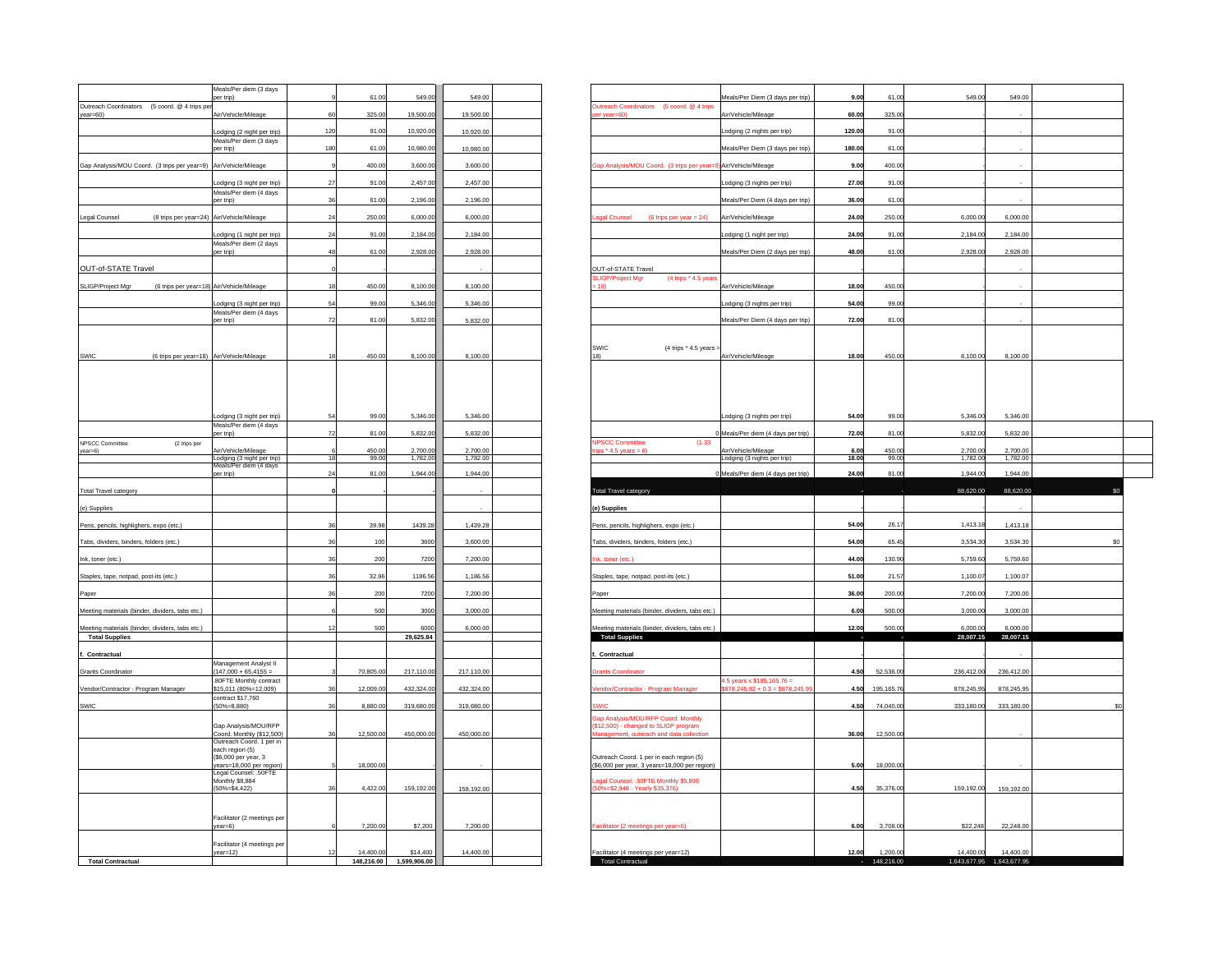|                                                             | Meals/Per diem (3 days                               |     |                         |                          |            |                                                                                                           |                           |
|-------------------------------------------------------------|------------------------------------------------------|-----|-------------------------|--------------------------|------------|-----------------------------------------------------------------------------------------------------------|---------------------------|
|                                                             | er trip)                                             |     | 61.00                   | 549.0                    | 549.00     | 61.00<br>549.00<br>Meals/Per Diem (3 days per trip)<br>9.00                                               | 549.00                    |
| Outreach Coordinators (5 coord, @ 4 trips pe<br>$year=60$ ) | Air/Vehicle/Mileage                                  | 60  | 325.00                  | 19,500.00                | 19,500.00  | Dutreach Coordinators (5 coord, @ 4 trips<br>Air/Vehicle/Mileage<br>325.00<br>60.00<br>er year=60)        |                           |
|                                                             |                                                      |     |                         |                          |            |                                                                                                           |                           |
|                                                             | Lodging (2 night per trip)<br>Meals/Per diem (3 days | 120 | 91.00                   | 10,920.00                | 10,920.00  | odging (2 nights per trip)<br>120.00<br>91.00                                                             |                           |
|                                                             | per trip)                                            | 180 | 61.00                   | 10,980.00                | 10,980.00  | 61.00<br>Meals/Per Diem (3 days per trip)<br>180.00                                                       |                           |
| Gap Analysis/MOU Coord. (3 trips per year=9)                | Air/Vehicle/Mileage                                  |     | 400.00                  | 3,600.00                 | 3,600.00   | ap Analysis/MOU Coord. (3 trips per year<br>Air/Vehicle/Mileage<br>9.00<br>400.00                         |                           |
|                                                             |                                                      |     |                         |                          |            |                                                                                                           |                           |
|                                                             | odging (3 night per trip)                            | 27  | 91.00                   | 2.457.00                 | 2.457.00   | odging (3 nights per trip)<br>27.00<br>91.00                                                              |                           |
|                                                             | Meals/Per diem (4 days<br>per trip)                  | 36  | 61.00                   | 2,196.00                 | 2,196.00   | 61.00<br>Meals/Per Diem (4 days per trip)<br>36.00                                                        |                           |
|                                                             |                                                      |     |                         |                          |            |                                                                                                           |                           |
| Legal Counsel<br>(8 trips per year=24)                      | Air/Vehicle/Mileage                                  | 24  | 250.0                   | 6,000.00                 | 6,000.00   | <b>agal Counsel</b><br>(6 trips per year $= 24$ )<br>Air/Vehicle/Mileage<br>24.00<br>250.00<br>6,000.00   | 6,000.00                  |
|                                                             | Lodging (1 night per trip)                           | 24  | 91.00                   | 2,184.00                 | 2,184.00   | 91.00<br>2,184.00<br>24.00<br>Lodging (1 night per trip)                                                  | 2,184.00                  |
|                                                             | Meals/Per diem (2 days<br>per trip)                  | 48  | 61.00                   | 2,928.00                 | 2,928.00   | 48.00<br>61.00<br>2,928.00<br>Meals/Per Diem (2 days per trip)                                            | 2,928.00                  |
|                                                             |                                                      |     |                         |                          |            |                                                                                                           |                           |
| OUT-of-STATE Travel                                         |                                                      |     |                         |                          |            | OUT-of-STATE Travel<br><b>SLIGP/Project Mgr</b><br>(4 trips * 4.5 years                                   |                           |
| SLIGP/Project Mgr                                           | (6 trips per year=18) Air/Vehicle/Mileage            | 18  | 450.0                   | 8,100.00                 | 8,100.00   | 18)<br>Air/Vehicle/Mileage<br>18.00<br>450.0                                                              |                           |
|                                                             | odging (3 night per trip)                            | 54  | 99.00                   | 5,346.00                 | 5,346.00   | Lodging (3 nights per trip)<br>54.00<br>99.00                                                             |                           |
|                                                             | Meals/Per diem (4 days                               |     |                         |                          |            |                                                                                                           |                           |
|                                                             | per trip)                                            | 72  | 81.00                   | 5,832.00                 | 5,832.00   | Meals/Per Diem (4 days per trip)<br>81.00<br>72.00                                                        |                           |
|                                                             |                                                      |     |                         |                          |            |                                                                                                           |                           |
|                                                             |                                                      | 18  | 450.00                  | 8,100.00                 | 8,100.00   | <b>SWIC</b><br>(4 trips * 4.5 years<br>18)<br>18.00<br>450.00<br>8,100.00                                 | 8,100.00                  |
| SWIC                                                        | (6 trips per year=18) Air/Vehicle/Mileage            |     |                         |                          |            | Air/Vehicle/Mileage                                                                                       |                           |
|                                                             |                                                      |     |                         |                          |            |                                                                                                           |                           |
|                                                             |                                                      |     |                         |                          |            |                                                                                                           |                           |
|                                                             |                                                      |     |                         |                          |            |                                                                                                           |                           |
|                                                             | Lodging (3 night per trip)                           | 54  | 99.00                   | 5,346.00                 | 5,346.00   | 5,346.00<br>54.00<br>99.00<br>Lodging (3 nights per trip)                                                 | 5,346.00                  |
|                                                             | Meals/Per diem (4 days                               |     |                         |                          |            |                                                                                                           |                           |
| <b>NPSCC Committee</b><br>(2 trips per                      | per trip)                                            | 72  | 81.0                    | 5,832.00                 | 5.832.00   | 81.00<br>5,832.00<br>Meals/Per diem (4 days per trip)<br>72.00<br><b>NPSCC Committee</b><br>(1.33)        | 5,832.00                  |
| year=6)                                                     | Air/Vehicle/Mileage                                  |     | 450.0                   | 2,700.00                 | 2,700.00   | Air/Vehicle/Mileage<br>450.00<br>2,700.00<br>ips $*$ 4.5 years = 6)<br>6.0                                | 2,700.00                  |
|                                                             | Lodging (3 night per trip)<br>Meals/Per diem (4 days | 18  | 99.0                    | 1,782.00                 | 1,782.00   | 18.00<br>99.00<br>1,782.00<br>Lodging (3 nights per trip)                                                 | 1,782.00                  |
|                                                             | per trip)                                            | 24  | 81.00                   | 1,944.00                 | 1,944.00   | 0 Meals/Per diem (4 days per trip)<br>81.00<br>24.00<br>1.944.00                                          | 1.944.00                  |
| <b>Total Travel category</b>                                |                                                      |     |                         |                          |            | otal Travel category<br>88,620.00                                                                         | 88,620.0                  |
|                                                             |                                                      |     |                         |                          |            |                                                                                                           |                           |
| (e) Supplies                                                |                                                      |     |                         |                          |            | (e) Supplies                                                                                              |                           |
| Pens, pencils, highlighers, expo (etc.)                     |                                                      | 36  | 39.98                   | 1439.28                  | 1.439.28   | 26.17<br>1.413.18<br>Pens, pencils, highlighers, expo (etc.)<br>54.00                                     | 1,413.18                  |
| Tabs, dividers, binders, folders (etc.)                     |                                                      | 36  | 100                     | 3600                     | 3,600.00   | Tabs, dividers, binders, folders (etc.)<br>54.00<br>65.45<br>3,534.30                                     | 3,534.30                  |
|                                                             |                                                      | 36  | 200                     |                          |            | hk, toner (etc.)<br>44.00<br>130.90<br>5,759.60                                                           |                           |
| Ink, toner (etc.)                                           |                                                      |     |                         | 7200                     | 7,200.00   |                                                                                                           | 5,759.60                  |
| Staples, tape, notpad, post-its (etc.)                      |                                                      | 36  | 32.96                   | 1186.56                  | 1,186.56   | 51.00<br>21.57<br>1,100.07<br>Staples, tape, notpad, post-its (etc.)                                      | 1,100.07                  |
| Paper                                                       |                                                      | ٩Ŕ  | 200                     | 7200                     | 7,200.00   | 200.00<br>7,200.00<br>36.00<br>Paper                                                                      | 7,200.00                  |
|                                                             |                                                      |     | 500                     | 3000                     | 3,000.00   | 3,000.00<br>500.00<br>6.00                                                                                |                           |
| Meeting materials (binder, dividers, tabs etc.)             |                                                      |     |                         |                          |            | Meeting materials (binder, dividers, tabs etc.)                                                           | 3,000.00                  |
| Meeting materials (binder, dividers, tabs etc.)             |                                                      |     | 500                     | 6000                     | 6,000.00   | Meeting materials (binder, dividers, tabs etc.)<br>12.00<br>500.00<br>6,000.00                            | 6,000.00                  |
| <b>Total Supplies</b>                                       |                                                      |     |                         | 29,625.84                |            | 28,007.15<br><b>Total Supplies</b>                                                                        | 28,007.15                 |
| Contractual                                                 |                                                      |     |                         |                          |            | Contractual                                                                                               |                           |
| <b>Grants Coordinator</b>                                   | Management Analyst II<br>$(147,000 + 65,4155 =$      |     | 70,805.00               | 217,110.00               | 217,110.00 | 52,536.00<br>236,412.00<br><b>Irants Coordinator</b><br>4.50                                              | 236,412.00                |
|                                                             | .80FTE Monthly contract                              | 36  |                         |                          |            | 4.5 years x \$195,165.76 =<br>tractor - Program Manage<br>$878,245.92 + 0.3 = $878,245$<br>4.50           |                           |
| Vendor/Contractor - Program Manager                         | \$15,011 (80%=12,009)<br>contract \$17,760           |     | 12,009.0                | 432,324.00               | 432,324.00 | 195,165.76<br>878,245.95                                                                                  | 878,245.95                |
| SWIC                                                        | $(50\% = 8, 880)$                                    | 36  | 8,880.00                | 319,680.00               | 319,680.00 | 4.50<br>74,040.00<br>333,180.00<br>:WK                                                                    | 333,180.00                |
|                                                             | Gap Analysis/MOU/RFP                                 |     |                         |                          |            | Sap Analysis/MOU/RFP Coord. Monthly<br>\$12,500) - changed to SLIGP program                               |                           |
|                                                             | Coord. Monthly (\$12,500)                            | 36  | 12,500.00               | 450,000.00               | 450,000.00 | lanagement, outreach and data collection<br>12,500.0<br>36.00                                             |                           |
|                                                             | Outreach Coord. 1 per in<br>each region (5)          |     |                         |                          |            |                                                                                                           |                           |
|                                                             | (\$6,000 per year, 3)                                |     |                         |                          |            | Outreach Coord, 1 per in each region (5)                                                                  |                           |
|                                                             | years=18,000 per region)<br>Legal Counsel: .50FTE    |     | 18,000.00               |                          |            | (\$6,000 per year, 3 years=18,000 per region).<br>18,000.0<br>5.00                                        |                           |
|                                                             | Monthly \$8,884<br>$(50\% = $4,422)$                 | 36  | 4,422.00                | 159,192.00               | 159,192.00 | egal Counsel: .50FTE Monthly \$5,896<br>50%=\$2,948 - Yearly \$35,376)<br>35,376.00<br>159,192.00<br>4.50 | 159,192.00                |
|                                                             |                                                      |     |                         |                          |            |                                                                                                           |                           |
|                                                             |                                                      |     |                         |                          |            |                                                                                                           |                           |
|                                                             | Facilitator (2 meetings per<br>$year=6)$             |     | 7,200.00                | \$7,200                  | 7,200.00   | acilitator (2 meetings per year=6)<br>6.00<br>3,708.00<br>\$22,248                                        | 22,248.00                 |
|                                                             |                                                      |     |                         |                          |            |                                                                                                           |                           |
|                                                             | Facilitator (4 meetings per                          |     |                         |                          |            | 12.00<br>1.200.00<br>14,400.00                                                                            | 14,400.00                 |
| <b>Total Contractual</b>                                    | $year=12)$                                           |     | 14,400.00<br>148,216.00 | \$14,400<br>1,599,906.00 | 14,400.00  | Facilitator (4 meetings per year=12)<br><b>Total Contractual</b><br>148,216.00                            | 1,643,677.95 1,643,677.95 |
|                                                             |                                                      |     |                         |                          |            |                                                                                                           |                           |

| per trip)                                                                | Meals/Per diem (3 days                                      | 61.00          | 549.00               | 549.00               |     |                                                                              | Meals/Per Diem (3 days per trip)                                  | 9.00          | 61.00                  | 549.00                | 549.00                                 |     |
|--------------------------------------------------------------------------|-------------------------------------------------------------|----------------|----------------------|----------------------|-----|------------------------------------------------------------------------------|-------------------------------------------------------------------|---------------|------------------------|-----------------------|----------------------------------------|-----|
| Outreach Coordinators (5 coord. @ 4 trips per                            | 60                                                          |                |                      |                      |     | Outreach Coordinators (5 coord. @ 4 trips                                    |                                                                   |               |                        |                       |                                        |     |
| year=60)                                                                 | Air/Vehicle/Mileage                                         | 325.00         | 19,500.00            | 19,500.00            |     | per year=60)                                                                 | Air/Vehicle/Mileage                                               | 60.00         | 325.00                 |                       |                                        |     |
|                                                                          | 120<br>odging (2 night per trip)<br>Meals/Per diem (3 days  | 91.00          | 10,920.00            | 10,920.00            |     |                                                                              | Lodging (2 nights per trip)                                       | 120.00        | 91.00                  |                       |                                        |     |
| per trip)                                                                | 180                                                         | 61.0           | 10,980.00            | 10,980.00            |     |                                                                              | Meals/Per Diem (3 days per trip)                                  | 180.00        | 61.00                  |                       |                                        |     |
| Gap Analysis/MOU Coord. (3 trips per year=9) Air/Vehicle/Mileage         |                                                             | 400.0          | 3,600.00             | 3,600.00             |     | Gap Analysis/MOU Coord. (3 trips per year=9) Air/Vehicle/Mileage             |                                                                   | 9.00          | 400.00                 |                       |                                        |     |
|                                                                          | 27<br>odging (3 night per trip).                            | 91.0           | 2,457.00             | 2,457.00             |     |                                                                              | Lodging (3 nights per trip)                                       | 27.00         | 91.00                  |                       |                                        |     |
| per trip)                                                                | Meals/Per diem (4 days<br>36                                | 61.0           | 2,196.00             | 2,196.00             |     |                                                                              | Meals/Per Diem (4 days per trip)                                  | 36.00         | 61.00                  |                       |                                        |     |
| (8 trips per year=24) Air/Vehicle/Mileage<br>Legal Counsel               | 24                                                          | 250.0          | 6,000.00             | 6,000.00             |     | egal Counsel (6 trips per year = 24)                                         | Air/Vehicle/Mileage                                               | 24.00         | 250.00                 | 6,000.00              | 6,000.00                               |     |
|                                                                          | 24                                                          |                |                      |                      |     |                                                                              |                                                                   |               |                        |                       |                                        |     |
|                                                                          | Lodging (1 night per trip)<br>Meals/Per diem (2 days        | 91.0           | 2,184.00             | 2,184.00             |     |                                                                              | Lodging (1 night per trip)                                        | 24.00         | 91.00                  | 2,184.00              | 2,184.00                               |     |
| per trip)                                                                | 48                                                          | 61.0           | 2,928.00             | 2,928.00             |     |                                                                              | Meals/Per Diem (2 days per trip)                                  | 48.00         | 61.00                  | 2,928.00              | 2,928.00                               |     |
| OUT-of-STATE Travel                                                      |                                                             |                |                      |                      |     | OUT-of-STATE Travel<br>(4 trips * 4.5 year<br><b>SLIGP/Project Mgr</b>       |                                                                   |               |                        |                       |                                        |     |
| SLIGP/Project Mgr<br>(6 trips per year=18) Air/Vehicle/Mileage           | 18                                                          | 450.00         | 8,100.00             | 8,100.00             |     | 18)                                                                          | Air/Vehicle/Mileage                                               | 18.00         | 450.00                 |                       |                                        |     |
|                                                                          | 54<br>Lodging (3 night per trip)                            | 99.00          | 5,346.00             | 5,346.00             |     |                                                                              | Lodging (3 nights per trip)                                       | 54.00         | 99.00                  |                       |                                        |     |
| per trip)                                                                | Meals/Per diem (4 days<br>72                                | 81.0           | 5,832.00             | 5,832.00             |     |                                                                              | Meals/Per Diem (4 days per trip)                                  | 72.00         | 81.00                  |                       |                                        |     |
|                                                                          |                                                             |                |                      |                      |     |                                                                              |                                                                   |               |                        |                       |                                        |     |
|                                                                          |                                                             |                |                      |                      |     | <b>SWIC</b><br>(4 trips * 4.5 years                                          |                                                                   |               |                        |                       |                                        |     |
| SWIC<br>(6 trips per year=18) Air/Vehicle/Mileage                        | 18                                                          | 450.00         | 8,100.00             | 8,100.00             | 18) |                                                                              | Air/Vehicle/Mileage                                               | 18.00         | 450.00                 | 8,100.00              | 8,100.00                               |     |
|                                                                          |                                                             |                |                      |                      |     |                                                                              |                                                                   |               |                        |                       |                                        |     |
|                                                                          |                                                             |                |                      |                      |     |                                                                              |                                                                   |               |                        |                       |                                        |     |
|                                                                          |                                                             |                |                      |                      |     |                                                                              |                                                                   |               |                        |                       |                                        |     |
|                                                                          | 54<br>Lodging (3 night per trip)<br>Meals/Per diem (4 days  | 99.0           | 5,346.00             | 5,346.00             |     |                                                                              | Lodging (3 nights per trip)                                       | 54.00         | 99.00                  | 5,346.00              | 5,346.00                               |     |
| er trip)<br>NPSCC Committee<br>(2 trips per                              | 72                                                          | 81.0           | 5,832.00             | 5,832.00             |     | <b>NPSCC Committee</b><br>(1.33)                                             | Meals/Per diem (4 days per trip)                                  | 72.00         | 81.00                  | 5,832.00              | 5,832.00                               |     |
| year=6)                                                                  | Air/Vehicle/Mileage<br>18                                   | 450.00<br>99.0 | 2,700.00<br>1,782.00 | 2,700.00<br>1,782.00 |     | $\cos$ * 4.5 years = 6)                                                      | Air/Vehicle/Mileage                                               | 6.00<br>18.00 | 450.00<br>99.00        | 2,700.00<br>1,782.00  | 2,700.00<br>1,782.00                   |     |
| per trip)                                                                | Lodging (3 night per trip)<br>Meals/Per diem (4 days<br>24  | 81.0           | 1,944.00             | 1.944.00             |     |                                                                              | Lodging (3 nights per trip)<br>0 Meals/Per diem (4 days per trip) | 24.00         | 81.00                  | 1,944.00              | 1,944.00                               |     |
|                                                                          |                                                             |                |                      |                      |     |                                                                              |                                                                   |               |                        |                       |                                        |     |
| <b>Total Travel category</b>                                             |                                                             |                |                      |                      |     | Total Travel category                                                        |                                                                   |               |                        | 88,620.00             | 88,620.00                              |     |
| (e) Supplies                                                             |                                                             |                |                      |                      |     | (e) Supplies                                                                 |                                                                   |               |                        |                       |                                        |     |
| Pens, pencils, highlighers, expo (etc.)                                  | 36                                                          | 39.98          | 1439.28              | 1,439.28             |     | Pens, pencils, highlighers, expo (etc.)                                      |                                                                   | 54.00         | 26.17                  | 1,413.18              | 1,413.18                               |     |
| Tabs, dividers, binders, folders (etc.)                                  | 36                                                          | 100            | 3600                 | 3,600.00             |     | Tabs, dividers, binders, folders (etc.)                                      |                                                                   | 54.00         | 65.45                  | 3,534.30              | 3.534.30                               | \$C |
| Ink, toner (etc.)                                                        |                                                             | 200            | 7200                 | 7,200.00             |     | Ink, toner (etc.)                                                            |                                                                   | 44.00         | 130.90                 | 5,759.60              | 5,759.60                               |     |
| Staples, tape, notpad, post-its (etc.)                                   |                                                             | 32.96          | 1186.56              | 1,186.56             |     | Staples, tape, notpad, post-its (etc.)                                       |                                                                   | 51.00         | 21.57                  | 1,100.07              | 1,100.07                               |     |
|                                                                          |                                                             |                |                      |                      |     |                                                                              |                                                                   |               |                        |                       |                                        |     |
| Paper                                                                    |                                                             | 200            | 7200                 | 7,200.00             |     | Paper                                                                        |                                                                   | 36.00         | 200.00                 | 7,200.00              | 7,200.00                               |     |
| Meeting materials (binder, dividers, tabs etc.)                          |                                                             | 500            | 3000                 | 3,000.00             |     | Meeting materials (binder, dividers, tabs etc.)                              |                                                                   | 6.00          | 500.00                 | 3,000.00              | 3,000.00                               |     |
| Meeting materials (binder, dividers, tabs etc.)<br><b>Total Supplies</b> |                                                             | 500            | 6000<br>29,625.84    | 6,000.00             |     | leeting materials (binder, dividers, tabs etc.)<br><b>Total Supplies</b>     |                                                                   | 12.00         | 500.00                 | 6,000.00<br>28,007.15 | 6,000.00<br>28,007.15                  |     |
|                                                                          |                                                             |                |                      |                      |     |                                                                              |                                                                   |               |                        |                       |                                        |     |
| f. Contractual                                                           | Management Analyst II                                       |                |                      |                      |     | Contractual                                                                  |                                                                   |               |                        |                       |                                        |     |
| Grants Coordinator                                                       | $(147,000 + 65,4155 =$<br>80FTE Monthly contract            | 70,805.0       | 217,110.00           | 217,110.00           |     | ants Coordinato                                                              |                                                                   | 4.50          | 52,536.0               | 236,412.00            | 236,412.00                             |     |
| Vendor/Contractor - Program Manager                                      | \$15.011 (80%=12.009)<br>36<br>contract \$17,760            | 12,009.0       | 432.324.00           | 432,324.00           |     | endor/Contractor - Program Manager                                           | 4.5 years x \$195,165.76 =<br>\$878,245.92 + 0.3 = \$878,245.9    | 4.50          | 195, 165, 7            | 878,245.95            | 878,245.95                             |     |
| SWIC                                                                     | $(50\% = 8.880)$<br>36                                      | 8,880.0        | 319,680.00           | 319,680.00           |     |                                                                              |                                                                   | 4.50          | 74,040.00              | 333,180.00            | 333,180.00                             |     |
|                                                                          | Gap Analysis/MOU/RFP                                        |                |                      |                      |     | Gap Analysis/MOU/RFP Coord. Monthly<br>(\$12,500) - changed to SLIGP program |                                                                   |               |                        |                       |                                        |     |
|                                                                          | Coord. Monthly (\$12,500)<br>36<br>Outreach Coord. 1 per in | 12,500.0       | 450,000.00           | 450,000.00           |     | anagement, outreach and data collection                                      |                                                                   | 36.00         | 12,500.0               |                       |                                        |     |
|                                                                          | each region (5)<br>(\$6,000 per year, 3                     |                |                      |                      |     | Outreach Coord. 1 per in each region (5)                                     |                                                                   |               |                        |                       |                                        |     |
|                                                                          | ears=18,000 per region)                                     | 18,000.0       |                      |                      |     | (\$6,000 per year, 3 years=18,000 per region                                 |                                                                   | 5.00          | 18,000.0               |                       |                                        |     |
|                                                                          | Legal Counsel: .50FTE<br>Monthly S8 884                     |                |                      |                      |     | egal Counsel: .50FTE Monthly \$5,896                                         |                                                                   |               |                        |                       |                                        |     |
|                                                                          | $(50\% = $4,422)$<br>36                                     | 4,422.00       | 159,192.00           | 159,192.00           |     | (50%=\$2,948 - Yearly \$35,376)                                              |                                                                   | 4.50          | 35,376.00              | 159,192.00            | 159,192.00                             |     |
|                                                                          |                                                             |                |                      |                      |     |                                                                              |                                                                   |               |                        |                       |                                        |     |
| year=6)                                                                  | Facilitator (2 meetings per                                 | 7,200.00       | \$7,200              | 7,200.00             |     | Facilitator (2 meetings per year=6)                                          |                                                                   | 6.00          | 3,708.00               | \$22,248              | 22,248.00                              |     |
|                                                                          | Facilitator (4 meetings per                                 |                |                      |                      |     |                                                                              |                                                                   |               |                        |                       |                                        |     |
|                                                                          | $year=12)$                                                  | 14,400.00      | \$14,400             | 14,400.00            |     | Facilitator (4 meetings per year=12)<br><b>Total Contractual</b>             |                                                                   | 12.00         | 1,200.00<br>148,216.00 | 14,400.00             | 14,400.00<br>1,643,677.95 1,643,677.95 |     |
| <b>Total Contractual</b>                                                 |                                                             | 148,216.00     | 1,599,906.00         |                      |     |                                                                              |                                                                   |               |                        |                       |                                        |     |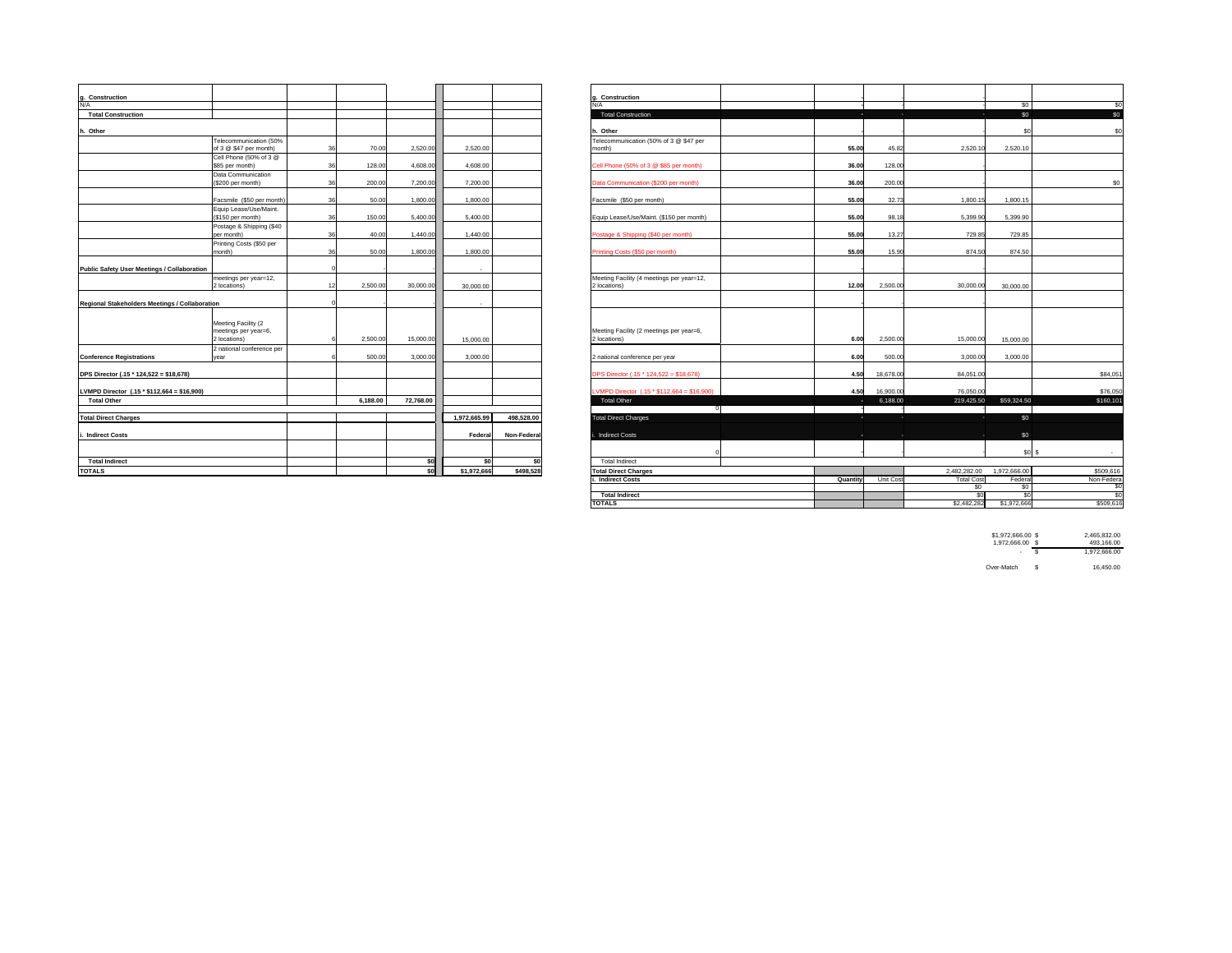| Construction                                   |                           |    |          |           |              |             | Construction                                |       |           |              |                 |
|------------------------------------------------|---------------------------|----|----------|-----------|--------------|-------------|---------------------------------------------|-------|-----------|--------------|-----------------|
| N/A                                            |                           |    |          |           |              |             | N/A                                         |       |           |              | <sub>SC</sub>   |
| <b>Total Construction</b>                      |                           |    |          |           |              |             | <b>Total Construction</b>                   | ٠.    | и.        |              | <b>SC</b>       |
|                                                |                           |    |          |           |              |             |                                             |       |           |              |                 |
| Other                                          |                           |    |          |           |              |             | h. Other                                    |       |           |              | s               |
|                                                | Telecommunication (50%    |    |          |           |              |             | Telecommunication (50% of 3 @ \$47 per      |       |           |              |                 |
|                                                | of 3 @ \$47 per month)    | 36 | 70.00    | 2,520.00  | 2.520.00     |             | month)                                      | 55.00 | 45.82     | 2,520.10     | 2,520.10        |
|                                                | Cell Phone (50% of 3 @    |    |          |           |              |             |                                             |       |           |              |                 |
|                                                | \$85 per month)           | 36 | 128.00   | 4,608.00  | 4.608.00     |             | Cell Phone (50% of 3 @ \$85 per month)      | 36.00 | 128.00    |              |                 |
|                                                | Data Communication        |    |          |           |              |             |                                             |       |           |              |                 |
|                                                | (\$200 per month)         | 36 | 200.00   | 7,200.00  | 7.200.00     |             | Data Communication (\$200 per month)        | 36.00 | 200.00    |              |                 |
|                                                | Facsmile (\$50 per month) | 36 | 50.00    | 1,800.00  | 1.800.00     |             | Facsmile (\$50 per month)                   | 55.00 | 32.73     | 1.800.15     | 1.800.15        |
|                                                | Equip Lease/Use/Maint.    |    |          |           |              |             |                                             |       |           |              |                 |
|                                                | (\$150 per month)         | 36 | 150.00   | 5,400.00  | 5.400.00     |             | Equip Lease/Use/Maint, (\$150 per month)    | 55.00 | 98.18     | 5.399.90     | 5,399.90        |
|                                                | Postage & Shipping (\$40  |    |          |           |              |             |                                             |       |           |              |                 |
|                                                | per month)                | 36 | 40.00    | 1,440.00  | 1,440.00     |             | Postage & Shipping (\$40 per month)         | 55.00 | 13.27     | 729.85       | 729.85          |
|                                                | Printing Costs (\$50 per  |    |          |           |              |             |                                             |       |           |              |                 |
|                                                | month)                    | 36 | 50.00    | 1,800.00  | 1.800.00     |             | Printing Costs (\$50 per month)             | 55.00 | 15.90     | 874.50       | 874.50          |
|                                                |                           |    |          |           |              |             |                                             |       |           |              |                 |
| Public Safety User Meetings / Collaboration    |                           |    |          |           |              |             |                                             |       |           |              |                 |
|                                                | meetings per year=12,     |    |          |           |              |             | Meeting Facility (4 meetings per year=12,   |       |           |              |                 |
|                                                | 2 locations)              |    | 2,500.00 | 30,000.00 | 30,000.00    |             | 2 locations)                                | 12.00 | 2,500.00  | 30,000,00    | 30,000.00       |
|                                                |                           |    |          |           |              |             |                                             |       |           |              |                 |
| Regional Stakeholders Meetings / Collaboration |                           |    |          |           |              |             |                                             |       |           |              |                 |
|                                                |                           |    |          |           |              |             |                                             |       |           |              |                 |
|                                                | Meeting Facility (2       |    |          |           |              |             |                                             |       |           |              |                 |
|                                                | meetings per year=6,      |    |          |           |              |             | Meeting Facility (2 meetings per year=6,    |       |           |              |                 |
|                                                | 2 locations)              |    | 2,500.00 | 15,000.00 | 15,000.00    |             | 2 locations)                                | 6.00  | 2,500.00  | 15,000.00    | 15,000.00       |
|                                                | 2 national conference per |    |          |           |              |             |                                             |       |           |              |                 |
| <b>Conference Registrations</b>                | year                      |    | 500.00   | 3,000.00  | 3,000.00     |             | 2 national conference per year              | 6.00  | 500.00    | 3,000.00     | 3,000.00        |
|                                                |                           |    |          |           |              |             | DPS Director (.15 * 124,522 = \$18,678)     |       | 18,678.00 | 84,051.00    |                 |
| DPS Director (.15 * 124,522 = \$18,678)        |                           |    |          |           |              |             |                                             | 4.50  |           |              |                 |
| LVMPD Director (.15 * \$112,664 = \$16,900)    |                           |    |          |           |              |             | LVMPD Director (.15 * \$112,664 = \$16,900) | 4.50  | 16,900.00 | 76,050.00    |                 |
| <b>Total Other</b>                             |                           |    | 6.188.00 | 72,768.00 |              |             | <b>Total Other</b>                          | . .   | 6,188.00  | 219,425.50   | \$59,324.5      |
|                                                |                           |    |          |           |              |             | $\circ$                                     |       |           |              |                 |
| <b>Total Direct Charges</b>                    |                           |    |          |           | 1,972,665.99 | 498.528.00  | <b>Total Direct Charges</b>                 | ж.    | м.        | и.           | \$0             |
|                                                |                           |    |          |           |              |             |                                             |       |           |              |                 |
| <b>Indirect Costs</b>                          |                           |    |          |           | Federal      | Non-Federal | <b>Indirect Costs</b>                       | н.    | и.        | и.           | \$ <sub>0</sub> |
|                                                |                           |    |          |           |              |             |                                             |       |           |              |                 |
|                                                |                           |    |          |           |              |             |                                             |       |           |              | s               |
| <b>Total Indirect</b>                          |                           |    |          | \$0       | <b>SO</b>    | \$0         | <b>Total Indirect</b>                       |       |           |              |                 |
| <b>TOTALS</b>                                  |                           |    |          | \$0       | \$1,972,666  | \$498,528   | <b>Total Direct Charges</b>                 |       |           | 2.482.282.00 | 1.972,666.00    |

| g. Construction                                |                                                  |    |          |           |              |             | Construction                                     |          |                  |                   |                |            |
|------------------------------------------------|--------------------------------------------------|----|----------|-----------|--------------|-------------|--------------------------------------------------|----------|------------------|-------------------|----------------|------------|
| N/A                                            |                                                  |    |          |           |              |             | N/A                                              |          |                  |                   | \$0            | \$0        |
| <b>Total Construction</b>                      |                                                  |    |          |           |              |             | <b>Total Construction</b>                        | н.       | - 11             |                   | \$0            | \$0        |
|                                                |                                                  |    |          |           |              |             |                                                  |          |                  |                   |                |            |
| h. Other                                       |                                                  |    |          |           |              |             | Other                                            |          |                  |                   | S)             | \$0        |
|                                                | Telecommunication (50%<br>of 3 @ \$47 per month) |    | 70.00    | 2,520.00  | 2.520.00     |             | Telecommunication (50% of 3 @ \$47 per<br>month) | 55.00    | 45.82            | 2,520.10          | 2,520.10       |            |
|                                                | Cell Phone (50% of 3 @                           |    |          |           |              |             |                                                  |          |                  |                   |                |            |
|                                                | \$85 per month)                                  | 36 | 128.00   | 4,608.00  | 4.608.00     |             | Cell Phone (50% of 3 @ \$85 per month)           | 36.00    | 128.00           |                   |                |            |
|                                                | Data Communication<br>(\$200 per month)          | 36 | 200.00   | 7,200.00  | 7,200.00     |             | Data Communication (\$200 per month)             | 36.00    | 200.00           |                   |                | \$0        |
|                                                | Facsmile (\$50 per month)                        | 36 | 50.00    | 1,800.00  | 1,800.00     |             | Facsmile (\$50 per month)                        | 55.00    | 32.73            | 1,800.15          | 1.800.15       |            |
|                                                | Equip Lease/Use/Maint.                           |    |          |           |              |             |                                                  |          |                  |                   |                |            |
|                                                | (\$150 per month)<br>Postage & Shipping (\$40    | 36 | 150.00   | 5,400.00  | 5,400.00     |             | Equip Lease/Use/Maint. (\$150 per month)         | 55.00    | 98.18            | 5,399.90          | 5.399.90       |            |
|                                                | per month)                                       | 36 | 40.00    | 1,440.00  | 1.440.00     |             | Postage & Shipping (\$40 per month)              | 55.00    | 13.27            | 729.85            | 729.85         |            |
|                                                | Printing Costs (\$50 per<br>month)               | 36 | 50.00    | 1,800.00  | 1.800.00     |             | Printing Costs (\$50 per month)                  | 55.00    | 15.90            | 874.50            | 874.50         |            |
| Public Safety User Meetings / Collaboration    |                                                  |    |          |           | $\sim$       |             |                                                  |          |                  |                   |                |            |
|                                                | meetings per year=12,                            |    |          |           |              |             | Meeting Facility (4 meetings per year=12,        |          |                  |                   |                |            |
|                                                | 2 locations)                                     | 12 | 2,500.00 | 30,000.00 | 30,000.00    |             | 2 locations)                                     | 12.00    | 2,500.00         | 30,000,00         | 30,000.00      |            |
| Regional Stakeholders Meetings / Collaboration |                                                  |    |          |           | - 1          |             |                                                  |          |                  |                   |                |            |
|                                                | Meeting Facility (2                              |    |          |           |              |             |                                                  |          |                  |                   |                |            |
|                                                | meetings per year=6,                             |    |          |           |              |             | Meeting Facility (2 meetings per year=6,         |          |                  |                   |                |            |
|                                                | 2 locations)<br>2 national conference per        |    | 2,500.00 | 15,000.00 | 15,000.00    |             | 2 locations)                                     | 6.00     | 2,500.00         | 15,000.00         | 15,000.00      |            |
| <b>Conference Registrations</b>                | vear                                             |    | 500.00   | 3,000.00  | 3,000.00     |             | 2 national conference per year                   | 6.00     | 500.00           | 3,000.00          | 3,000.00       |            |
| DPS Director (.15 * 124.522 = \$18.678)        |                                                  |    |          |           |              |             | DPS Director (.15 * 124,522 = \$18,678)          | 4.50     | 18,678.00        | 84,051.00         |                | \$84,05    |
| LVMPD Director (.15 * \$112,664 = \$16,900)    |                                                  |    |          |           |              |             | VMPD Director (.15 * \$112,664 = \$16,900)       | 4.50     | 16,900.00        | 76,050,00         |                | \$76,050   |
| <b>Total Other</b>                             |                                                  |    | 6,188,00 | 72,768.00 |              |             | <b>Total Other</b>                               | н.       | 6.188.00         | 219,425.50        | \$59,324.50    | \$160,101  |
|                                                |                                                  |    |          |           |              |             | $\circ$                                          |          |                  |                   |                |            |
| <b>Total Direct Charges</b>                    |                                                  |    |          |           | 1,972,665.99 | 498,528.00  | <b>Total Direct Charges</b>                      | н.       |                  | л.                | \$0            |            |
| <b>Indirect Costs</b>                          |                                                  |    |          |           | Federal      | Non-Federal | . Indirect Costs                                 | н.       |                  | ×.                | \$0            |            |
|                                                |                                                  |    |          |           |              |             |                                                  |          |                  |                   | sol s          | $\sim$     |
| <b>Total Indirect</b>                          |                                                  |    |          | \$0       | sol          | \$0         | <b>Total Indirect</b>                            |          |                  |                   |                |            |
| <b>TOTALS</b>                                  |                                                  |    |          | \$0       | \$1,972,666  | \$498,528   | <b>Total Direct Charges</b>                      |          |                  | 2,482,282.00      | 1,972,666.00   | \$509,616  |
|                                                |                                                  |    |          |           |              |             | <b>Indirect Costs</b>                            | Quantity | <b>Unit Cost</b> | <b>Total Cost</b> | Federa         | Non-Federa |
|                                                |                                                  |    |          |           |              |             |                                                  |          |                  | \$0               | \$0            | \$ſ        |
|                                                |                                                  |    |          |           |              |             | <b>Total Indirect</b>                            |          |                  | <sub>\$0</sub>    | S <sub>0</sub> | \$0        |
|                                                |                                                  |    |          |           |              |             | <b>TOTALS</b>                                    |          |                  | \$2,482,282       | \$1,972,666    | \$509,616  |
|                                                |                                                  |    |          |           |              |             |                                                  |          |                  |                   |                |            |

| \$1,972,666.00 \$<br>1.972.666.00 |   | 2.465.832.00<br>493.166.00 |
|-----------------------------------|---|----------------------------|
| ٠                                 |   | 1.972.666.00               |
| Over-Match                        | s | 16,450.00                  |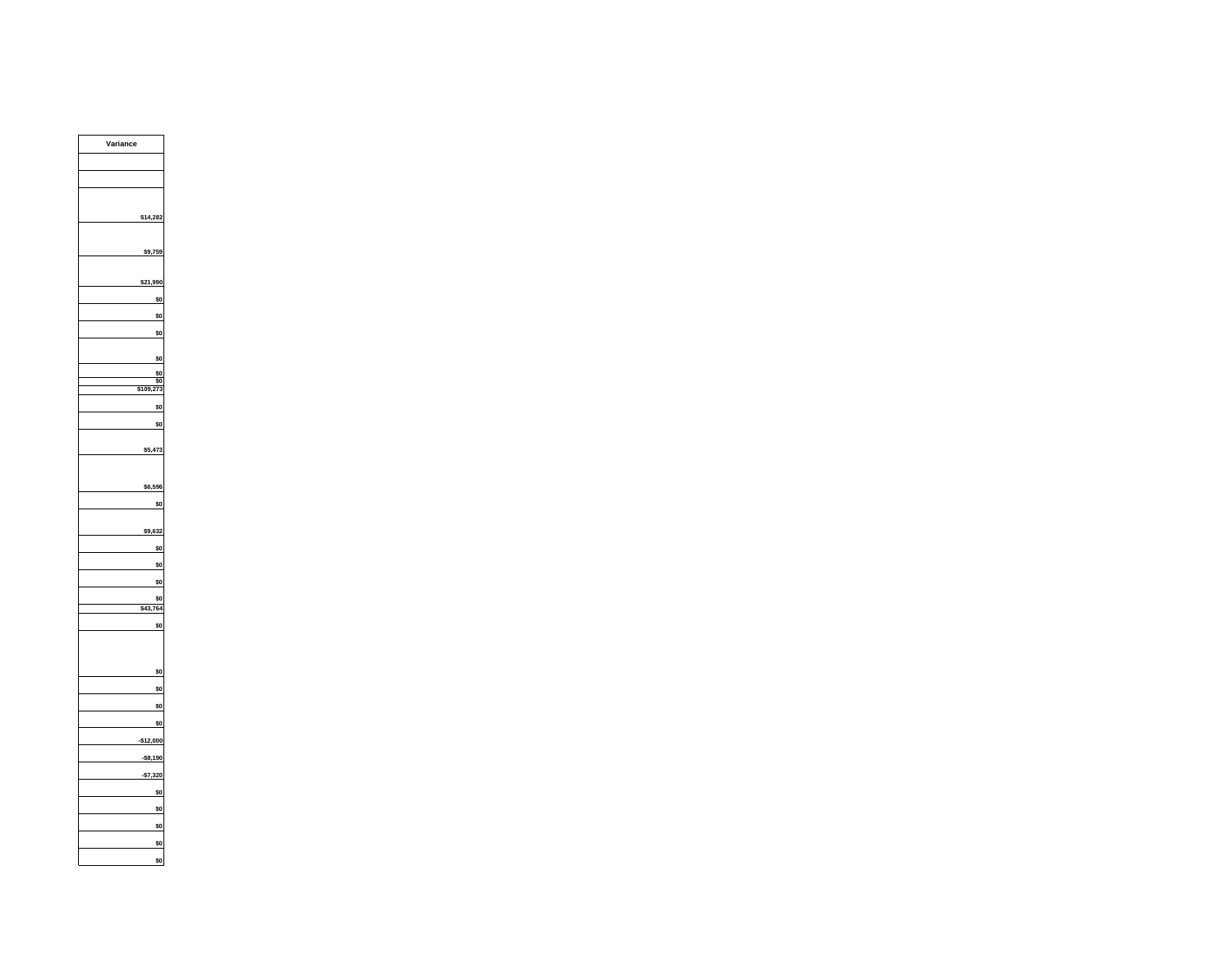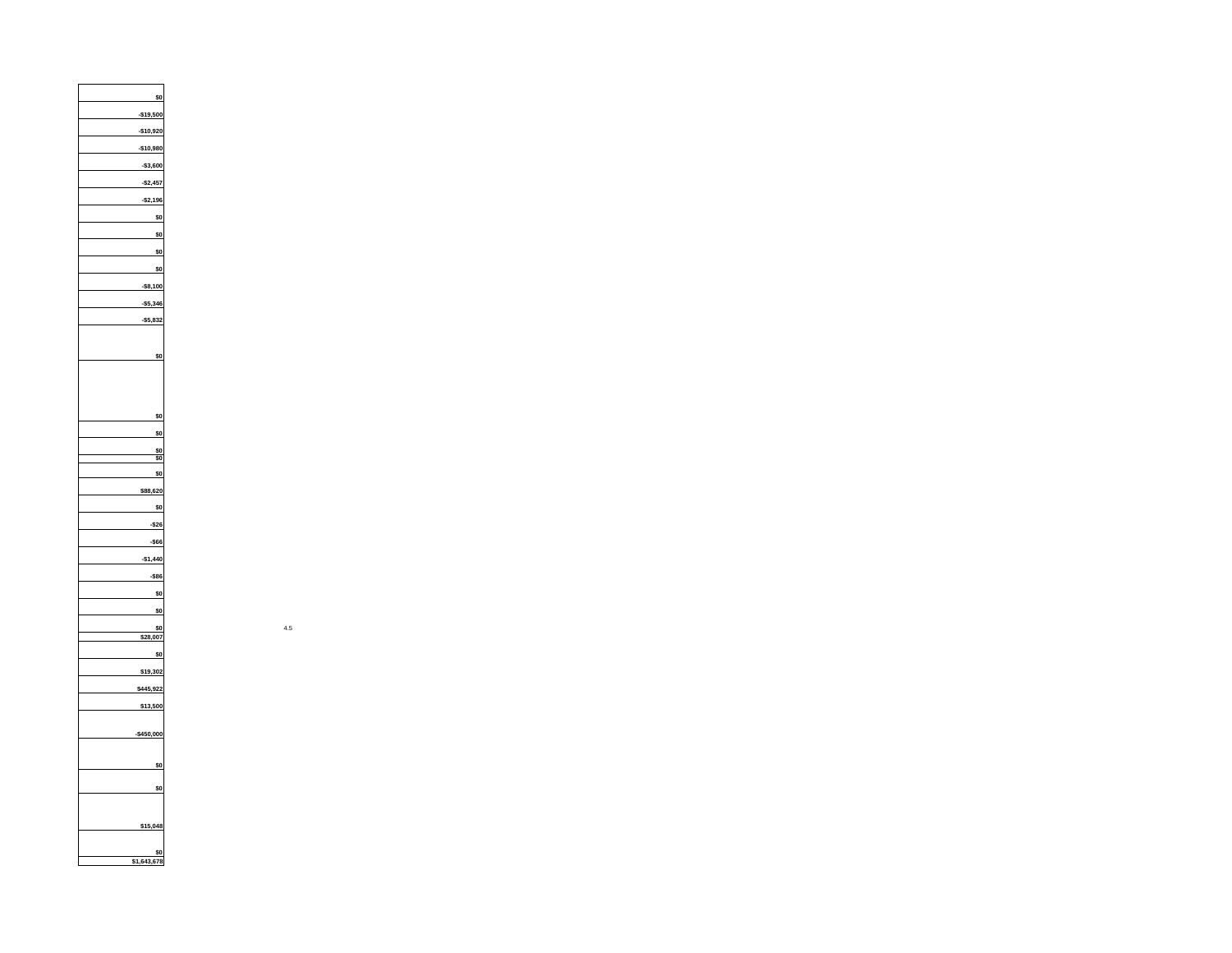**\$0-\$19,500 -\$10,920 -\$10,980 -\$3,600 -\$2,457 -\$2,196 \$0\$0\$0\$0-\$8,100 -\$5,346 -\$5,832 \$0\$0\$0\$0 \$0\$0\$88,620 \$0-\$26 -\$66 -\$1,440 -\$86 \$0\$0 \$0\$28,007 \$0\$19,302 \$445,922 \$13,500 -\$450,000 \$0\$0\$15,048 \$0 \$1,643,678**

 $\overline{\phantom{a}}$  4.5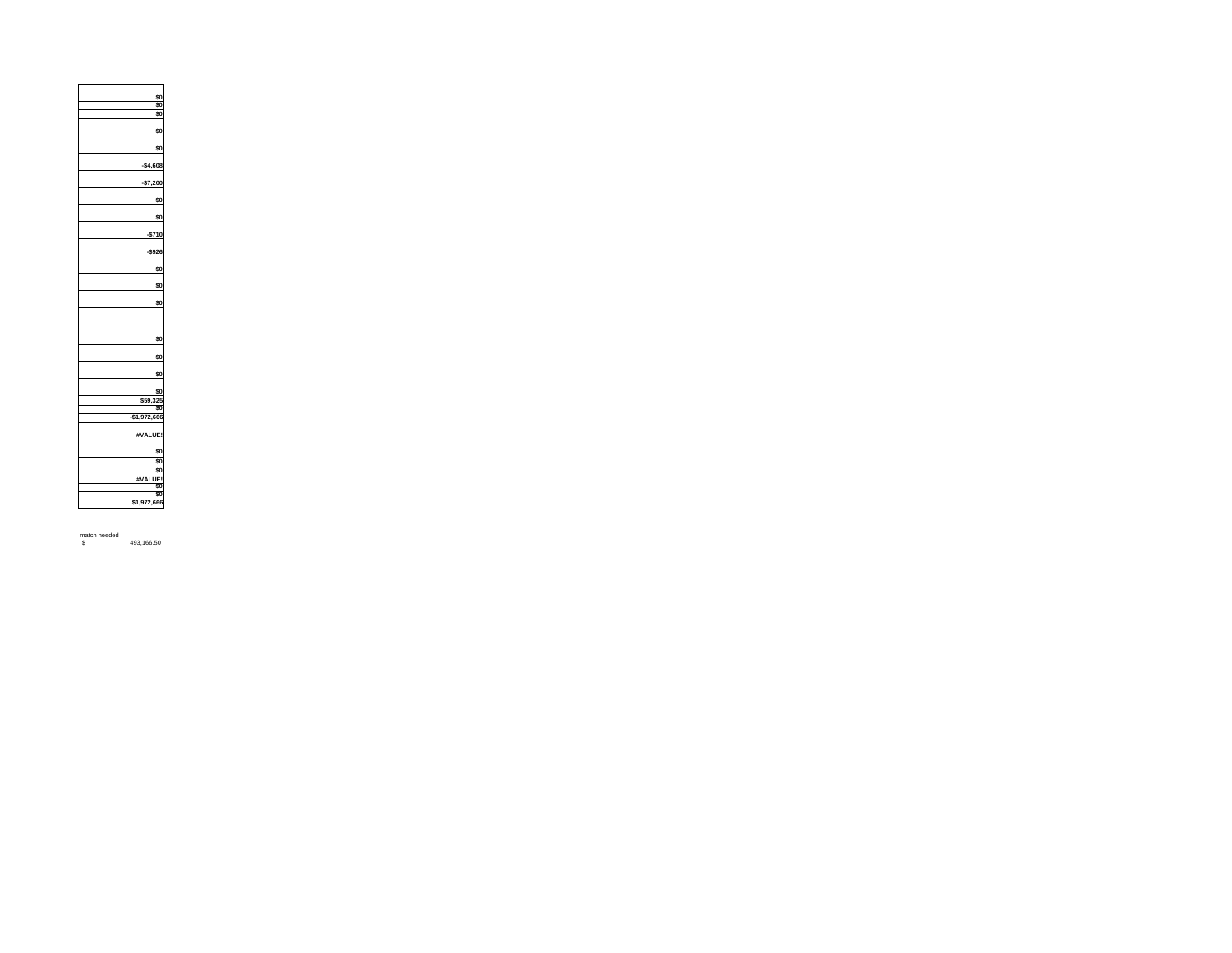| \$0           |
|---------------|
| \$0           |
| \$0           |
|               |
| \$0           |
|               |
| \$0           |
|               |
| $-$4,608$     |
|               |
| $-$7,200$     |
|               |
| \$0           |
|               |
| \$0           |
|               |
|               |
| $-$710$       |
|               |
| $-$ \$926     |
|               |
| \$0           |
|               |
| \$0           |
|               |
| \$0           |
|               |
|               |
|               |
| \$0           |
|               |
| \$0           |
|               |
| \$0           |
|               |
| \$0           |
| \$59,325      |
| \$0           |
| $-$1,972,666$ |
|               |
| #VALUE!       |
|               |
| \$0           |
| \$0           |
| \$0           |
| #VALUE!       |
| \$0           |
| \$0           |
| \$1,972,666   |
|               |
|               |

match needed \$ 493,166.50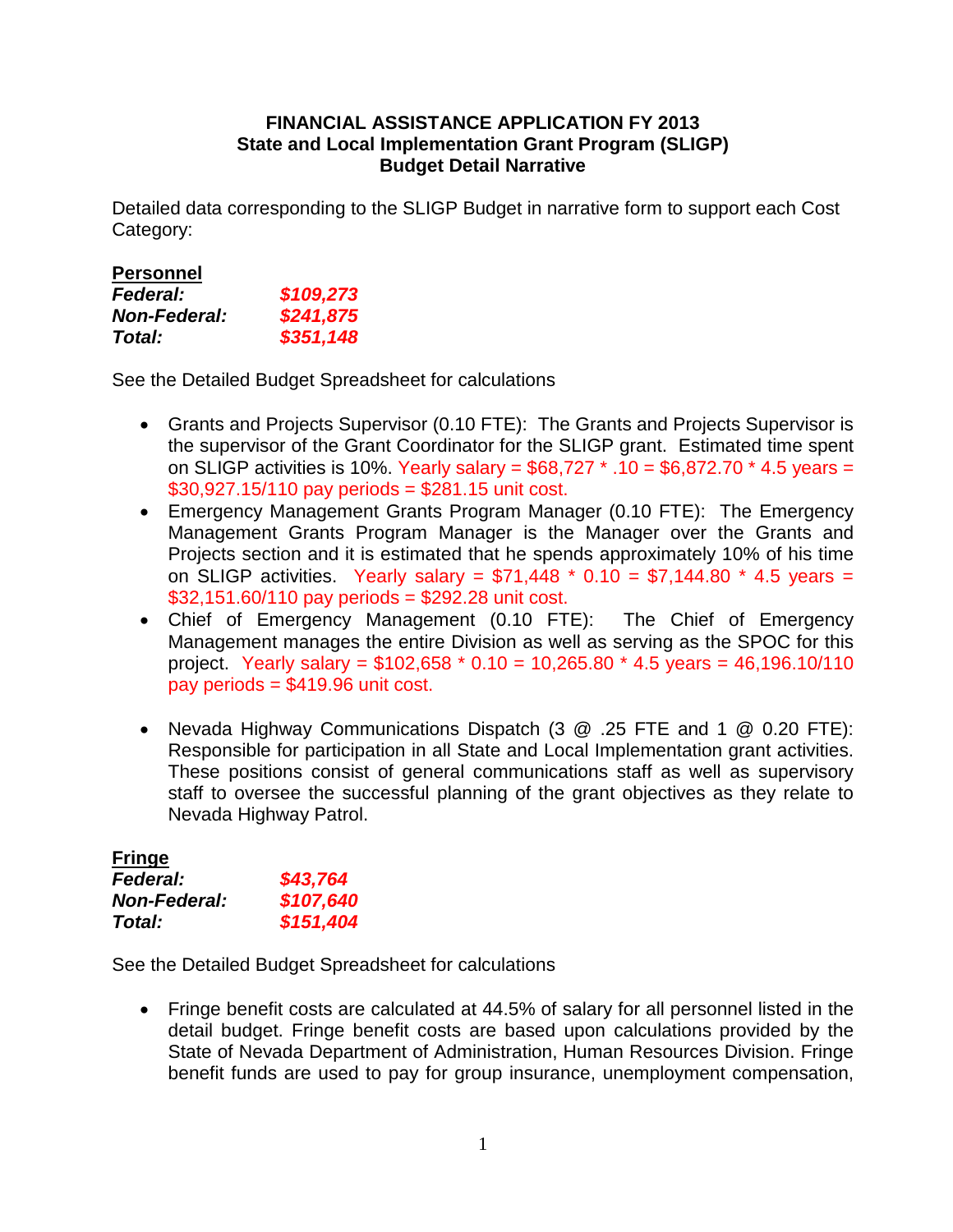## **FINANCIAL ASSISTANCE APPLICATION FY 2013 State and Local Implementation Grant Program (SLIGP) Budget Detail Narrative**

Detailed data corresponding to the SLIGP Budget in narrative form to support each Cost Category:

| <b>Personnel</b>    |           |
|---------------------|-----------|
| <b>Federal:</b>     | \$109,273 |
| <b>Non-Federal:</b> | \$241,875 |
| <b>Total:</b>       | \$351,148 |

See the Detailed Budget Spreadsheet for calculations

- Grants and Projects Supervisor (0.10 FTE): The Grants and Projects Supervisor is the supervisor of the Grant Coordinator for the SLIGP grant. Estimated time spent on SLIGP activities is 10%. Yearly salary =  $$68,727$  \* .10 =  $$6,872.70$  \* 4.5 years = \$30,927.15/110 pay periods = \$281.15 unit cost.
- Emergency Management Grants Program Manager (0.10 FTE): The Emergency Management Grants Program Manager is the Manager over the Grants and Projects section and it is estimated that he spends approximately 10% of his time on SLIGP activities. Yearly salary =  $$71,448$  \* 0.10 =  $$7,144.80$  \* 4.5 years =  $$32,151.60/110$  pay periods = \$292.28 unit cost.
- Chief of Emergency Management (0.10 FTE): The Chief of Emergency Management manages the entire Division as well as serving as the SPOC for this project. Yearly salary =  $$102,658 * 0.10 = 10,265.80 * 4.5 \text{ years} = 46,196.10/110$ pay periods = \$419.96 unit cost.
- Nevada Highway Communications Dispatch (3 @ .25 FTE and 1 @ 0.20 FTE): Responsible for participation in all State and Local Implementation grant activities. These positions consist of general communications staff as well as supervisory staff to oversee the successful planning of the grant objectives as they relate to Nevada Highway Patrol.

| <b>Fringe</b>       |           |
|---------------------|-----------|
| <b>Federal:</b>     | \$43,764  |
| <b>Non-Federal:</b> | \$107,640 |
| Total:              | \$151,404 |

See the Detailed Budget Spreadsheet for calculations

• Fringe benefit costs are calculated at 44.5% of salary for all personnel listed in the detail budget. Fringe benefit costs are based upon calculations provided by the State of Nevada Department of Administration, Human Resources Division. Fringe benefit funds are used to pay for group insurance, unemployment compensation,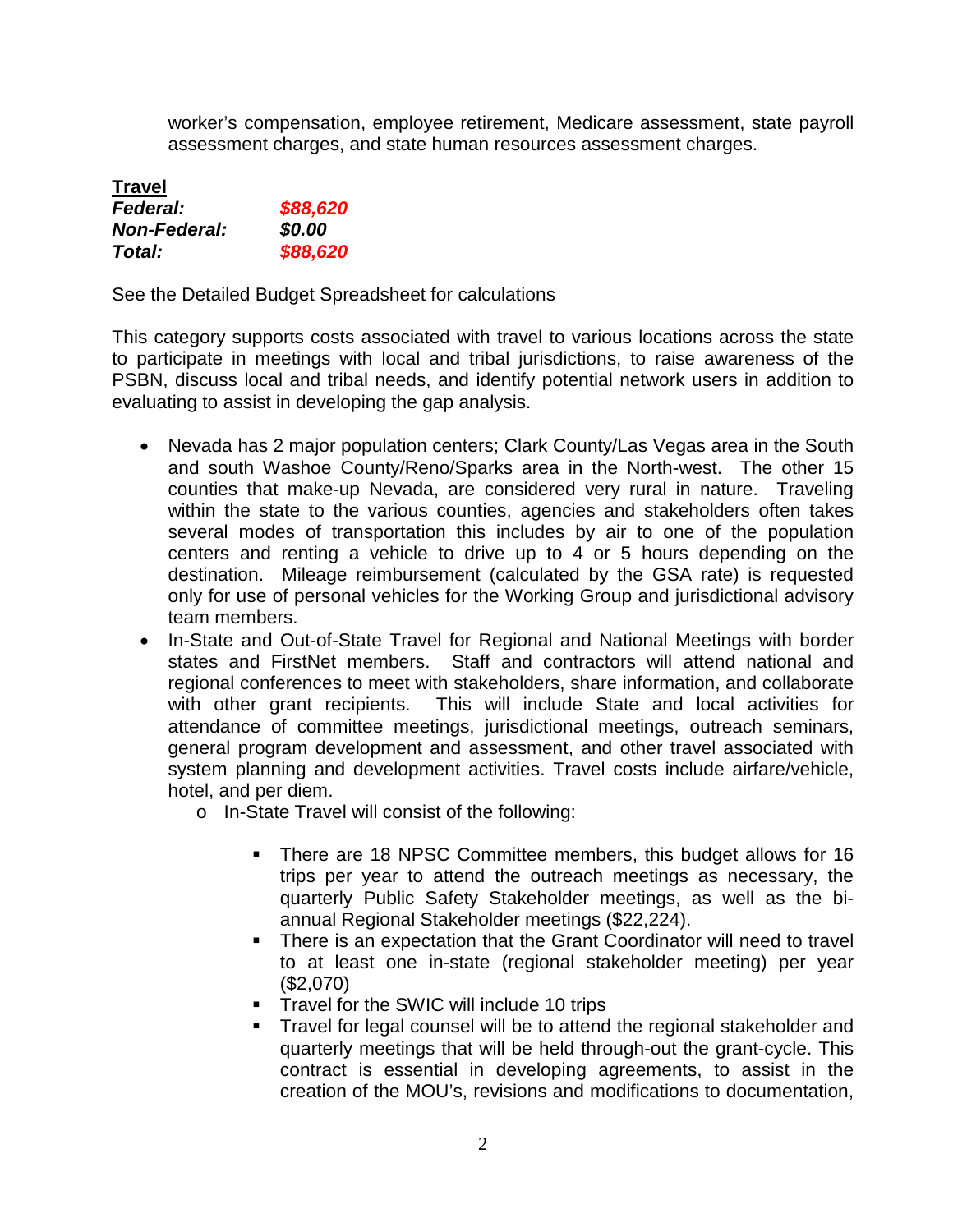worker's compensation, employee retirement, Medicare assessment, state payroll assessment charges, and state human resources assessment charges.

| <b>Travel</b>       |          |
|---------------------|----------|
| <b>Federal:</b>     | \$88,620 |
| <b>Non-Federal:</b> | \$0.00   |
| <b>Total:</b>       | \$88,620 |

See the Detailed Budget Spreadsheet for calculations

This category supports costs associated with travel to various locations across the state to participate in meetings with local and tribal jurisdictions, to raise awareness of the PSBN, discuss local and tribal needs, and identify potential network users in addition to evaluating to assist in developing the gap analysis.

- Nevada has 2 major population centers; Clark County/Las Vegas area in the South and south Washoe County/Reno/Sparks area in the North-west. The other 15 counties that make-up Nevada, are considered very rural in nature. Traveling within the state to the various counties, agencies and stakeholders often takes several modes of transportation this includes by air to one of the population centers and renting a vehicle to drive up to 4 or 5 hours depending on the destination. Mileage reimbursement (calculated by the GSA rate) is requested only for use of personal vehicles for the Working Group and jurisdictional advisory team members.
- In-State and Out-of-State Travel for Regional and National Meetings with border states and FirstNet members. Staff and contractors will attend national and regional conferences to meet with stakeholders, share information, and collaborate with other grant recipients. This will include State and local activities for attendance of committee meetings, jurisdictional meetings, outreach seminars, general program development and assessment, and other travel associated with system planning and development activities. Travel costs include airfare/vehicle, hotel, and per diem.
	- o In-State Travel will consist of the following:
		- There are 18 NPSC Committee members, this budget allows for 16 trips per year to attend the outreach meetings as necessary, the quarterly Public Safety Stakeholder meetings, as well as the biannual Regional Stakeholder meetings (\$22,224).
		- **There is an expectation that the Grant Coordinator will need to travel** to at least one in-state (regional stakeholder meeting) per year (\$2,070)
		- **Travel for the SWIC will include 10 trips**
		- Travel for legal counsel will be to attend the regional stakeholder and quarterly meetings that will be held through-out the grant-cycle. This contract is essential in developing agreements, to assist in the creation of the MOU's, revisions and modifications to documentation,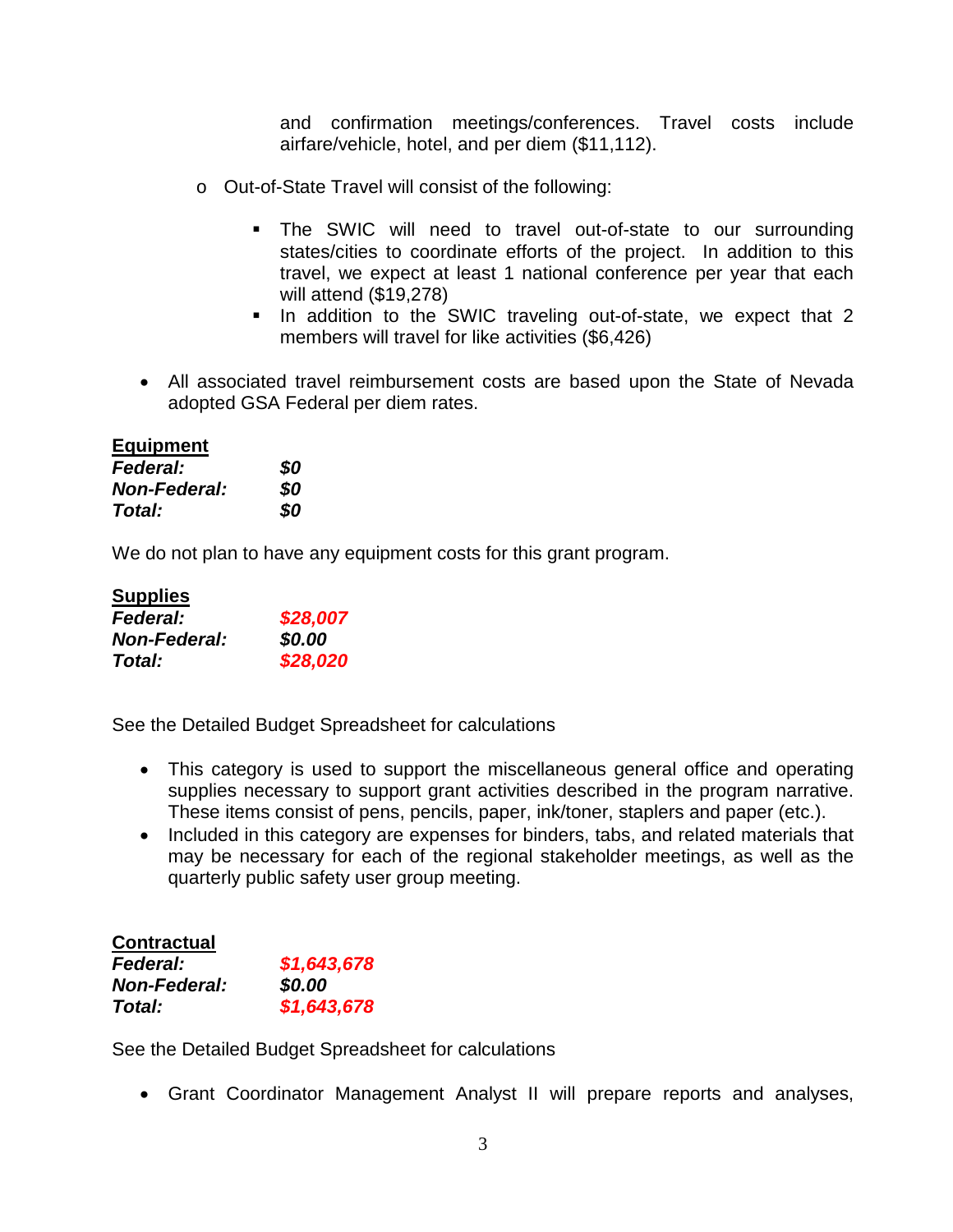and confirmation meetings/conferences. Travel costs include airfare/vehicle, hotel, and per diem (\$11,112).

- o Out-of-State Travel will consist of the following:
	- The SWIC will need to travel out-of-state to our surrounding states/cities to coordinate efforts of the project. In addition to this travel, we expect at least 1 national conference per year that each will attend (\$19,278)
	- In addition to the SWIC traveling out-of-state, we expect that 2 members will travel for like activities (\$6,426)
- All associated travel reimbursement costs are based upon the State of Nevada adopted GSA Federal per diem rates.

## **Equipment**

| <b>Federal:</b>     | \$0 |
|---------------------|-----|
| <b>Non-Federal:</b> | \$0 |
| Total:              | \$0 |

We do not plan to have any equipment costs for this grant program.

| <b>Supplies</b>     |          |
|---------------------|----------|
| <b>Federal:</b>     | \$28,007 |
| <b>Non-Federal:</b> | \$0.00   |
| <b>Total:</b>       | \$28,020 |

See the Detailed Budget Spreadsheet for calculations

- This category is used to support the miscellaneous general office and operating supplies necessary to support grant activities described in the program narrative. These items consist of pens, pencils, paper, ink/toner, staplers and paper (etc.).
- Included in this category are expenses for binders, tabs, and related materials that may be necessary for each of the regional stakeholder meetings, as well as the quarterly public safety user group meeting.

| <b>Contractual</b>  |             |
|---------------------|-------------|
| <b>Federal:</b>     | \$1,643,678 |
| <b>Non-Federal:</b> | \$0.00      |
| <b>Total:</b>       | \$1,643,678 |

See the Detailed Budget Spreadsheet for calculations

• Grant Coordinator Management Analyst II will prepare reports and analyses,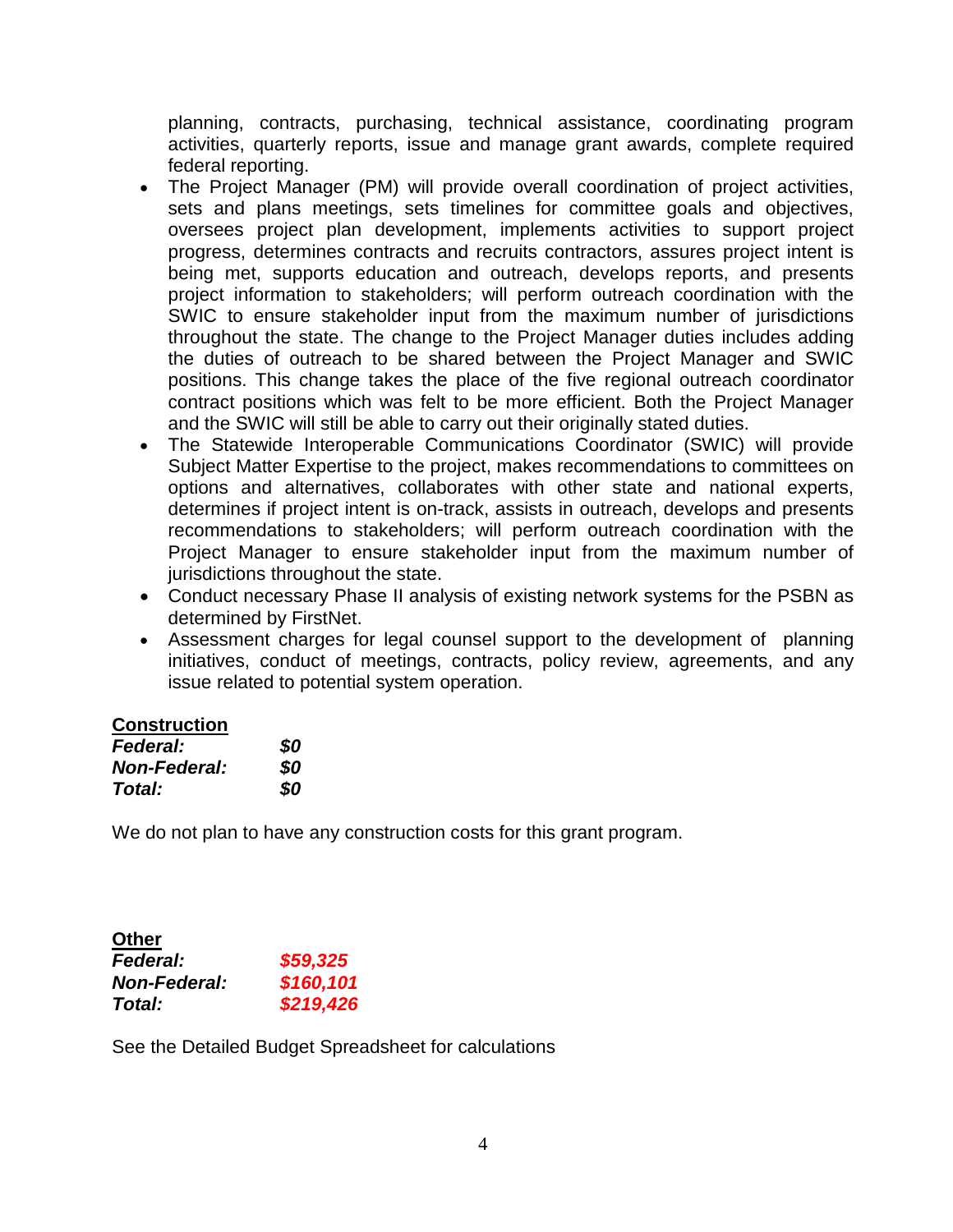planning, contracts, purchasing, technical assistance, coordinating program activities, quarterly reports, issue and manage grant awards, complete required federal reporting.

- The Project Manager (PM) will provide overall coordination of project activities, sets and plans meetings, sets timelines for committee goals and objectives, oversees project plan development, implements activities to support project progress, determines contracts and recruits contractors, assures project intent is being met, supports education and outreach, develops reports, and presents project information to stakeholders; will perform outreach coordination with the SWIC to ensure stakeholder input from the maximum number of jurisdictions throughout the state. The change to the Project Manager duties includes adding the duties of outreach to be shared between the Project Manager and SWIC positions. This change takes the place of the five regional outreach coordinator contract positions which was felt to be more efficient. Both the Project Manager and the SWIC will still be able to carry out their originally stated duties.
- The Statewide Interoperable Communications Coordinator (SWIC) will provide Subject Matter Expertise to the project, makes recommendations to committees on options and alternatives, collaborates with other state and national experts, determines if project intent is on-track, assists in outreach, develops and presents recommendations to stakeholders; will perform outreach coordination with the Project Manager to ensure stakeholder input from the maximum number of jurisdictions throughout the state.
- Conduct necessary Phase II analysis of existing network systems for the PSBN as determined by FirstNet.
- Assessment charges for legal counsel support to the development of planning initiatives, conduct of meetings, contracts, policy review, agreements, and any issue related to potential system operation.

## **Construction**

| <b>Federal:</b>     | \$0 |
|---------------------|-----|
| <b>Non-Federal:</b> | \$0 |
| Total:              | \$0 |

We do not plan to have any construction costs for this grant program.

| <b>Other</b>        |           |
|---------------------|-----------|
| <b>Federal:</b>     | \$59,325  |
| <b>Non-Federal:</b> | \$160,101 |
| Total:              | \$219,426 |

See the Detailed Budget Spreadsheet for calculations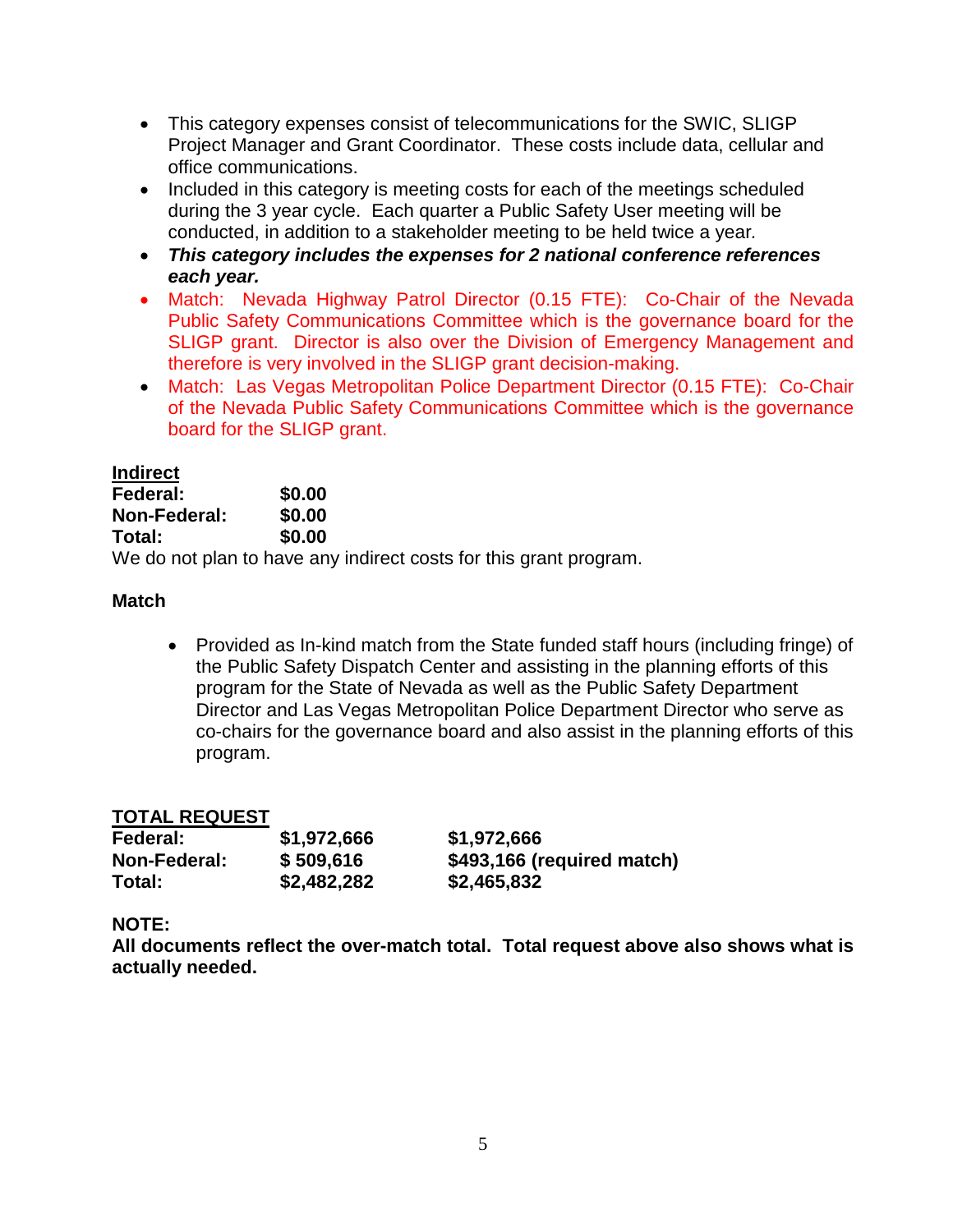- This category expenses consist of telecommunications for the SWIC, SLIGP Project Manager and Grant Coordinator. These costs include data, cellular and office communications.
- Included in this category is meeting costs for each of the meetings scheduled during the 3 year cycle. Each quarter a Public Safety User meeting will be conducted, in addition to a stakeholder meeting to be held twice a year*.*
- *This category includes the expenses for 2 national conference references each year.*
- Match: Nevada Highway Patrol Director (0.15 FTE): Co-Chair of the Nevada Public Safety Communications Committee which is the governance board for the SLIGP grant. Director is also over the Division of Emergency Management and therefore is very involved in the SLIGP grant decision-making.
- Match: Las Vegas Metropolitan Police Department Director (0.15 FTE): Co-Chair of the Nevada Public Safety Communications Committee which is the governance board for the SLIGP grant.

## **Indirect**

| Federal:     | \$0.00                              |
|--------------|-------------------------------------|
| Non-Federal: | \$0.00                              |
| Total:       | \$0.00                              |
|              | We do not plan to have any indirect |

We do not plan to have any indirect costs for this grant program.

# **Match**

• Provided as In-kind match from the State funded staff hours (including fringe) of the Public Safety Dispatch Center and assisting in the planning efforts of this program for the State of Nevada as well as the Public Safety Department Director and Las Vegas Metropolitan Police Department Director who serve as co-chairs for the governance board and also assist in the planning efforts of this program.

# **TOTAL REQUEST**

| Federal:     | \$1,972,666 | \$1,972,666                |
|--------------|-------------|----------------------------|
| Non-Federal: | \$509,616   | \$493,166 (required match) |
| Total:       | \$2,482,282 | \$2,465,832                |

# **NOTE:**

**All documents reflect the over-match total. Total request above also shows what is actually needed.**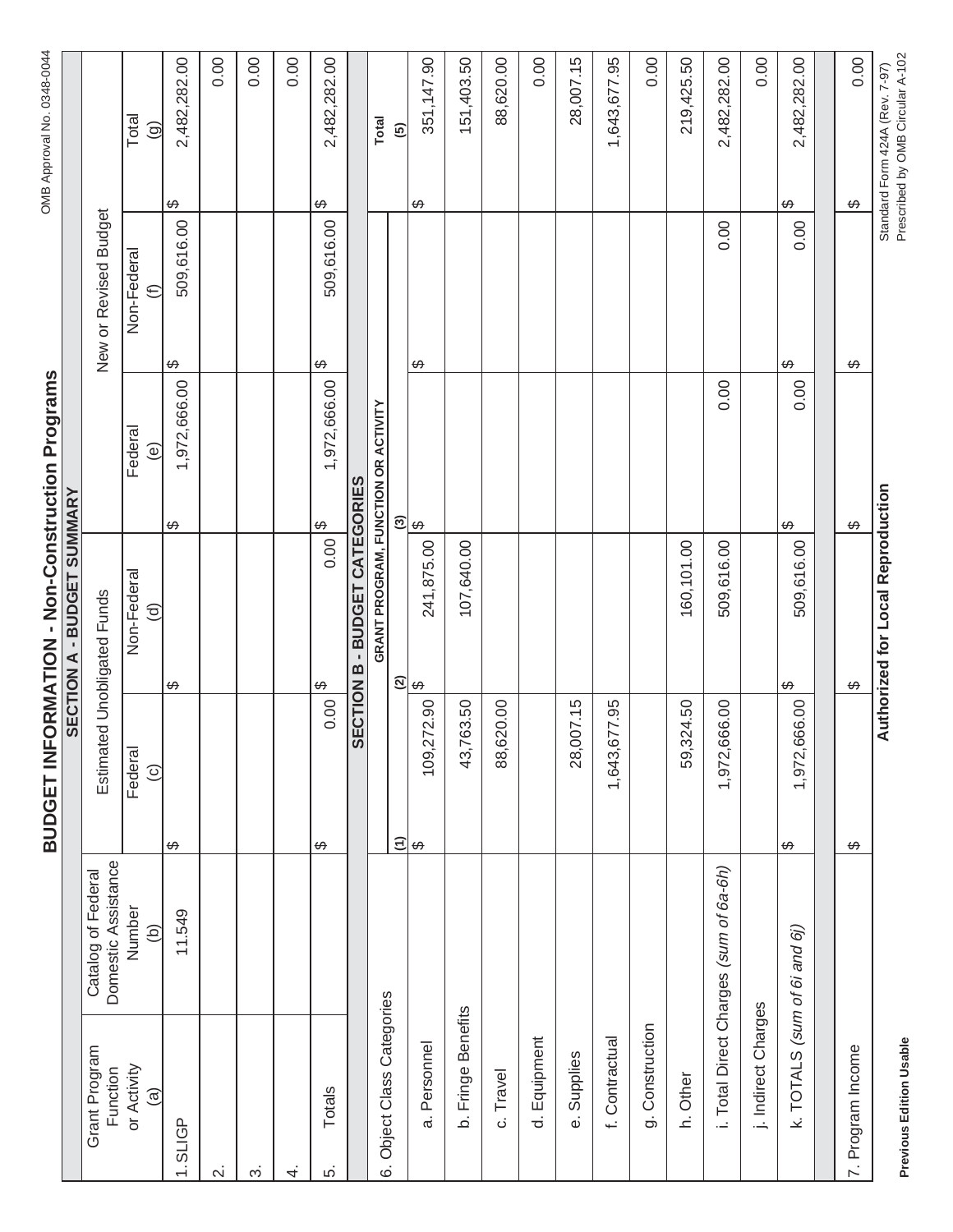**BUDGET INFORMATION - Non-Construction Programs** BUDGET INFORMATION - Non-Construction Programs

|                                |                                           |                                      | SECTION A - BUDGET SUMMARY        |                                            |                              |                                |
|--------------------------------|-------------------------------------------|--------------------------------------|-----------------------------------|--------------------------------------------|------------------------------|--------------------------------|
| Grant Program<br>Function      | Domestic Assistance<br>Catalog of Federal |                                      | Estimated Unobligated Funds       |                                            | New or Revised Budget        |                                |
| or Activity<br>$\widehat{a}$   | Number<br>$\widehat{p}$                   | Federal<br>$\odot$                   | Non-Federal<br>$\widehat{\sigma}$ | Federal<br>ම                               | Non-Federal<br>$\widehat{E}$ | Total<br>$\odot$               |
| $1.$ SLIGP                     | 11.549                                    | ↮                                    | ↮                                 | 1,972,666.00<br>ക                          | 509,616.00<br>↮              | 2,482,282.00<br>↔              |
| $\overline{\mathsf{N}}$        |                                           |                                      |                                   |                                            |                              | 0.00                           |
| က                              |                                           |                                      |                                   |                                            |                              | 0.00                           |
| 4.                             |                                           |                                      |                                   |                                            |                              | 0.00                           |
| Totals<br>ιó.                  |                                           | 0.00<br>↮                            | 0.00<br>↔                         | 1,972,666.00<br>↮                          | 509,616.00<br>↔              | 2,482,282.00<br>↮              |
|                                |                                           |                                      | SECTION B - BUDGET CATEGORIES     |                                            |                              |                                |
| 6. Object Class Categories     |                                           |                                      |                                   | <b>GRANT PROGRAM, FUNCTION OR ACTIVITY</b> |                              | <b>Total</b>                   |
|                                |                                           | $\widehat{E}$                        | $\widehat{\infty}$                | $\odot$                                    |                              | $\overline{5}$                 |
| a. Personnel                   |                                           | 109,272.90<br>$\boldsymbol{\varphi}$ | 241,875.00<br>↔                   | $\Theta$                                   | ↔                            | 351,147.90<br>↔                |
| b. Fringe Benefits             |                                           | 43,763.50                            | 107,640.00                        |                                            |                              | 151,403.50                     |
| c. Travel                      |                                           | 620.00<br>88,                        |                                   |                                            |                              | 88,620.00                      |
| d. Equipment                   |                                           |                                      |                                   |                                            |                              | 0.00                           |
| e. Supplies                    |                                           | 28,007.15                            |                                   |                                            |                              | 28,007.15                      |
| f. Contractual                 |                                           | 1,643,677.95                         |                                   |                                            |                              | 1,643,677.95                   |
| g. Construction                |                                           |                                      |                                   |                                            |                              | 0.00                           |
| h. Other                       |                                           | 59,324.50                            | 160,101.00                        |                                            |                              | 219,425.50                     |
|                                | i. Total Direct Charges (sum of 6a-6h)    | ,666.00<br>1,972,                    | 509,616.00                        | 0.00                                       | 0.00                         | 2,482,282.00                   |
| j. Indirect Charges            |                                           |                                      |                                   |                                            |                              | 0.00                           |
| k. $TOTALS$ (sum of 6i and 6j) |                                           | ,666.00<br>1,972,6<br>↮              | 509,616.00<br>↮                   | 0.00<br>↮                                  | 0.00<br>↮                    | 2,482,282.00<br>↮              |
|                                |                                           |                                      |                                   |                                            |                              |                                |
| 7. Program Income              |                                           | ↔                                    | ↔                                 | $\varphi$                                  | ↔                            | 0.00<br>$\leftrightarrow$      |
|                                |                                           |                                      | Authorized for Local Reproduction |                                            |                              | Standard Form 424A (Rev. 7-97) |

**Previous Edition Usable** 

Prescribed by OMB Circular A-102 **Previous Edition Usable** Prescribed by OMB Circular A-102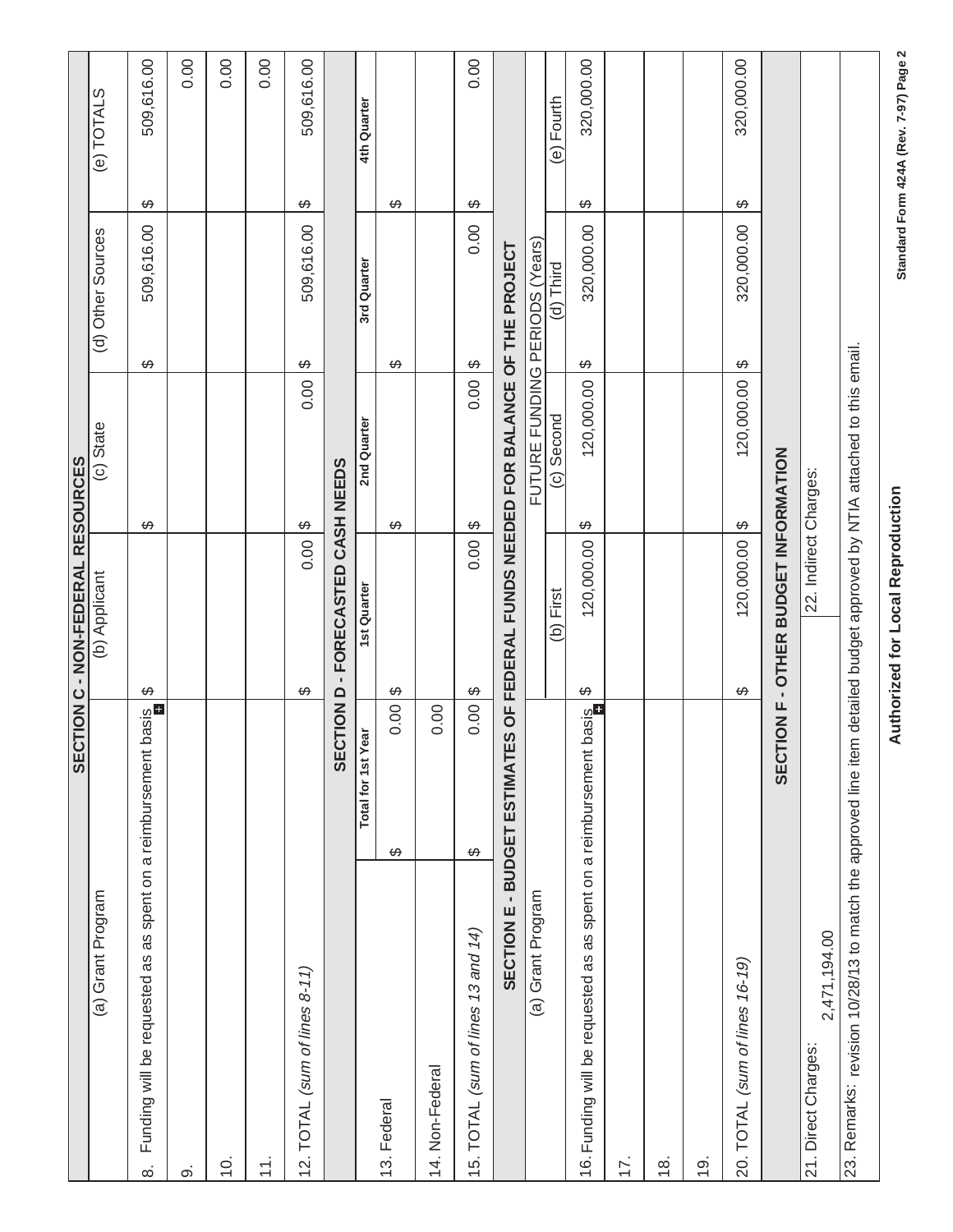|                                                                                                                         |                    | <b>SECTION C - NON-FEDERAL RESOURCES</b>                                        |                           |                                |                                                          |
|-------------------------------------------------------------------------------------------------------------------------|--------------------|---------------------------------------------------------------------------------|---------------------------|--------------------------------|----------------------------------------------------------|
| (a) Grant Program                                                                                                       |                    | (b) Applicant                                                                   | (c) State                 | (d) Other Sources              | (e) TOTALS                                               |
| Funding will be requested as as spent on a reimbursement<br>$\dot{\infty}$                                              | basis<br><b>D</b>  | ↔                                                                               | ↔                         | 509,616.00<br>↮                | 509,616.00<br>↮                                          |
| တ                                                                                                                       |                    |                                                                                 |                           |                                | 0.00                                                     |
| <u>ф</u>                                                                                                                |                    |                                                                                 |                           |                                | 0.00                                                     |
| $\stackrel{+}{\leftarrow}$                                                                                              |                    |                                                                                 |                           |                                | 0.00                                                     |
| TOTAL (sum of lines 8-11)<br>$\frac{1}{2}$                                                                              |                    | 0.00<br>↔                                                                       | 0.00<br>$\leftrightarrow$ | 509,616.00<br>↮                | 509,616.00<br>↮                                          |
|                                                                                                                         |                    | SECTION D - FORECASTED CASH NEEDS                                               |                           |                                |                                                          |
|                                                                                                                         | Total for 1st Year | <b>1st Quarter</b>                                                              | 2nd Quarter               | 3rd Quarter                    | 4th Quarter                                              |
| 13. Federal                                                                                                             | 0.00<br>↔          | ↮                                                                               | ↔                         | ↮                              | ↔                                                        |
| 14. Non-Federal                                                                                                         | 0.00               |                                                                                 |                           |                                |                                                          |
| 15. TOTAL (sum of lines 13 and 14)                                                                                      | 0.00<br>$\varphi$  | 0.00<br>$\Theta$                                                                | 0.0018<br>$\Theta$        | 0.00                           | 0.00<br>↔                                                |
|                                                                                                                         |                    | SECTION E - BUDGET ESTIMATES OF FEDERAL FUNDS NEEDED FOR BALANCE OF THE PROJECT |                           |                                |                                                          |
| (a) Grant Program                                                                                                       |                    |                                                                                 |                           | FUTURE FUNDING PERIODS (Years) |                                                          |
|                                                                                                                         |                    | First<br>ê                                                                      | Second<br>$\odot$         | (d) Third                      | Fourth<br>$\widehat{e}$                                  |
| 16. Funding will be requested as as spent on a reimbursement                                                            | basis              | 120,000.00<br>↮                                                                 | 120,000.00<br>↔           | 320,000.00<br>↔                | 320,000.00<br>↔                                          |
| 17.                                                                                                                     |                    |                                                                                 |                           |                                |                                                          |
| $\frac{8}{1}$                                                                                                           |                    |                                                                                 |                           |                                |                                                          |
| <u>(0</u>                                                                                                               |                    |                                                                                 |                           |                                |                                                          |
| 20. TOTAL (sum of lines 16-19)                                                                                          |                    | 120,000.00<br>↮                                                                 | 120,000.00<br>↔           | 320,000.00<br>$\Theta$         | 320,000.00<br>↔                                          |
|                                                                                                                         |                    | <b>SECTION F - OTHER BUDGET INFORMATION</b>                                     |                           |                                |                                                          |
| 2,471,194.00<br>21. Direct Charges:                                                                                     |                    | 22. Indirect Charges:                                                           |                           |                                |                                                          |
| 23. Remarks: revision 10/28/13 to match the approved line item detailed budget approved by NTIA attached to this email. |                    |                                                                                 |                           |                                |                                                          |
|                                                                                                                         |                    | Authorized for Local Reproduction                                               |                           |                                | $\mathbf{\Omega}$<br>Standard Form 424A (Rev. 7-97) Page |

**Authorized for Local Reproduction Standard Form 424A (Rev. 7-97) Page 2** 

Standard Form 424A (Rev. 7-97) Page 2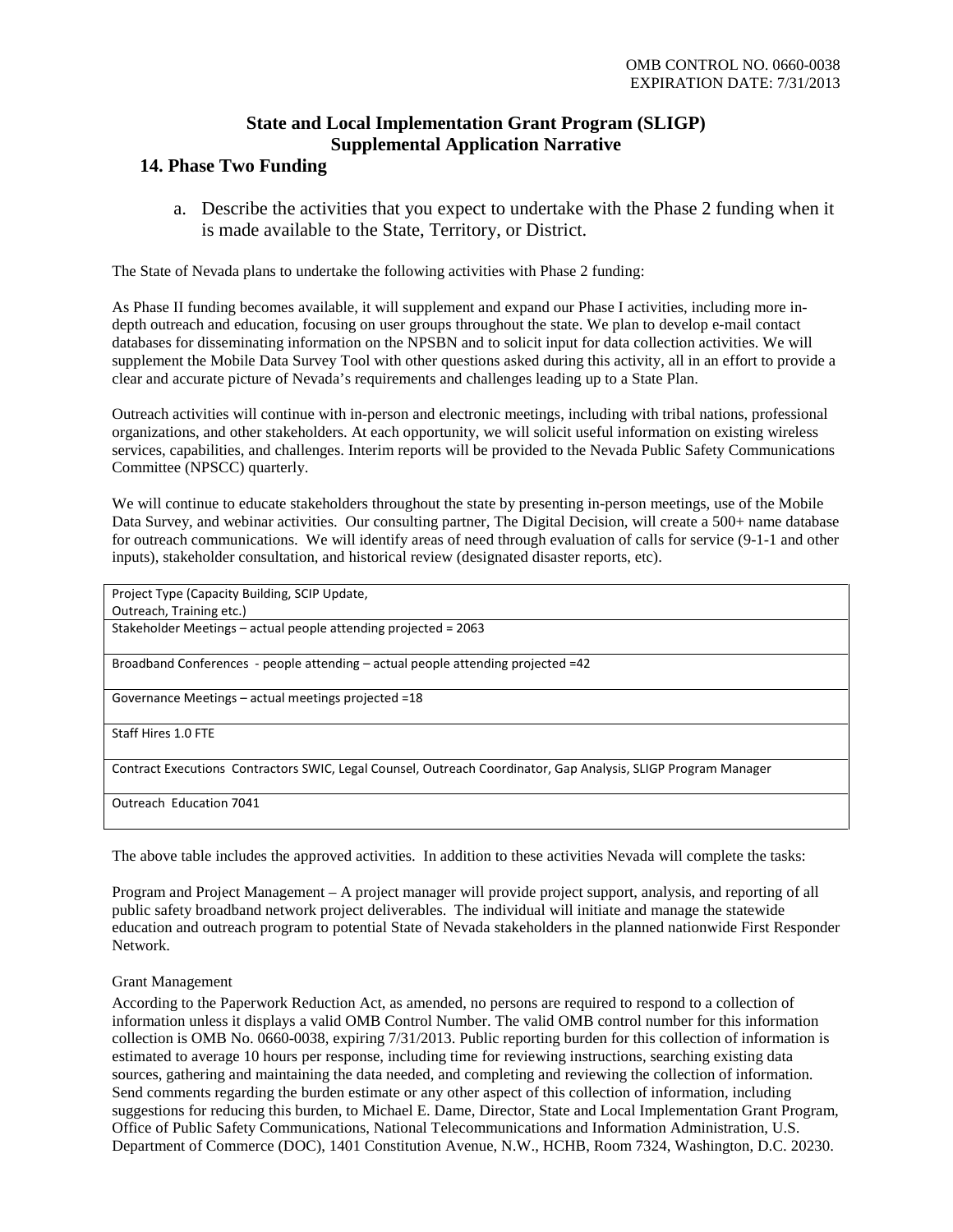## **State and Local Implementation Grant Program (SLIGP) Supplemental Application Narrative**

## **14. Phase Two Funding**

a. Describe the activities that you expect to undertake with the Phase 2 funding when it is made available to the State, Territory, or District.

The State of Nevada plans to undertake the following activities with Phase 2 funding:

As Phase II funding becomes available, it will supplement and expand our Phase I activities, including more indepth outreach and education, focusing on user groups throughout the state. We plan to develop e-mail contact databases for disseminating information on the NPSBN and to solicit input for data collection activities. We will supplement the Mobile Data Survey Tool with other questions asked during this activity, all in an effort to provide a clear and accurate picture of Nevada's requirements and challenges leading up to a State Plan.

Outreach activities will continue with in-person and electronic meetings, including with tribal nations, professional organizations, and other stakeholders. At each opportunity, we will solicit useful information on existing wireless services, capabilities, and challenges. Interim reports will be provided to the Nevada Public Safety Communications Committee (NPSCC) quarterly.

We will continue to educate stakeholders throughout the state by presenting in-person meetings, use of the Mobile Data Survey, and webinar activities. Our consulting partner, The Digital Decision, will create a 500+ name database for outreach communications. We will identify areas of need through evaluation of calls for service (9-1-1 and other inputs), stakeholder consultation, and historical review (designated disaster reports, etc).

| Project Type (Capacity Building, SCIP Update,                                                                  |
|----------------------------------------------------------------------------------------------------------------|
| Outreach, Training etc.)                                                                                       |
| Stakeholder Meetings – actual people attending projected = 2063                                                |
| Broadband Conferences - people attending $-$ actual people attending projected $=42$                           |
| Governance Meetings – actual meetings projected =18                                                            |
| Staff Hires 1.0 FTE                                                                                            |
| Contract Executions Contractors SWIC, Legal Counsel, Outreach Coordinator, Gap Analysis, SLIGP Program Manager |
| Outreach Education 7041                                                                                        |

The above table includes the approved activities. In addition to these activities Nevada will complete the tasks:

Program and Project Management – A project manager will provide project support, analysis, and reporting of all public safety broadband network project deliverables. The individual will initiate and manage the statewide education and outreach program to potential State of Nevada stakeholders in the planned nationwide First Responder Network.

### Grant Management

According to the Paperwork Reduction Act, as amended, no persons are required to respond to a collection of information unless it displays a valid OMB Control Number. The valid OMB control number for this information collection is OMB No. 0660-0038, expiring 7/31/2013. Public reporting burden for this collection of information is estimated to average 10 hours per response, including time for reviewing instructions, searching existing data sources, gathering and maintaining the data needed, and completing and reviewing the collection of information. Send comments regarding the burden estimate or any other aspect of this collection of information, including suggestions for reducing this burden, to Michael E. Dame, Director, State and Local Implementation Grant Program, Office of Public Safety Communications, National Telecommunications and Information Administration, U.S. Department of Commerce (DOC), 1401 Constitution Avenue, N.W., HCHB, Room 7324, Washington, D.C. 20230.